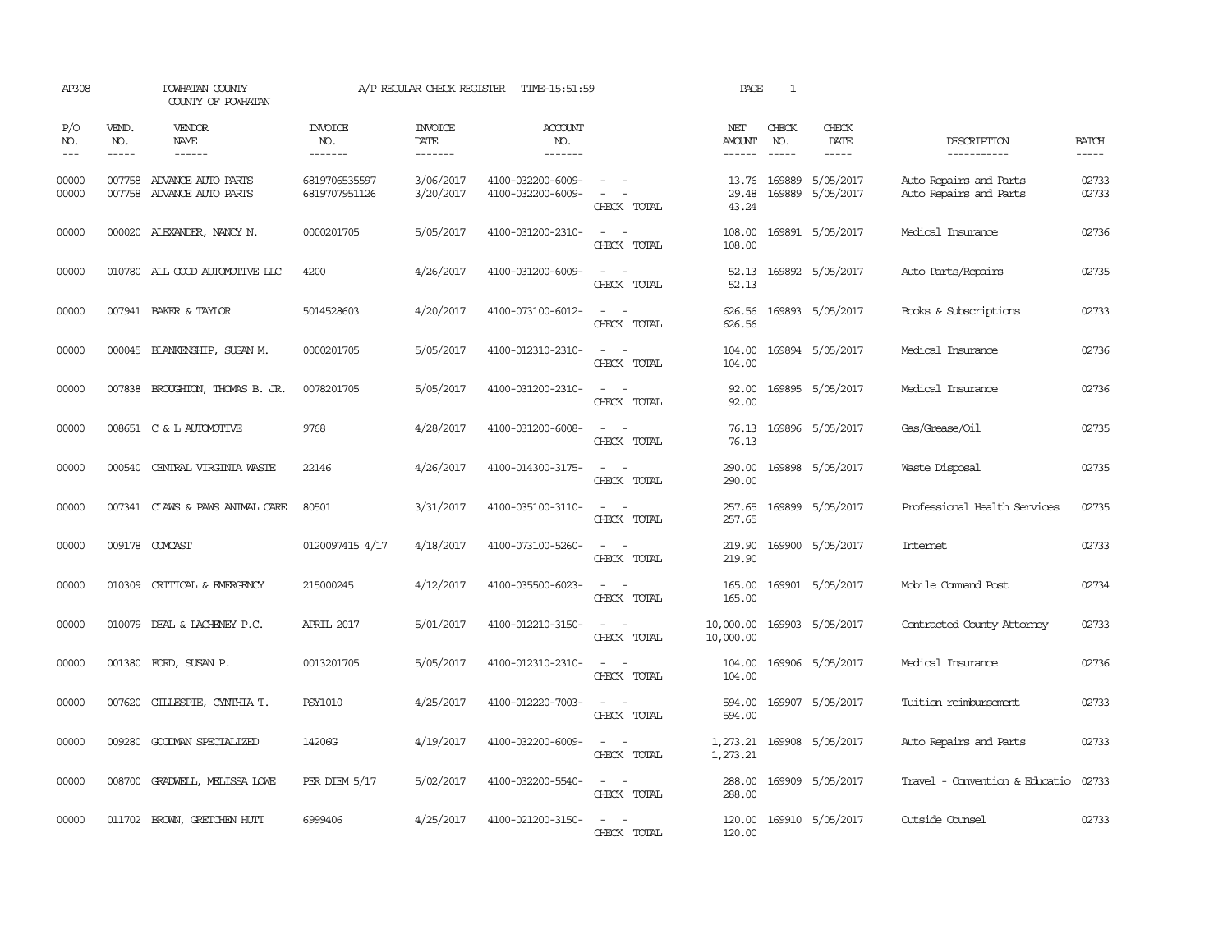| AP308                       |                             | POWHATAN COUNTY<br>COUNTY OF POWHATAN                  |                                  | A/P REGULAR CHECK REGISTER        | TIME-15:51:59                          |                                                                                                                             | PAGE                    | 1                           |                              |                                                  |                       |
|-----------------------------|-----------------------------|--------------------------------------------------------|----------------------------------|-----------------------------------|----------------------------------------|-----------------------------------------------------------------------------------------------------------------------------|-------------------------|-----------------------------|------------------------------|--------------------------------------------------|-----------------------|
| P/O<br>NO.<br>$\frac{1}{2}$ | VEND.<br>NO.<br>$- - - - -$ | VENDOR<br>NAME<br>$- - - - - -$                        | <b>INVOICE</b><br>NO.<br>------- | <b>INVOICE</b><br>DATE<br>------- | ACCOUNT<br>NO.<br>-------              |                                                                                                                             | NET<br>AMOUNT<br>------ | CHECK<br>NO.<br>$- - - - -$ | CHECK<br>DATE<br>$- - - - -$ | DESCRIPTION<br>-----------                       | <b>BATCH</b><br>----- |
| 00000<br>00000              |                             | 007758 ADVANCE AUTO PARTS<br>007758 ADVANCE AUTO PARTS | 6819706535597<br>6819707951126   | 3/06/2017<br>3/20/2017            | 4100-032200-6009-<br>4100-032200-6009- | $\sim$ $\sim$<br>$\sim$<br>CHECK TOTAL                                                                                      | 13.76<br>29.48<br>43.24 | 169889<br>169889            | 5/05/2017<br>5/05/2017       | Auto Repairs and Parts<br>Auto Repairs and Parts | 02733<br>02733        |
| 00000                       |                             | 000020 ALEXANDER, NANCY N.                             | 0000201705                       | 5/05/2017                         | 4100-031200-2310-                      | $\equiv$<br>CHECK TOTAL                                                                                                     | 108.00<br>108.00        |                             | 169891 5/05/2017             | Medical Insurance                                | 02736                 |
| 00000                       |                             | 010780 ALL GOOD AUTOMOTTVE LLC                         | 4200                             | 4/26/2017                         | 4100-031200-6009-                      | $\equiv$<br>$\sim$<br>CHECK TOTAL                                                                                           | 52.13<br>52.13          |                             | 169892 5/05/2017             | Auto Parts/Repairs                               | 02735                 |
| 00000                       |                             | 007941 BAKER & TAYLOR                                  | 5014528603                       | 4/20/2017                         | 4100-073100-6012-                      | $\sim$<br>$\sim$<br>CHECK TOTAL                                                                                             | 626.56<br>626.56        |                             | 169893 5/05/2017             | Books & Subscriptions                            | 02733                 |
| 00000                       |                             | 000045 BLANKENSHIP, SUSAN M.                           | 0000201705                       | 5/05/2017                         | 4100-012310-2310-                      | $\equiv$<br>CHECK TOTAL                                                                                                     | 104.00<br>104.00        |                             | 169894 5/05/2017             | Medical Insurance                                | 02736                 |
| 00000                       |                             | 007838 BROUGHTON, THOMAS B. JR.                        | 0078201705                       | 5/05/2017                         | 4100-031200-2310-                      | $\frac{1}{2} \left( \frac{1}{2} \right) \left( \frac{1}{2} \right) = \frac{1}{2} \left( \frac{1}{2} \right)$<br>CHECK TOTAL | 92.00<br>92.00          |                             | 169895 5/05/2017             | Medical Insurance                                | 02736                 |
| 00000                       |                             | 008651 C & L AUTOMOTTVE                                | 9768                             | 4/28/2017                         | 4100-031200-6008-                      | $\equiv$<br>CHECK TOTAL                                                                                                     | 76.13<br>76.13          |                             | 169896 5/05/2017             | Gas/Grease/Oil                                   | 02735                 |
| 00000                       | 000540                      | CENTRAL VIRGINIA WASTE                                 | 22146                            | 4/26/2017                         | 4100-014300-3175-                      | $\sim$<br>CHECK TOTAL                                                                                                       | 290.00<br>290.00        |                             | 169898 5/05/2017             | Waste Disposal                                   | 02735                 |
| 00000                       |                             | 007341 CLAWS & PAWS ANIMAL CARE                        | 80501                            | 3/31/2017                         | 4100-035100-3110-                      | $\equiv$<br>CHECK TOTAL                                                                                                     | 257.65<br>257.65        |                             | 169899 5/05/2017             | Professional Health Services                     | 02735                 |
| 00000                       |                             | 009178 COMCAST                                         | 0120097415 4/17                  | 4/18/2017                         | 4100-073100-5260-                      | $\equiv$<br>$\sim$<br>CHECK TOTAL                                                                                           | 219.90<br>219.90        |                             | 169900 5/05/2017             | Intemet                                          | 02733                 |
| 00000                       |                             | 010309 CRITICAL & EMERGENCY                            | 215000245                        | 4/12/2017                         | 4100-035500-6023-                      | $\sim$<br>$\overline{\phantom{a}}$<br>CHECK TOTAL                                                                           | 165.00<br>165.00        |                             | 169901 5/05/2017             | Mobile Command Post                              | 02734                 |
| 00000                       |                             | 010079 DEAL & LACHENEY P.C.                            | APRIL 2017                       | 5/01/2017                         | 4100-012210-3150-                      | $\sim$<br>$\equiv$<br>CHECK TOTAL                                                                                           | 10,000.00<br>10,000.00  |                             | 169903 5/05/2017             | Contracted County Attorney                       | 02733                 |
| 00000                       |                             | 001380 FORD, SUSAN P.                                  | 0013201705                       | 5/05/2017                         | 4100-012310-2310-                      | $\sim$ $\sim$<br>CHECK TOTAL                                                                                                | 104.00<br>104.00        |                             | 169906 5/05/2017             | Medical Insurance                                | 02736                 |
| 00000                       |                             | 007620 GILLESPIE, CYNIHIA T.                           | <b>PSY1010</b>                   | 4/25/2017                         | 4100-012220-7003-                      | $\sim$<br>$\equiv$<br>CHECK TOTAL                                                                                           | 594.00<br>594.00        |                             | 169907 5/05/2017             | Tuition reimbursement                            | 02733                 |
| 00000                       | 009280                      | GOODMAN SPECIALIZED                                    | 14206G                           | 4/19/2017                         | 4100-032200-6009-                      | $\sim$<br>$\sim$<br>CHECK TOTAL                                                                                             | 1,273.21                |                             | 1,273.21 169908 5/05/2017    | Auto Repairs and Parts                           | 02733                 |
| 00000                       | 008700                      | GRADWELL, MELISSA LOWE                                 | PER DIEM 5/17                    | 5/02/2017                         | 4100-032200-5540-                      | $\equiv$<br>$\sim$<br>CHECK TOTAL                                                                                           | 288.00<br>288.00        |                             | 169909 5/05/2017             | Travel - Convention & Educatio                   | 02733                 |
| 00000                       |                             | 011702 BROWN, GRETCHEN HUTT                            | 6999406                          | 4/25/2017                         | 4100-021200-3150-                      | $\overline{\phantom{a}}$<br>CHECK TOTAL                                                                                     | 120.00<br>120.00        |                             | 169910 5/05/2017             | Outside Counsel                                  | 02733                 |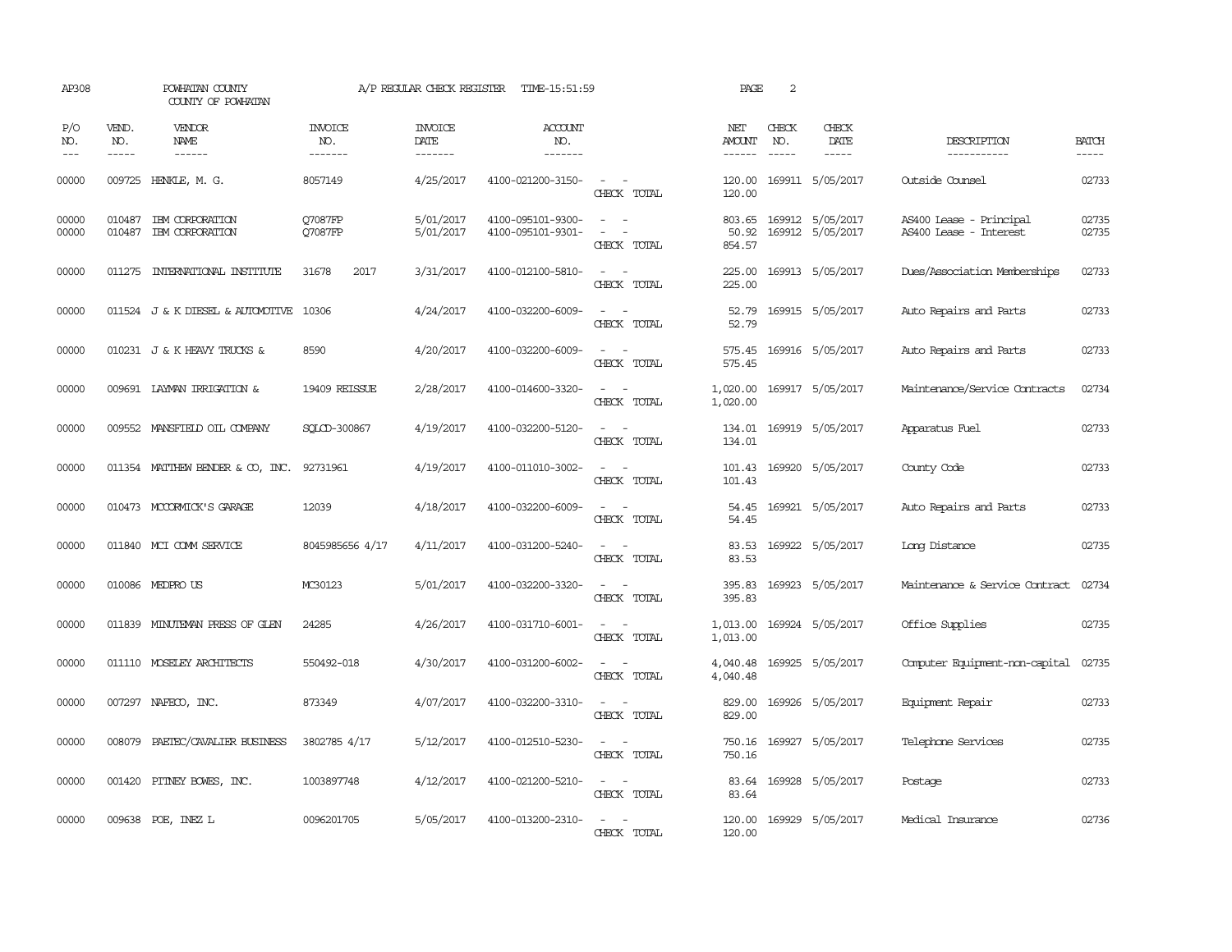| AP308                       |                             | POWHATAN COUNTY<br>COUNTY OF POWHATAN     |                                  | A/P REGULAR CHECK REGISTER        | TIME-15:51:59                          |                                                                                                                             | PAGE                           | 2                           |                                             |                                                   |                       |
|-----------------------------|-----------------------------|-------------------------------------------|----------------------------------|-----------------------------------|----------------------------------------|-----------------------------------------------------------------------------------------------------------------------------|--------------------------------|-----------------------------|---------------------------------------------|---------------------------------------------------|-----------------------|
| P/O<br>NO.<br>$\frac{1}{2}$ | VEND.<br>NO.<br>$- - - - -$ | VENDOR<br>NAME<br>$- - - - - -$           | <b>INVOICE</b><br>NO.<br>------- | <b>INVOICE</b><br>DATE<br>------- | <b>ACCOUNT</b><br>NO.<br>-------       |                                                                                                                             | NET<br>AMOUNT<br>$- - - - - -$ | CHECK<br>NO.<br>$- - - - -$ | CHECK<br>DATE<br>-----                      | DESCRIPTION<br>-----------                        | <b>BATCH</b><br>----- |
| 00000                       |                             | 009725 HENKLE, M. G.                      | 8057149                          | 4/25/2017                         | 4100-021200-3150-                      | $\sim$ 10 $\sim$ $\sim$<br>CHECK TOTAL                                                                                      | 120.00<br>120.00               |                             | 169911 5/05/2017                            | Outside Counsel                                   | 02733                 |
| 00000<br>00000              | 010487                      | 010487 IBM CORPORATION<br>IBM CORPORATION | Q7087FP<br>Q7087FP               | 5/01/2017<br>5/01/2017            | 4100-095101-9300-<br>4100-095101-9301- | $\omega_{\rm{max}}$ and $\omega_{\rm{max}}$<br>$\equiv$<br>$\overline{\phantom{a}}$<br>CHECK TOTAL                          | 50.92<br>854.57                |                             | 803.65 169912 5/05/2017<br>169912 5/05/2017 | AS400 Lease - Principal<br>AS400 Lease - Interest | 02735<br>02735        |
| 00000                       | 011275                      | INIERNATIONAL INSTITUTE                   | 31678<br>2017                    | 3/31/2017                         | 4100-012100-5810-                      | $\overline{\phantom{a}}$<br>$\sim$<br>CHECK TOTAL                                                                           | 225.00<br>225.00               |                             | 169913 5/05/2017                            | Dues/Association Memberships                      | 02733                 |
| 00000                       |                             | 011524 J & K DIESEL & AUTOMOTIVE          | 10306                            | 4/24/2017                         | 4100-032200-6009-                      | CHECK TOTAL                                                                                                                 | 52.79<br>52.79                 |                             | 169915 5/05/2017                            | Auto Repairs and Parts                            | 02733                 |
| 00000                       |                             | 010231 J & K HEAVY TRUCKS &               | 8590                             | 4/20/2017                         | 4100-032200-6009-                      | $\frac{1}{2} \left( \frac{1}{2} \right) \left( \frac{1}{2} \right) = \frac{1}{2} \left( \frac{1}{2} \right)$<br>CHECK TOTAL | 575.45<br>575.45               |                             | 169916 5/05/2017                            | Auto Repairs and Parts                            | 02733                 |
| 00000                       |                             | 009691 LAYMAN IRRIGATION &                | 19409 REISSUE                    | 2/28/2017                         | 4100-014600-3320-                      | $ -$<br>CHECK TOTAL                                                                                                         | 1,020.00<br>1,020.00           |                             | 169917 5/05/2017                            | Maintenance/Service Contracts                     | 02734                 |
| 00000                       |                             | 009552 MANSFIELD OIL COMPANY              | SOLCD-300867                     | 4/19/2017                         | 4100-032200-5120-                      | CHECK TOTAL                                                                                                                 | 134.01<br>134.01               |                             | 169919 5/05/2017                            | Apparatus Fuel                                    | 02733                 |
| 00000                       |                             | 011354 MATTHEW BENDER & CO, INC.          | 92731961                         | 4/19/2017                         | 4100-011010-3002-                      | CHECK TOTAL                                                                                                                 | 101.43<br>101.43               |                             | 169920 5/05/2017                            | County Code                                       | 02733                 |
| 00000                       |                             | 010473 MCCORMICK'S GARAGE                 | 12039                            | 4/18/2017                         | 4100-032200-6009-                      | CHECK TOTAL                                                                                                                 | 54.45<br>54.45                 |                             | 169921 5/05/2017                            | Auto Repairs and Parts                            | 02733                 |
| 00000                       |                             | 011840 MCI COMM SERVICE                   | 8045985656 4/17                  | 4/11/2017                         | 4100-031200-5240-                      | $\sim$<br>$\sim$<br>CHECK TOTAL                                                                                             | 83.53<br>83.53                 |                             | 169922 5/05/2017                            | Long Distance                                     | 02735                 |
| 00000                       |                             | 010086 MEDPRO US                          | MC30123                          | 5/01/2017                         | 4100-032200-3320-                      | $ -$<br>CHECK TOTAL                                                                                                         | 395.83<br>395.83               |                             | 169923 5/05/2017                            | Maintenance & Service Contract                    | 02734                 |
| 00000                       |                             | 011839 MINUTEMAN PRESS OF GLEN            | 24285                            | 4/26/2017                         | 4100-031710-6001-                      | $\sim$ $\sim$<br>CHECK TOTAL                                                                                                | 1,013.00<br>1,013.00           |                             | 169924 5/05/2017                            | Office Supplies                                   | 02735                 |
| 00000                       |                             | 011110 MOSELEY ARCHITECTS                 | 550492-018                       | 4/30/2017                         | 4100-031200-6002-                      | $\frac{1}{2} \left( \frac{1}{2} \right) \left( \frac{1}{2} \right) = \frac{1}{2} \left( \frac{1}{2} \right)$<br>CHECK TOTAL | 4,040.48<br>4,040.48           |                             | 169925 5/05/2017                            | Computer Equipment-non-capital                    | 02735                 |
| 00000                       |                             | 007297 NAFECO, INC.                       | 873349                           | 4/07/2017                         | 4100-032200-3310-                      | $\overline{\phantom{a}}$<br>$\sim$<br>CHECK TOTAL                                                                           | 829.00<br>829.00               |                             | 169926 5/05/2017                            | Equipment Repair                                  | 02733                 |
| 00000                       | 008079                      | PAETEC/CAVALIER BUSINESS                  | 3802785 4/17                     | 5/12/2017                         | 4100-012510-5230-                      | $\sim$<br>CHECK TOTAL                                                                                                       | 750.16<br>750.16               |                             | 169927 5/05/2017                            | Telephone Services                                | 02735                 |
| 00000                       |                             | 001420 PITNEY BOWES, INC.                 | 1003897748                       | 4/12/2017                         | 4100-021200-5210-                      | $\sim$ 100 $\sim$ 100 $\sim$<br>CHECK TOTAL                                                                                 | 83.64                          |                             | 83.64 169928 5/05/2017                      | Postage                                           | 02733                 |
| 00000                       |                             | 009638 POE, INEZ L                        | 0096201705                       | 5/05/2017                         | 4100-013200-2310-                      | $\frac{1}{2} \left( \frac{1}{2} \right) \left( \frac{1}{2} \right) = \frac{1}{2} \left( \frac{1}{2} \right)$<br>CHECK TOTAL | 120.00<br>120.00               |                             | 169929 5/05/2017                            | Medical Insurance                                 | 02736                 |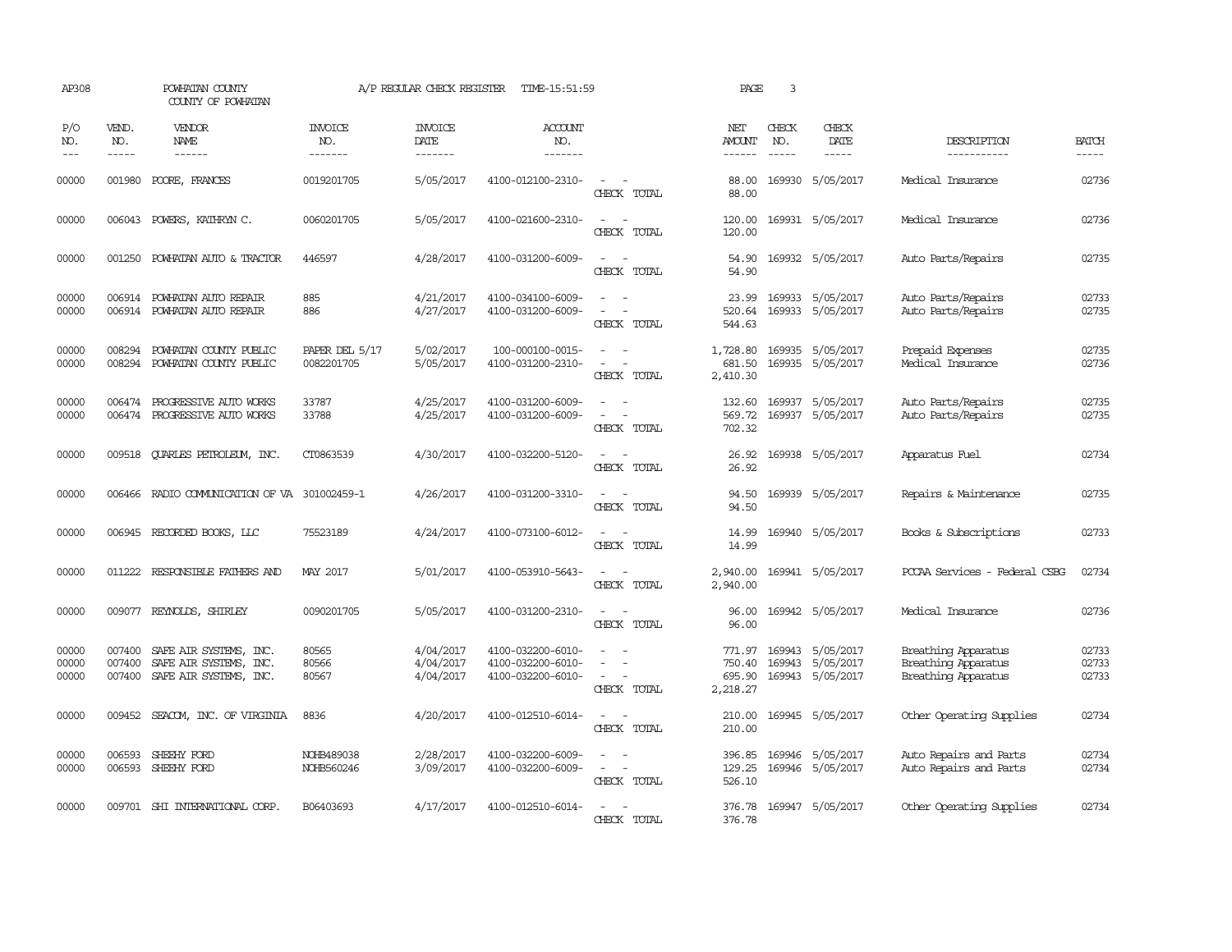| AP308                   |                             | POWHATAN COUNTY<br>COUNTY OF POWHATAN                                             |                                  | A/P REGULAR CHECK REGISTER          | TIME-15:51:59                                               |                                                                                                                                               | PAGE                                   | 3                           |                                                          |                                                                          |                         |
|-------------------------|-----------------------------|-----------------------------------------------------------------------------------|----------------------------------|-------------------------------------|-------------------------------------------------------------|-----------------------------------------------------------------------------------------------------------------------------------------------|----------------------------------------|-----------------------------|----------------------------------------------------------|--------------------------------------------------------------------------|-------------------------|
| P/O<br>NO.<br>$---$     | VEND.<br>NO.<br>$- - - - -$ | VENDOR<br>NAME                                                                    | <b>INVOICE</b><br>NO.<br>------- | <b>INVOICE</b><br>DATE<br>-------   | <b>ACCOUNT</b><br>NO.<br>-------                            |                                                                                                                                               | NET<br>AMOUNT<br>------                | CHECK<br>NO.<br>$- - - - -$ | CHECK<br>DATE                                            | DESCRIPTION<br>-----------                                               | <b>BATCH</b>            |
| 00000                   | 001980                      | POORE, FRANCES                                                                    | 0019201705                       | 5/05/2017                           | 4100-012100-2310-                                           | $\sim$<br>CHECK TOTAL                                                                                                                         | 88.00<br>88.00                         |                             | 169930 5/05/2017                                         | Medical Insurance                                                        | 02736                   |
| 00000                   | 006043                      | POWERS, KATHRYN C.                                                                | 0060201705                       | 5/05/2017                           | 4100-021600-2310-                                           | $\equiv$<br>CHECK TOTAL                                                                                                                       | 120.00<br>120.00                       |                             | 169931 5/05/2017                                         | Medical Insurance                                                        | 02736                   |
| 00000                   | 001250                      | POWHATAN AUTO & TRACTOR                                                           | 446597                           | 4/28/2017                           | 4100-031200-6009-                                           | $\sim$<br>CHECK TOTAL                                                                                                                         | 54.90<br>54.90                         |                             | 169932 5/05/2017                                         | Auto Parts/Repairs                                                       | 02735                   |
| 00000<br>00000          |                             | 006914 POWHATAN AUTO REPAIR<br>006914 POWHATAN AUTO REPAIR                        | 885<br>886                       | 4/21/2017<br>4/27/2017              | 4100-034100-6009-<br>4100-031200-6009-                      | $\sim$ $ \sim$<br>$\frac{1}{2} \left( \frac{1}{2} \right) \left( \frac{1}{2} \right) = \frac{1}{2} \left( \frac{1}{2} \right)$<br>CHECK TOTAL | 23.99<br>544.63                        |                             | 169933 5/05/2017<br>520.64 169933 5/05/2017              | Auto Parts/Repairs<br>Auto Parts/Repairs                                 | 02733<br>02735          |
| 00000<br>00000          | 008294<br>008294            | POWHATAN COUNTY PUBLIC<br>POWHATAN COUNTY PUBLIC                                  | PAPER DEL 5/17<br>0082201705     | 5/02/2017<br>5/05/2017              | 100-000100-0015-<br>4100-031200-2310-                       | $\sim$<br>$\overline{\phantom{a}}$<br>CHECK TOTAL                                                                                             | 1,728.80<br>681.50<br>2,410.30         |                             | 169935 5/05/2017<br>169935 5/05/2017                     | Prepaid Expenses<br>Medical Insurance                                    | 02735<br>02736          |
| 00000<br>00000          | 006474                      | PROGRESSIVE AUTO WORKS<br>006474 PROGRESSIVE AUTO WORKS                           | 33787<br>33788                   | 4/25/2017<br>4/25/2017              | 4100-031200-6009-<br>4100-031200-6009-                      | $\equiv$<br>$\equiv$<br>$\overline{\phantom{a}}$<br>CHECK TOTAL                                                                               | 132.60<br>569.72<br>702.32             |                             | 169937 5/05/2017<br>169937 5/05/2017                     | Auto Parts/Repairs<br>Auto Parts/Repairs                                 | 02735<br>02735          |
| 00000                   |                             | 009518 CUARLES PETROLEUM, INC.                                                    | CT0863539                        | 4/30/2017                           | 4100-032200-5120-                                           | $\frac{1}{2} \left( \frac{1}{2} \right) \left( \frac{1}{2} \right) = \frac{1}{2} \left( \frac{1}{2} \right)$<br>CHRCK TOTAL                   | 26.92<br>26.92                         |                             | 169938 5/05/2017                                         | Apparatus Fuel                                                           | 02734                   |
| 00000                   |                             | 006466 RADIO COMMUNICATION OF VA 301002459-1                                      |                                  | 4/26/2017                           | 4100-031200-3310-                                           | $\sim$ $ \sim$<br>CHECK TOTAL                                                                                                                 | 94.50<br>94.50                         |                             | 169939 5/05/2017                                         | Repairs & Maintenance                                                    | 02735                   |
| 00000                   |                             | 006945 RECORDED BOOKS, LLC                                                        | 75523189                         | 4/24/2017                           | 4100-073100-6012-                                           | $\sim$ $ \sim$<br>CHECK TOTAL                                                                                                                 | 14.99<br>14.99                         |                             | 169940 5/05/2017                                         | Books & Subscriptions                                                    | 02733                   |
| 00000                   |                             | 011222 RESPONSIBLE FAIHERS AND                                                    | <b>MAY 2017</b>                  | 5/01/2017                           | 4100-053910-5643-                                           | $\sim$ $ \sim$<br>CHECK TOTAL                                                                                                                 | 2,940.00<br>2,940.00                   |                             | 169941 5/05/2017                                         | PCCAA Services - Federal CSBG                                            | 02734                   |
| 00000                   |                             | 009077 REYNOLDS, SHIRLEY                                                          | 0090201705                       | 5/05/2017                           | 4100-031200-2310-                                           | $\sim$ $\sim$<br>CHECK TOTAL                                                                                                                  | 96.00<br>96.00                         |                             | 169942 5/05/2017                                         | Medical Insurance                                                        | 02736                   |
| 00000<br>00000<br>00000 | 007400<br>007400            | SAFE AIR SYSTEMS, INC.<br>SAFE AIR SYSTEMS, INC.<br>007400 SAFE AIR SYSTEMS, INC. | 80565<br>80566<br>80567          | 4/04/2017<br>4/04/2017<br>4/04/2017 | 4100-032200-6010-<br>4100-032200-6010-<br>4100-032200-6010- | $\sim$<br>CHECK TOTAL                                                                                                                         | 771.97<br>750.40<br>695.90<br>2,218.27 |                             | 169943 5/05/2017<br>169943 5/05/2017<br>169943 5/05/2017 | Breathing Apparatus<br><b>Breathing Apparatus</b><br>Breathing Apparatus | 02733<br>02733<br>02733 |
| 00000                   |                             | 009452 SEACOM, INC. OF VIRGINIA                                                   | 8836                             | 4/20/2017                           | 4100-012510-6014-                                           | CHECK TOTAL                                                                                                                                   | 210.00<br>210.00                       |                             | 169945 5/05/2017                                         | Other Operating Supplies                                                 | 02734                   |
| 00000<br>00000          | 006593                      | SHEEHY FORD<br>006593 SHEEHY FORD                                                 | NOHB489038<br>NOHB560246         | 2/28/2017<br>3/09/2017              | 4100-032200-6009-<br>4100-032200-6009-                      | $\sim$<br>$\omega_{\rm{max}}$ and $\omega_{\rm{max}}$<br>CHECK TOTAL                                                                          | 396.85<br>129.25<br>526.10             |                             | 169946 5/05/2017<br>169946 5/05/2017                     | Auto Repairs and Parts<br>Auto Repairs and Parts                         | 02734<br>02734          |
| 00000                   |                             | 009701 SHI INTERNATIONAL CORP.                                                    | B06403693                        | 4/17/2017                           | 4100-012510-6014-                                           | $\sim$<br>CHECK TOTAL                                                                                                                         | 376.78                                 |                             | 376.78 169947 5/05/2017                                  | Other Operating Supplies                                                 | 02734                   |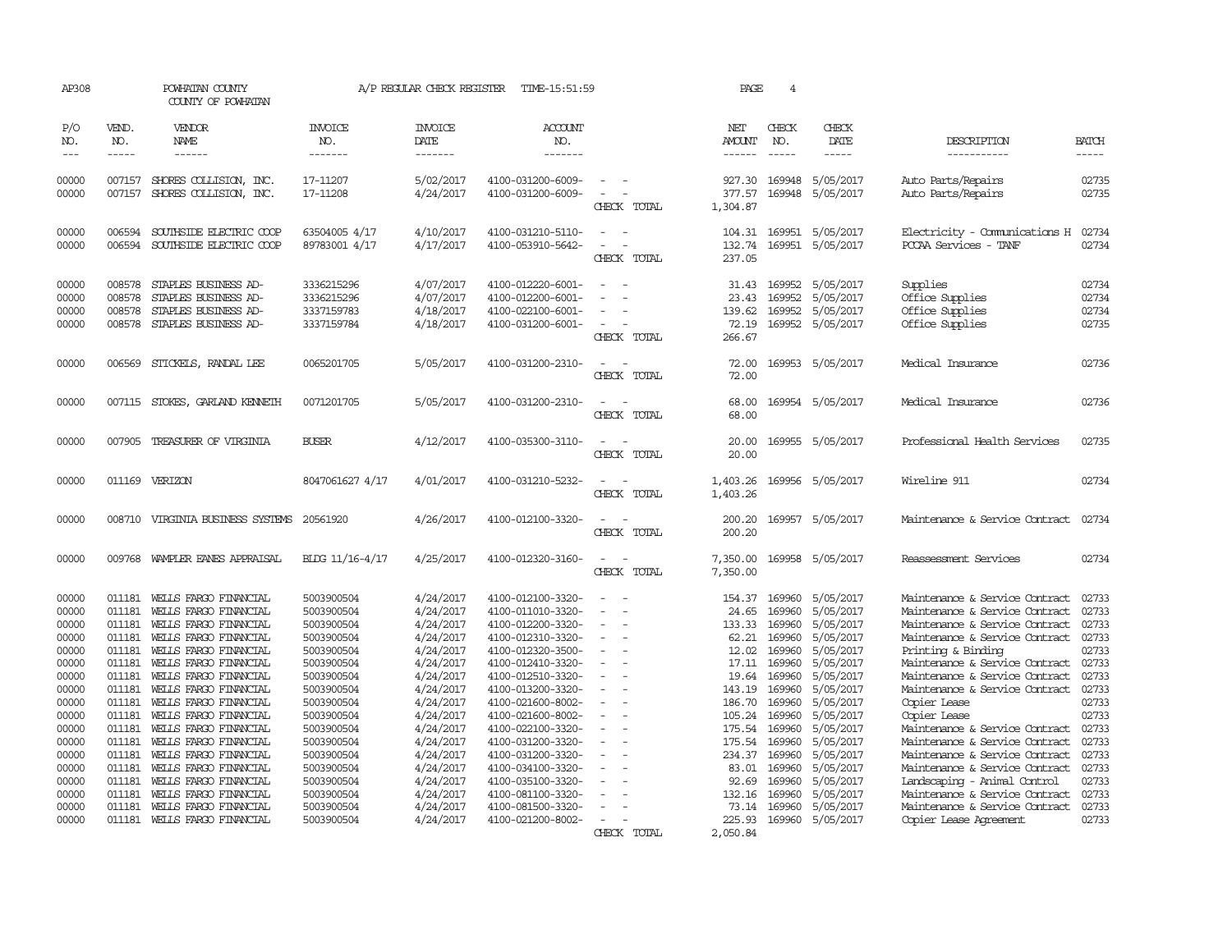| AP308                                                                                                                                                 |                                                                                                                                                                        | POWHATAN COUNTY<br>COUNTY OF POWHATAN                                                                                                                                                                                                                                                                                                                                                                                                 |                                                                                                                                                                                                                                            | A/P REGULAR CHECK REGISTER                                                                                                                                                                                                | TIME-15:51:59                                                                                                                                                                                                                                                                                                                                                     |                                                   | PAGE                                                                                                                                                  | $\overline{4}$                                                                                                                                                               |                                                                                                                                                                                                                           |                                                                                                                                                                                                                                                                                                                                                                                                                                                                                                                                              |                                                                                                                                                       |
|-------------------------------------------------------------------------------------------------------------------------------------------------------|------------------------------------------------------------------------------------------------------------------------------------------------------------------------|---------------------------------------------------------------------------------------------------------------------------------------------------------------------------------------------------------------------------------------------------------------------------------------------------------------------------------------------------------------------------------------------------------------------------------------|--------------------------------------------------------------------------------------------------------------------------------------------------------------------------------------------------------------------------------------------|---------------------------------------------------------------------------------------------------------------------------------------------------------------------------------------------------------------------------|-------------------------------------------------------------------------------------------------------------------------------------------------------------------------------------------------------------------------------------------------------------------------------------------------------------------------------------------------------------------|---------------------------------------------------|-------------------------------------------------------------------------------------------------------------------------------------------------------|------------------------------------------------------------------------------------------------------------------------------------------------------------------------------|---------------------------------------------------------------------------------------------------------------------------------------------------------------------------------------------------------------------------|----------------------------------------------------------------------------------------------------------------------------------------------------------------------------------------------------------------------------------------------------------------------------------------------------------------------------------------------------------------------------------------------------------------------------------------------------------------------------------------------------------------------------------------------|-------------------------------------------------------------------------------------------------------------------------------------------------------|
| P/O<br>NO.<br>$\frac{1}{2}$                                                                                                                           | VEND.<br>NO.<br>$- - - - -$                                                                                                                                            | VENDOR<br><b>NAME</b><br>------                                                                                                                                                                                                                                                                                                                                                                                                       | <b>INVOICE</b><br>NO.<br>-------                                                                                                                                                                                                           | <b>INVOICE</b><br>DATE<br>-------                                                                                                                                                                                         | <b>ACCOUNT</b><br>NO.<br>-------                                                                                                                                                                                                                                                                                                                                  |                                                   | NET<br>AMOUNT<br>------                                                                                                                               | CHECK<br>NO.<br>$\frac{1}{2}$                                                                                                                                                | CHECK<br>DATE<br>$- - - - -$                                                                                                                                                                                              | DESCRIPTION<br>-----------                                                                                                                                                                                                                                                                                                                                                                                                                                                                                                                   | <b>BATCH</b><br>-----                                                                                                                                 |
| 00000<br>00000                                                                                                                                        | 007157<br>007157                                                                                                                                                       | SHORES COLLISION, INC.<br>SHORES COLLISION, INC.                                                                                                                                                                                                                                                                                                                                                                                      | 17-11207<br>17-11208                                                                                                                                                                                                                       | 5/02/2017<br>4/24/2017                                                                                                                                                                                                    | 4100-031200-6009-<br>4100-031200-6009-                                                                                                                                                                                                                                                                                                                            | $\sim$<br>$\overline{\phantom{a}}$<br>CHECK TOTAL | 927.30<br>377.57<br>1,304.87                                                                                                                          | 169948<br>169948                                                                                                                                                             | 5/05/2017<br>5/05/2017                                                                                                                                                                                                    | Auto Parts/Repairs<br>Auto Parts/Repairs                                                                                                                                                                                                                                                                                                                                                                                                                                                                                                     | 02735<br>02735                                                                                                                                        |
| 00000<br>00000                                                                                                                                        | 006594<br>006594                                                                                                                                                       | SOUTHSIDE ELECTRIC COOP<br>SOUTHSIDE ELECTRIC COOP                                                                                                                                                                                                                                                                                                                                                                                    | 63504005 4/17<br>89783001 4/17                                                                                                                                                                                                             | 4/10/2017<br>4/17/2017                                                                                                                                                                                                    | 4100-031210-5110-<br>4100-053910-5642-                                                                                                                                                                                                                                                                                                                            | CHECK TOTAL                                       | 104.31<br>132.74<br>237.05                                                                                                                            | 169951                                                                                                                                                                       | 5/05/2017<br>169951 5/05/2017                                                                                                                                                                                             | Electricity - Comunications H<br>PCCAA Services - TANF                                                                                                                                                                                                                                                                                                                                                                                                                                                                                       | 02734<br>02734                                                                                                                                        |
| 00000<br>00000<br>00000<br>00000                                                                                                                      | 008578<br>008578<br>008578<br>008578                                                                                                                                   | STAPLES BUSINESS AD-<br>STAPLES BUSINESS AD-<br>STAPLES BUSINESS AD-<br>STAPLES BUSINESS AD-                                                                                                                                                                                                                                                                                                                                          | 3336215296<br>3336215296<br>3337159783<br>3337159784                                                                                                                                                                                       | 4/07/2017<br>4/07/2017<br>4/18/2017<br>4/18/2017                                                                                                                                                                          | 4100-012220-6001-<br>4100-012200-6001-<br>4100-022100-6001-<br>4100-031200-6001-                                                                                                                                                                                                                                                                                  | $\overline{\phantom{a}}$<br>CHECK TOTAL           | 31.43<br>23.43<br>139.62<br>72.19<br>266.67                                                                                                           | 169952                                                                                                                                                                       | 169952 5/05/2017<br>5/05/2017<br>169952 5/05/2017<br>169952 5/05/2017                                                                                                                                                     | Supplies<br>Office Supplies<br>Office Supplies<br>Office Supplies                                                                                                                                                                                                                                                                                                                                                                                                                                                                            | 02734<br>02734<br>02734<br>02735                                                                                                                      |
| 00000                                                                                                                                                 | 006569                                                                                                                                                                 | STICKELS, RANDAL LEE                                                                                                                                                                                                                                                                                                                                                                                                                  | 0065201705                                                                                                                                                                                                                                 | 5/05/2017                                                                                                                                                                                                                 | 4100-031200-2310-                                                                                                                                                                                                                                                                                                                                                 | $\overline{\phantom{a}}$<br>CHECK TOTAL           | 72.00<br>72.00                                                                                                                                        |                                                                                                                                                                              | 169953 5/05/2017                                                                                                                                                                                                          | Medical Insurance                                                                                                                                                                                                                                                                                                                                                                                                                                                                                                                            | 02736                                                                                                                                                 |
| 00000                                                                                                                                                 |                                                                                                                                                                        | 007115 STOKES, GARLAND KENNETH                                                                                                                                                                                                                                                                                                                                                                                                        | 0071201705                                                                                                                                                                                                                                 | 5/05/2017                                                                                                                                                                                                                 | 4100-031200-2310-                                                                                                                                                                                                                                                                                                                                                 | CHECK TOTAL                                       | 68.00<br>68.00                                                                                                                                        |                                                                                                                                                                              | 169954 5/05/2017                                                                                                                                                                                                          | Medical Insurance                                                                                                                                                                                                                                                                                                                                                                                                                                                                                                                            | 02736                                                                                                                                                 |
| 00000                                                                                                                                                 |                                                                                                                                                                        | 007905 TREASURER OF VIRGINIA                                                                                                                                                                                                                                                                                                                                                                                                          | <b>BUSER</b>                                                                                                                                                                                                                               | 4/12/2017                                                                                                                                                                                                                 | 4100-035300-3110-                                                                                                                                                                                                                                                                                                                                                 | CHECK TOTAL                                       | 20.00<br>20.00                                                                                                                                        |                                                                                                                                                                              | 169955 5/05/2017                                                                                                                                                                                                          | Professional Health Services                                                                                                                                                                                                                                                                                                                                                                                                                                                                                                                 | 02735                                                                                                                                                 |
| 00000                                                                                                                                                 |                                                                                                                                                                        | 011169 VERIZON                                                                                                                                                                                                                                                                                                                                                                                                                        | 8047061627 4/17                                                                                                                                                                                                                            | 4/01/2017                                                                                                                                                                                                                 | 4100-031210-5232-                                                                                                                                                                                                                                                                                                                                                 | $\sim$<br>CHECK TOTAL                             | 1,403.26<br>1,403.26                                                                                                                                  |                                                                                                                                                                              | 169956 5/05/2017                                                                                                                                                                                                          | Wireline 911                                                                                                                                                                                                                                                                                                                                                                                                                                                                                                                                 | 02734                                                                                                                                                 |
| 00000                                                                                                                                                 |                                                                                                                                                                        | 008710 VIRGINIA BUSINESS SYSTEMS                                                                                                                                                                                                                                                                                                                                                                                                      | 20561920                                                                                                                                                                                                                                   | 4/26/2017                                                                                                                                                                                                                 | 4100-012100-3320-                                                                                                                                                                                                                                                                                                                                                 | $\sim$<br>CHECK TOTAL                             | 200.20<br>200.20                                                                                                                                      |                                                                                                                                                                              | 169957 5/05/2017                                                                                                                                                                                                          | Maintenance & Service Contract                                                                                                                                                                                                                                                                                                                                                                                                                                                                                                               | 02734                                                                                                                                                 |
| 00000                                                                                                                                                 |                                                                                                                                                                        | 009768 WAMPLER EANES APPRAISAL                                                                                                                                                                                                                                                                                                                                                                                                        | BLDG 11/16-4/17                                                                                                                                                                                                                            | 4/25/2017                                                                                                                                                                                                                 | 4100-012320-3160-                                                                                                                                                                                                                                                                                                                                                 | CHECK TOTAL                                       | 7,350.00<br>7,350.00                                                                                                                                  |                                                                                                                                                                              | 169958 5/05/2017                                                                                                                                                                                                          | Reassessment Services                                                                                                                                                                                                                                                                                                                                                                                                                                                                                                                        | 02734                                                                                                                                                 |
| 00000<br>00000<br>00000<br>00000<br>00000<br>00000<br>00000<br>00000<br>00000<br>00000<br>00000<br>00000<br>00000<br>00000<br>00000<br>00000<br>00000 | 011181<br>011181<br>011181<br>011181<br>011181<br>011181<br>011181<br>011181<br>011181<br>011181<br>011181<br>011181<br>011181<br>011181<br>011181<br>011181<br>011181 | WEILS FARGO FINANCIAL<br>WELLS FARGO FINANCIAL<br>WEILS FARGO FINANCIAL<br>WELLS FARGO FINANCIAL<br>WELLS FARGO FINANCIAL<br>WELLS FARGO FINANCIAL<br>WEILS FARGO FINANCIAL<br>WEILS FARGO FINANCIAL<br>WEILS FARGO FINANCIAL<br>WELLS FARGO FINANCIAL<br>WELLS FARGO FINANCIAL<br>WELLS FARGO FINANCIAL<br>WELLS FARGO FINANCIAL<br>WEILS FARGO FINANCIAL<br>WELLS FARGO FINANCIAL<br>WELLS FARGO FINANCIAL<br>WELLS FARGO FINANCIAL | 5003900504<br>5003900504<br>5003900504<br>5003900504<br>5003900504<br>5003900504<br>5003900504<br>5003900504<br>5003900504<br>5003900504<br>5003900504<br>5003900504<br>5003900504<br>5003900504<br>5003900504<br>5003900504<br>5003900504 | 4/24/2017<br>4/24/2017<br>4/24/2017<br>4/24/2017<br>4/24/2017<br>4/24/2017<br>4/24/2017<br>4/24/2017<br>4/24/2017<br>4/24/2017<br>4/24/2017<br>4/24/2017<br>4/24/2017<br>4/24/2017<br>4/24/2017<br>4/24/2017<br>4/24/2017 | 4100-012100-3320-<br>4100-011010-3320-<br>4100-012200-3320-<br>4100-012310-3320-<br>4100-012320-3500-<br>4100-012410-3320-<br>4100-012510-3320-<br>4100-013200-3320-<br>4100-021600-8002-<br>4100-021600-8002-<br>4100-022100-3320-<br>4100-031200-3320-<br>4100-031200-3320-<br>4100-034100-3320-<br>4100-035100-3320-<br>4100-081100-3320-<br>4100-081500-3320- | $\equiv$<br>$\overline{\phantom{a}}$<br>$\equiv$  | 154.37<br>24.65<br>133.33<br>62.21<br>12.02<br>17.11<br>19.64<br>143.19<br>186.70<br>105.24<br>175.54<br>175.54<br>234.37<br>83.01<br>92.69<br>132.16 | 169960<br>169960<br>169960<br>169960<br>169960<br>169960<br>169960<br>169960<br>169960<br>169960<br>169960<br>169960<br>169960<br>169960<br>169960<br>169960<br>73.14 169960 | 5/05/2017<br>5/05/2017<br>5/05/2017<br>5/05/2017<br>5/05/2017<br>5/05/2017<br>5/05/2017<br>5/05/2017<br>5/05/2017<br>5/05/2017<br>5/05/2017<br>5/05/2017<br>5/05/2017<br>5/05/2017<br>5/05/2017<br>5/05/2017<br>5/05/2017 | Maintenance & Service Contract<br>Maintenance & Service Contract<br>Maintenance & Service Contract<br>Maintenance & Service Contract<br>Printing & Binding<br>Maintenance & Service Contract<br>Maintenance & Service Contract<br>Maintenance & Service Contract<br>Copier Lease<br>Copier Lease<br>Maintenance & Service Contract<br>Maintenance & Service Contract<br>Maintenance & Service Contract<br>Maintenance & Service Contract<br>Landscaping - Animal Control<br>Maintenance & Service Contract<br>Maintenance & Service Contract | 02733<br>02733<br>02733<br>02733<br>02733<br>02733<br>02733<br>02733<br>02733<br>02733<br>02733<br>02733<br>02733<br>02733<br>02733<br>02733<br>02733 |
| 00000                                                                                                                                                 |                                                                                                                                                                        | 011181 WELLS FARGO FINANCIAL                                                                                                                                                                                                                                                                                                                                                                                                          | 5003900504                                                                                                                                                                                                                                 | 4/24/2017                                                                                                                                                                                                                 | 4100-021200-8002-                                                                                                                                                                                                                                                                                                                                                 | $\sim$<br>CHECK TOTAL                             | 225.93<br>2,050.84                                                                                                                                    | 169960                                                                                                                                                                       | 5/05/2017                                                                                                                                                                                                                 | <b>Copier Lease Agreement</b>                                                                                                                                                                                                                                                                                                                                                                                                                                                                                                                | 02733                                                                                                                                                 |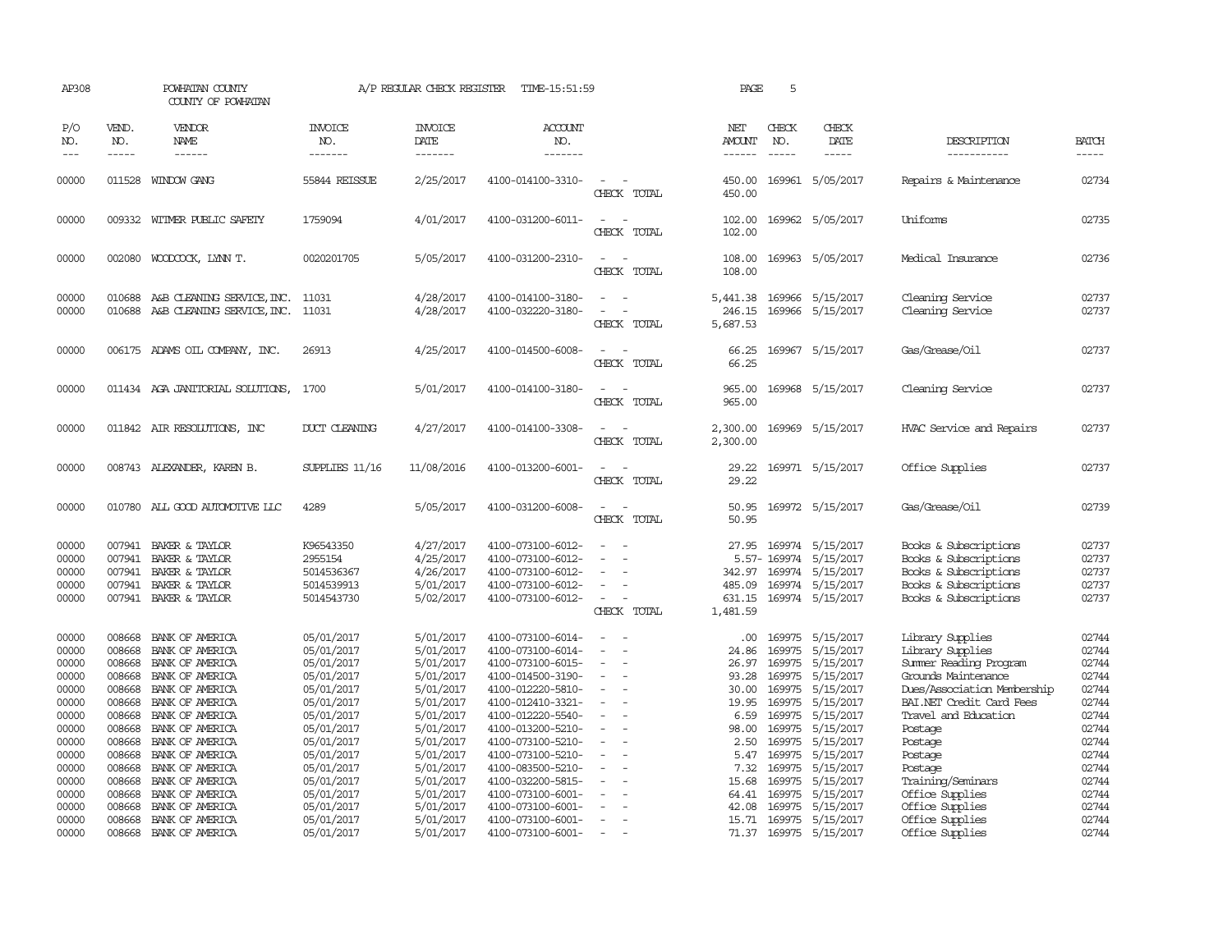| AP308                                                                                                                      |                                                                                                                                          | POWHATAN COUNTY<br>COUNTY OF POWHATAN                                                                                                                                                                                                                                  |                                                                                                                                                                                                  | A/P REGULAR CHECK REGISTER                                                                                                                                                         | TIME-15:51:59                                                                                                                                                                                                                                                                                      |                                                    | PAGE                                                                                                                  | 5                                                                                                                                        |                                                                                                                                                                                    |                                                                                                                                                                                                                                                                                 |                                                                                                                                     |
|----------------------------------------------------------------------------------------------------------------------------|------------------------------------------------------------------------------------------------------------------------------------------|------------------------------------------------------------------------------------------------------------------------------------------------------------------------------------------------------------------------------------------------------------------------|--------------------------------------------------------------------------------------------------------------------------------------------------------------------------------------------------|------------------------------------------------------------------------------------------------------------------------------------------------------------------------------------|----------------------------------------------------------------------------------------------------------------------------------------------------------------------------------------------------------------------------------------------------------------------------------------------------|----------------------------------------------------|-----------------------------------------------------------------------------------------------------------------------|------------------------------------------------------------------------------------------------------------------------------------------|------------------------------------------------------------------------------------------------------------------------------------------------------------------------------------|---------------------------------------------------------------------------------------------------------------------------------------------------------------------------------------------------------------------------------------------------------------------------------|-------------------------------------------------------------------------------------------------------------------------------------|
| P/O<br>NO.<br>$---$                                                                                                        | VEND.<br>NO.<br>$- - - - -$                                                                                                              | VENDOR<br>NAME<br>------                                                                                                                                                                                                                                               | <b>INVOICE</b><br>NO.<br>-------                                                                                                                                                                 | <b>INVOICE</b><br>DATE<br>-------                                                                                                                                                  | ACCOUNT<br>NO.<br>-------                                                                                                                                                                                                                                                                          |                                                    | NET<br>AMOUNT<br>------                                                                                               | CHECK<br>NO.<br>$- - - - -$                                                                                                              | CHECK<br>DATE<br>$- - - - -$                                                                                                                                                       | DESCRIPTION<br>-----------                                                                                                                                                                                                                                                      | <b>BATCH</b><br>-----                                                                                                               |
| 00000                                                                                                                      |                                                                                                                                          | 011528 WINDOW GANG                                                                                                                                                                                                                                                     | 55844 REISSUE                                                                                                                                                                                    | 2/25/2017                                                                                                                                                                          | 4100-014100-3310-                                                                                                                                                                                                                                                                                  | $\overline{\phantom{a}}$<br>CHECK TOTAL            | 450.00<br>450.00                                                                                                      |                                                                                                                                          | 169961 5/05/2017                                                                                                                                                                   | Repairs & Maintenance                                                                                                                                                                                                                                                           | 02734                                                                                                                               |
| 00000                                                                                                                      |                                                                                                                                          | 009332 WITMER PUBLIC SAFETY                                                                                                                                                                                                                                            | 1759094                                                                                                                                                                                          | 4/01/2017                                                                                                                                                                          | 4100-031200-6011-                                                                                                                                                                                                                                                                                  | $\sim$<br>CHECK TOTAL                              | 102.00<br>102.00                                                                                                      |                                                                                                                                          | 169962 5/05/2017                                                                                                                                                                   | Uniforms                                                                                                                                                                                                                                                                        | 02735                                                                                                                               |
| 00000                                                                                                                      |                                                                                                                                          | 002080 WOODCOCK, LYNN T.                                                                                                                                                                                                                                               | 0020201705                                                                                                                                                                                       | 5/05/2017                                                                                                                                                                          | 4100-031200-2310-                                                                                                                                                                                                                                                                                  | $\sim$<br>CHECK TOTAL                              | 108.00<br>108.00                                                                                                      |                                                                                                                                          | 169963 5/05/2017                                                                                                                                                                   | Medical Insurance                                                                                                                                                                                                                                                               | 02736                                                                                                                               |
| 00000<br>00000                                                                                                             | 010688                                                                                                                                   | A&B CLEANING SERVICE, INC.<br>010688 A&B CLEANING SERVICE, INC.                                                                                                                                                                                                        | 11031<br>11031                                                                                                                                                                                   | 4/28/2017<br>4/28/2017                                                                                                                                                             | 4100-014100-3180-<br>4100-032220-3180-                                                                                                                                                                                                                                                             | $\sim$<br>CHECK TOTAL                              | 5,441.38<br>246.15<br>5,687.53                                                                                        |                                                                                                                                          | 169966 5/15/2017<br>169966 5/15/2017                                                                                                                                               | Cleaning Service<br>Cleaning Service                                                                                                                                                                                                                                            | 02737<br>02737                                                                                                                      |
| 00000                                                                                                                      |                                                                                                                                          | 006175 ADAMS OIL COMPANY, INC.                                                                                                                                                                                                                                         | 26913                                                                                                                                                                                            | 4/25/2017                                                                                                                                                                          | 4100-014500-6008-                                                                                                                                                                                                                                                                                  | CHECK TOTAL                                        | 66.25<br>66.25                                                                                                        |                                                                                                                                          | 169967 5/15/2017                                                                                                                                                                   | Gas/Grease/Oil                                                                                                                                                                                                                                                                  | 02737                                                                                                                               |
| 00000                                                                                                                      |                                                                                                                                          | 011434 AGA JANITORIAL SOLUTIONS,                                                                                                                                                                                                                                       | 1700                                                                                                                                                                                             | 5/01/2017                                                                                                                                                                          | 4100-014100-3180-                                                                                                                                                                                                                                                                                  | CHECK TOTAL                                        | 965.00<br>965.00                                                                                                      |                                                                                                                                          | 169968 5/15/2017                                                                                                                                                                   | Cleaning Service                                                                                                                                                                                                                                                                | 02737                                                                                                                               |
| 00000                                                                                                                      |                                                                                                                                          | 011842 AIR RESOLUTIONS, INC                                                                                                                                                                                                                                            | DUCT CLEANING                                                                                                                                                                                    | 4/27/2017                                                                                                                                                                          | 4100-014100-3308-                                                                                                                                                                                                                                                                                  | CHECK TOTAL                                        | 2,300.00<br>2,300.00                                                                                                  |                                                                                                                                          | 169969 5/15/2017                                                                                                                                                                   | HVAC Service and Repairs                                                                                                                                                                                                                                                        | 02737                                                                                                                               |
| 00000                                                                                                                      |                                                                                                                                          | 008743 ALEXANDER, KAREN B.                                                                                                                                                                                                                                             | SUPPLIES 11/16                                                                                                                                                                                   | 11/08/2016                                                                                                                                                                         | 4100-013200-6001-                                                                                                                                                                                                                                                                                  | CHECK TOTAL                                        | 29.22<br>29.22                                                                                                        |                                                                                                                                          | 169971 5/15/2017                                                                                                                                                                   | Office Supplies                                                                                                                                                                                                                                                                 | 02737                                                                                                                               |
| 00000                                                                                                                      |                                                                                                                                          | 010780 ALL GOOD AUTOMOTIVE LLC                                                                                                                                                                                                                                         | 4289                                                                                                                                                                                             | 5/05/2017                                                                                                                                                                          | 4100-031200-6008-                                                                                                                                                                                                                                                                                  | $\overline{\phantom{a}}$<br>CHECK TOTAL            | 50.95<br>50.95                                                                                                        |                                                                                                                                          | 169972 5/15/2017                                                                                                                                                                   | Gas/Grease/Oil                                                                                                                                                                                                                                                                  | 02739                                                                                                                               |
| 00000<br>00000<br>00000<br>00000<br>00000                                                                                  | 007941<br>007941<br>007941<br>007941                                                                                                     | BAKER & TAYLOR<br>BAKER & TAYLOR<br>BAKER & TAYLOR<br>BAKER & TAYLOR<br>007941 BAKER & TAYLOR                                                                                                                                                                          | K96543350<br>2955154<br>5014536367<br>5014539913<br>5014543730                                                                                                                                   | 4/27/2017<br>4/25/2017<br>4/26/2017<br>5/01/2017<br>5/02/2017                                                                                                                      | 4100-073100-6012-<br>4100-073100-6012-<br>4100-073100-6012-<br>4100-073100-6012-<br>4100-073100-6012-                                                                                                                                                                                              | $\equiv$<br>$\equiv$<br>CHECK TOTAL                | 27.95<br>342.97<br>485.09<br>631.15<br>1,481.59                                                                       | 169974                                                                                                                                   | 169974 5/15/2017<br>5.57-169974 5/15/2017<br>5/15/2017<br>169974 5/15/2017<br>169974 5/15/2017                                                                                     | Books & Subscriptions<br>Books & Subscriptions<br>Books & Subscriptions<br>Books & Subscriptions<br>Books & Subscriptions                                                                                                                                                       | 02737<br>02737<br>02737<br>02737<br>02737                                                                                           |
| 00000<br>00000<br>00000<br>00000<br>00000<br>00000<br>00000<br>00000<br>00000<br>00000<br>00000<br>00000<br>00000<br>00000 | 008668<br>008668<br>008668<br>008668<br>008668<br>008668<br>008668<br>008668<br>008668<br>008668<br>008668<br>008668<br>008668<br>008668 | BANK OF AMERICA<br>BANK OF AMERICA<br>BANK OF AMERICA<br>BANK OF AMERICA<br>BANK OF AMERICA<br>BANK OF AMERICA<br>BANK OF AMERICA<br>BANK OF AMERICA<br>BANK OF AMERICA<br>BANK OF AMERICA<br>BANK OF AMERICA<br>BANK OF AMERICA<br>BANK OF AMERICA<br>BANK OF AMERICA | 05/01/2017<br>05/01/2017<br>05/01/2017<br>05/01/2017<br>05/01/2017<br>05/01/2017<br>05/01/2017<br>05/01/2017<br>05/01/2017<br>05/01/2017<br>05/01/2017<br>05/01/2017<br>05/01/2017<br>05/01/2017 | 5/01/2017<br>5/01/2017<br>5/01/2017<br>5/01/2017<br>5/01/2017<br>5/01/2017<br>5/01/2017<br>5/01/2017<br>5/01/2017<br>5/01/2017<br>5/01/2017<br>5/01/2017<br>5/01/2017<br>5/01/2017 | 4100-073100-6014-<br>4100-073100-6014-<br>4100-073100-6015-<br>4100-014500-3190-<br>4100-012220-5810-<br>4100-012410-3321-<br>4100-012220-5540-<br>4100-013200-5210-<br>4100-073100-5210-<br>4100-073100-5210-<br>4100-083500-5210-<br>4100-032200-5815-<br>4100-073100-6001-<br>4100-073100-6001- | $\sim$<br>$\equiv$<br>$\equiv$<br>$\sim$<br>$\sim$ | .00.<br>24.86<br>26.97<br>93.28<br>30.00<br>19.95<br>6.59<br>98.00<br>2.50<br>5.47<br>7.32<br>15.68<br>64.41<br>42.08 | 169975<br>169975<br>169975<br>169975<br>169975<br>169975<br>169975<br>169975<br>169975<br>169975<br>169975<br>169975<br>169975<br>169975 | 5/15/2017<br>5/15/2017<br>5/15/2017<br>5/15/2017<br>5/15/2017<br>5/15/2017<br>5/15/2017<br>5/15/2017<br>5/15/2017<br>5/15/2017<br>5/15/2017<br>5/15/2017<br>5/15/2017<br>5/15/2017 | Library Supplies<br>Library Supplies<br>Summer Reading Program<br>Grounds Maintenance<br>Dues/Association Membership<br>BAI.NET Credit Card Fees<br>Travel and Education<br>Postage<br>Postage<br>Postage<br>Postage<br>Training/Seminars<br>Office Supplies<br>Office Supplies | 02744<br>02744<br>02744<br>02744<br>02744<br>02744<br>02744<br>02744<br>02744<br>02744<br>02744<br>02744<br>02744<br>02744<br>02744 |
| 00000<br>00000                                                                                                             | 008668                                                                                                                                   | BANK OF AMERICA<br>008668 BANK OF AMERICA                                                                                                                                                                                                                              | 05/01/2017<br>05/01/2017                                                                                                                                                                         | 5/01/2017<br>5/01/2017                                                                                                                                                             | 4100-073100-6001-<br>4100-073100-6001-                                                                                                                                                                                                                                                             | $\sim$                                             | 15.71                                                                                                                 | 169975                                                                                                                                   | 5/15/2017<br>71.37 169975 5/15/2017                                                                                                                                                | Office Supplies<br>Office Supplies                                                                                                                                                                                                                                              |                                                                                                                                     |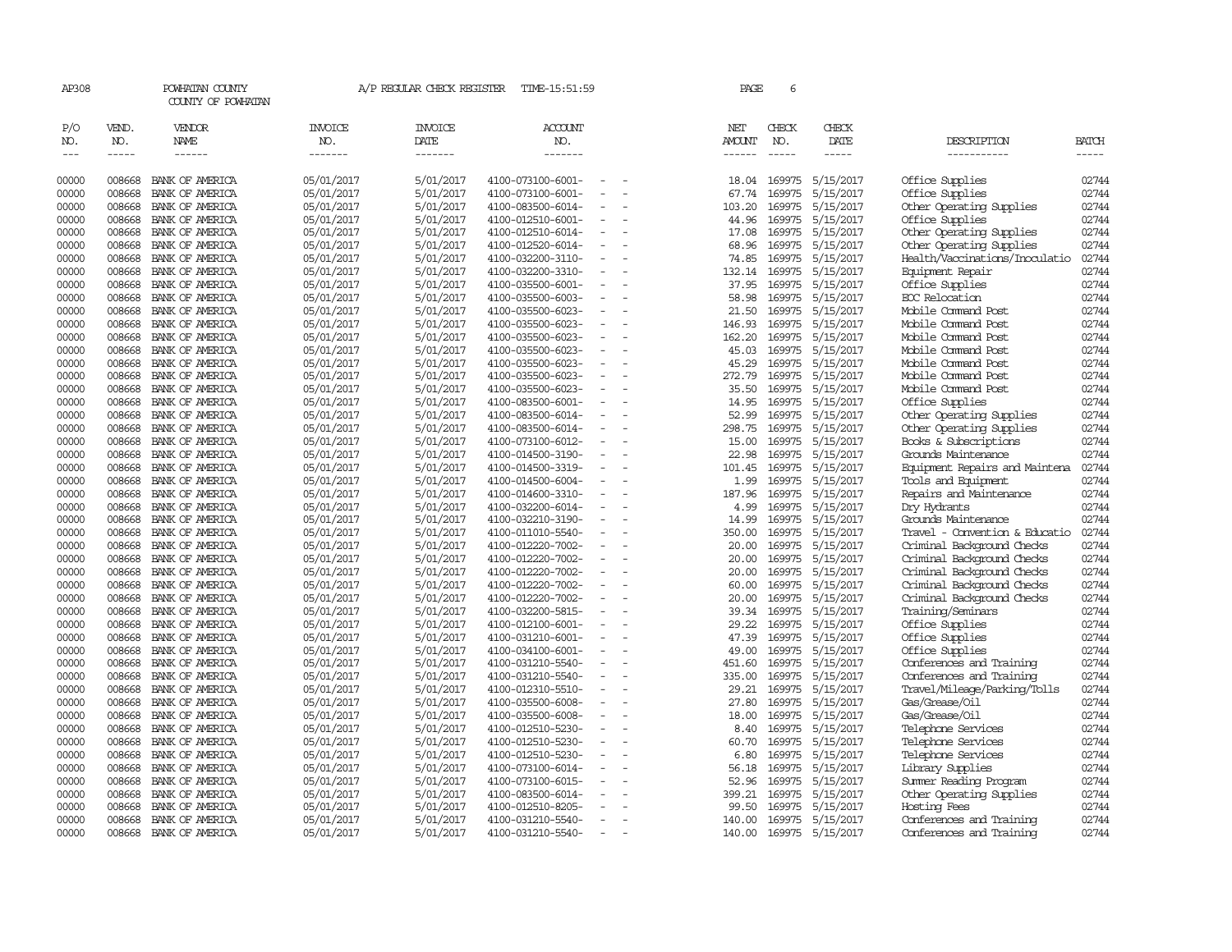| AP308               |                             | POWHATAN COUNTY<br>COUNTY OF POWHATAN  |                                  | A/P REGULAR CHECK REGISTER        | TIME-15:51:59                          |                          | PAGE                           | 6                |                        |                                                          |                       |
|---------------------|-----------------------------|----------------------------------------|----------------------------------|-----------------------------------|----------------------------------------|--------------------------|--------------------------------|------------------|------------------------|----------------------------------------------------------|-----------------------|
| P/O<br>NO.<br>$---$ | VEND.<br>NO.<br>$- - - - -$ | VENDOR<br><b>NAME</b><br>$- - - - - -$ | <b>INVOICE</b><br>NO.<br>------- | <b>INVOICE</b><br>DATE<br>------- | <b>ACCOUNT</b><br>NO.<br>-------       |                          | NET<br>AMOUNT<br>$- - - - - -$ | CHECK<br>NO.     | CHECK<br>DATE<br>----- | DESCRIPTION<br>-----------                               | <b>BATCH</b><br>----- |
|                     |                             |                                        |                                  |                                   |                                        |                          |                                |                  |                        |                                                          |                       |
| 00000               | 008668                      | BANK OF AMERICA                        | 05/01/2017                       | 5/01/2017                         | 4100-073100-6001-                      |                          | 18.04                          | 169975           | 5/15/2017              | Office Supplies                                          | 02744                 |
| 00000               | 008668                      | BANK OF AMERICA                        | 05/01/2017                       | 5/01/2017                         | 4100-073100-6001-                      |                          | 67.74                          | 169975           | 5/15/2017              | Office Supplies                                          | 02744                 |
| 00000               | 008668                      | BANK OF AMERICA                        | 05/01/2017                       | 5/01/2017                         | 4100-083500-6014-                      |                          | 103.20                         | 169975           | 5/15/2017              | Other Operating Supplies                                 | 02744                 |
| 00000               | 008668                      | BANK OF AMERICA                        | 05/01/2017                       | 5/01/2017                         | 4100-012510-6001-                      |                          | 44.96                          | 169975           | 5/15/2017              | Office Supplies                                          | 02744                 |
| 00000               | 008668                      | BANK OF AMERICA                        | 05/01/2017                       | 5/01/2017                         | 4100-012510-6014-                      |                          | 17.08                          | 169975           | 5/15/2017              | Other Operating Supplies                                 | 02744                 |
| 00000               | 008668                      | BANK OF AMERICA                        | 05/01/2017                       | 5/01/2017                         | 4100-012520-6014-                      |                          | 68.96                          | 169975           | 5/15/2017              | Other Operating Supplies                                 | 02744                 |
| 00000               | 008668                      | BANK OF AMERICA                        | 05/01/2017                       | 5/01/2017                         | 4100-032200-3110-                      | $\equiv$                 | 74.85                          |                  | 169975 5/15/2017       | Health/Vaccinations/Inoculatio                           | 02744                 |
| 00000               | 008668                      | BANK OF AMERICA                        | 05/01/2017                       | 5/01/2017                         | 4100-032200-3310-                      |                          | 132.14                         | 169975           | 5/15/2017              | Equipment Repair                                         | 02744                 |
| 00000               | 008668                      | BANK OF AMERICA                        | 05/01/2017                       | 5/01/2017                         | 4100-035500-6001-                      |                          | 37.95                          | 169975           | 5/15/2017              | Office Supplies                                          | 02744                 |
| 00000               | 008668                      | BANK OF AMERICA                        | 05/01/2017                       | 5/01/2017                         | 4100-035500-6003-                      |                          | 58.98                          |                  | 169975 5/15/2017       | ECC Relocation                                           | 02744                 |
| 00000               | 008668                      | BANK OF AMERICA                        | 05/01/2017                       | 5/01/2017                         | 4100-035500-6023-                      |                          | 21.50                          | 169975           | 5/15/2017              | Mobile Command Post                                      | 02744                 |
| 00000               | 008668                      | BANK OF AMERICA                        | 05/01/2017                       | 5/01/2017                         | 4100-035500-6023-                      |                          | 146.93                         | 169975           | 5/15/2017              | Mobile Command Post                                      | 02744                 |
| 00000               | 008668                      | BANK OF AMERICA                        | 05/01/2017                       | 5/01/2017                         | 4100-035500-6023-                      |                          | 162.20                         | 169975           | 5/15/2017              | Mobile Command Post                                      | 02744                 |
| 00000               | 008668                      | BANK OF AMERICA                        | 05/01/2017                       | 5/01/2017                         | 4100-035500-6023-                      | $\equiv$                 | 45.03                          |                  | 169975 5/15/2017       | Mobile Command Post                                      | 02744                 |
| 00000               | 008668                      | BANK OF AMERICA                        | 05/01/2017                       | 5/01/2017                         | 4100-035500-6023-                      |                          | 45.29                          | 169975           | 5/15/2017              | Mobile Command Post                                      | 02744                 |
| 00000               | 008668                      | BANK OF AMERICA                        | 05/01/2017                       | 5/01/2017                         | 4100-035500-6023-                      |                          | 272.79                         | 169975           | 5/15/2017              | Mobile Command Post                                      | 02744                 |
| 00000               | 008668                      | BANK OF AMERICA                        | 05/01/2017                       | 5/01/2017                         | 4100-035500-6023-                      |                          | 35.50                          |                  | 169975 5/15/2017       | Mobile Command Post                                      | 02744                 |
| 00000               | 008668                      | BANK OF AMERICA                        | 05/01/2017                       | 5/01/2017                         | 4100-083500-6001-                      |                          | 14.95                          | 169975           | 5/15/2017              | Office Supplies                                          | 02744                 |
| 00000               | 008668                      | BANK OF AMERICA                        | 05/01/2017                       | 5/01/2017                         | 4100-083500-6014-                      |                          | 52.99                          | 169975           | 5/15/2017              | Other Operating Supplies                                 | 02744                 |
| 00000               | 008668                      | BANK OF AMERICA                        | 05/01/2017                       | 5/01/2017                         | 4100-083500-6014-                      |                          | 298.75                         | 169975           | 5/15/2017              | Other Operating Supplies                                 | 02744                 |
| 00000               | 008668                      | BANK OF AMERICA                        | 05/01/2017                       | 5/01/2017                         | 4100-073100-6012-                      | $\equiv$                 | 15.00                          | 169975           | 5/15/2017              | Books & Subscriptions                                    | 02744                 |
| 00000               | 008668                      | BANK OF AMERICA                        | 05/01/2017                       | 5/01/2017                         | 4100-014500-3190-                      |                          | 22.98                          | 169975           | 5/15/2017              | Grounds Maintenance                                      | 02744                 |
| 00000               | 008668                      | BANK OF AMERICA                        | 05/01/2017                       | 5/01/2017                         | 4100-014500-3319-                      |                          | 101.45                         | 169975           | 5/15/2017              | Equipment Repairs and Maintena                           | 02744                 |
| 00000               | 008668                      | BANK OF AMERICA                        | 05/01/2017                       | 5/01/2017                         | 4100-014500-6004-                      |                          | 1.99                           |                  | 169975 5/15/2017       | Tools and Equipment                                      | 02744                 |
| 00000               | 008668                      | BANK OF AMERICA                        | 05/01/2017                       | 5/01/2017                         | 4100-014600-3310-                      |                          | 187.96                         | 169975           | 5/15/2017              | Repairs and Maintenance                                  | 02744                 |
| 00000               | 008668                      | BANK OF AMERICA                        | 05/01/2017                       | 5/01/2017                         | 4100-032200-6014-                      |                          | 4.99                           | 169975           | 5/15/2017              | Dry Hydrants                                             | 02744                 |
| 00000               | 008668                      | BANK OF AMERICA                        | 05/01/2017                       | 5/01/2017                         | 4100-032210-3190-                      |                          | 14.99                          | 169975           | 5/15/2017              | Grounds Maintenance                                      | 02744                 |
| 00000               | 008668                      | BANK OF AMERICA                        | 05/01/2017                       | 5/01/2017                         | 4100-011010-5540-                      |                          | 350.00                         |                  | 169975 5/15/2017       | Travel - Convention & Educatio                           | 02744<br>02744        |
| 00000               | 008668                      | BANK OF AMERICA                        | 05/01/2017                       | 5/01/2017                         | 4100-012220-7002-                      |                          | 20.00                          | 169975           | 5/15/2017              | Criminal Background Checks                               | 02744                 |
| 00000               | 008668                      | BANK OF AMERICA                        | 05/01/2017                       | 5/01/2017                         | 4100-012220-7002-                      |                          | 20.00                          | 169975           | 5/15/2017              | Criminal Background Checks                               |                       |
| 00000<br>00000      | 008668                      | BANK OF AMERICA                        | 05/01/2017                       | 5/01/2017                         | 4100-012220-7002-                      | $\equiv$                 | 20.00                          | 169975           | 5/15/2017              | Criminal Background Checks                               | 02744<br>02744        |
| 00000               | 008668<br>008668            | BANK OF AMERICA<br>BANK OF AMERICA     | 05/01/2017<br>05/01/2017         | 5/01/2017<br>5/01/2017            | 4100-012220-7002-<br>4100-012220-7002- |                          | 60.00                          | 169975<br>169975 | 5/15/2017<br>5/15/2017 | Criminal Background Checks<br>Criminal Background Checks | 02744                 |
| 00000               | 008668                      | BANK OF AMERICA                        | 05/01/2017                       | 5/01/2017                         | 4100-032200-5815-                      |                          | 20.00<br>39.34                 | 169975           | 5/15/2017              | Training/Seminars                                        | 02744                 |
| 00000               | 008668                      | BANK OF AMERICA                        | 05/01/2017                       | 5/01/2017                         | 4100-012100-6001-                      |                          | 29.22                          |                  | 169975 5/15/2017       | Office Supplies                                          | 02744                 |
| 00000               | 008668                      | BANK OF AMERICA                        | 05/01/2017                       | 5/01/2017                         | 4100-031210-6001-                      |                          | 47.39                          | 169975           | 5/15/2017              | Office Supplies                                          | 02744                 |
| 00000               | 008668                      | BANK OF AMERICA                        | 05/01/2017                       | 5/01/2017                         | 4100-034100-6001-                      |                          | 49.00                          | 169975           | 5/15/2017              | Office Supplies                                          | 02744                 |
| 00000               | 008668                      | BANK OF AMERICA                        | 05/01/2017                       | 5/01/2017                         | 4100-031210-5540-                      |                          | 451.60                         |                  | 169975 5/15/2017       | Conferences and Training                                 | 02744                 |
| 00000               | 008668                      | BANK OF AMERICA                        | 05/01/2017                       | 5/01/2017                         | 4100-031210-5540-                      |                          | 335.00                         | 169975           | 5/15/2017              | Conferences and Training                                 | 02744                 |
| 00000               | 008668                      | BANK OF AMERICA                        | 05/01/2017                       | 5/01/2017                         | 4100-012310-5510-                      |                          | 29.21                          | 169975           | 5/15/2017              | Travel/Mileage/Parking/Tolls                             | 02744                 |
| 00000               | 008668                      | BANK OF AMERICA                        | 05/01/2017                       | 5/01/2017                         | 4100-035500-6008-                      |                          | 27.80                          |                  | 169975 5/15/2017       | Gas/Grease/0il                                           | 02744                 |
| 00000               | 008668                      | BANK OF AMERICA                        | 05/01/2017                       | 5/01/2017                         | 4100-035500-6008-                      | $\equiv$                 | 18.00                          |                  | 169975 5/15/2017       | Gas/Grease/Oil                                           | 02744                 |
| 00000               | 008668                      | BANK OF AMERICA                        | 05/01/2017                       | 5/01/2017                         | 4100-012510-5230-                      |                          | 8.40                           | 169975           | 5/15/2017              | Telephone Services                                       | 02744                 |
| 00000               | 008668                      | BANK OF AMERICA                        | 05/01/2017                       | 5/01/2017                         | 4100-012510-5230-                      |                          | 60.70                          | 169975           | 5/15/2017              | Telephone Services                                       | 02744                 |
| 00000               | 008668                      | BANK OF AMERICA                        | 05/01/2017                       | 5/01/2017                         | 4100-012510-5230-                      |                          | 6.80                           |                  | 169975 5/15/2017       | Telephone Services                                       | 02744                 |
| 00000               | 008668                      | BANK OF AMERICA                        | 05/01/2017                       | 5/01/2017                         | 4100-073100-6014-                      |                          | 56.18                          | 169975           | 5/15/2017              | Library Supplies                                         | 02744                 |
| 00000               | 008668                      | BANK OF AMERICA                        | 05/01/2017                       | 5/01/2017                         | 4100-073100-6015-                      |                          | 52.96                          | 169975           | 5/15/2017              | Summer Reading Program                                   | 02744                 |
| 00000               | 008668                      | BANK OF AMERICA                        | 05/01/2017                       | 5/01/2017                         | 4100-083500-6014-                      |                          | 399.21                         |                  | 169975 5/15/2017       | Other Operating Supplies                                 | 02744                 |
| 00000               | 008668                      | BANK OF AMERICA                        | 05/01/2017                       | 5/01/2017                         | 4100-012510-8205-                      |                          | 99.50                          | 169975           | 5/15/2017              | Hosting Fees                                             | 02744                 |
| 00000               | 008668                      | BANK OF AMERICA                        | 05/01/2017                       | 5/01/2017                         | 4100-031210-5540-                      | $\equiv$                 | 140.00                         | 169975           | 5/15/2017              | Conferences and Training                                 | 02744                 |
| 00000               | 008668                      | BANK OF AMERICA                        | 05/01/2017                       | 5/01/2017                         | 4100-031210-5540-                      | $\overline{\phantom{a}}$ | 140.00                         |                  | 169975 5/15/2017       | Conferences and Training                                 | 02744                 |
|                     |                             |                                        |                                  |                                   |                                        |                          |                                |                  |                        |                                                          |                       |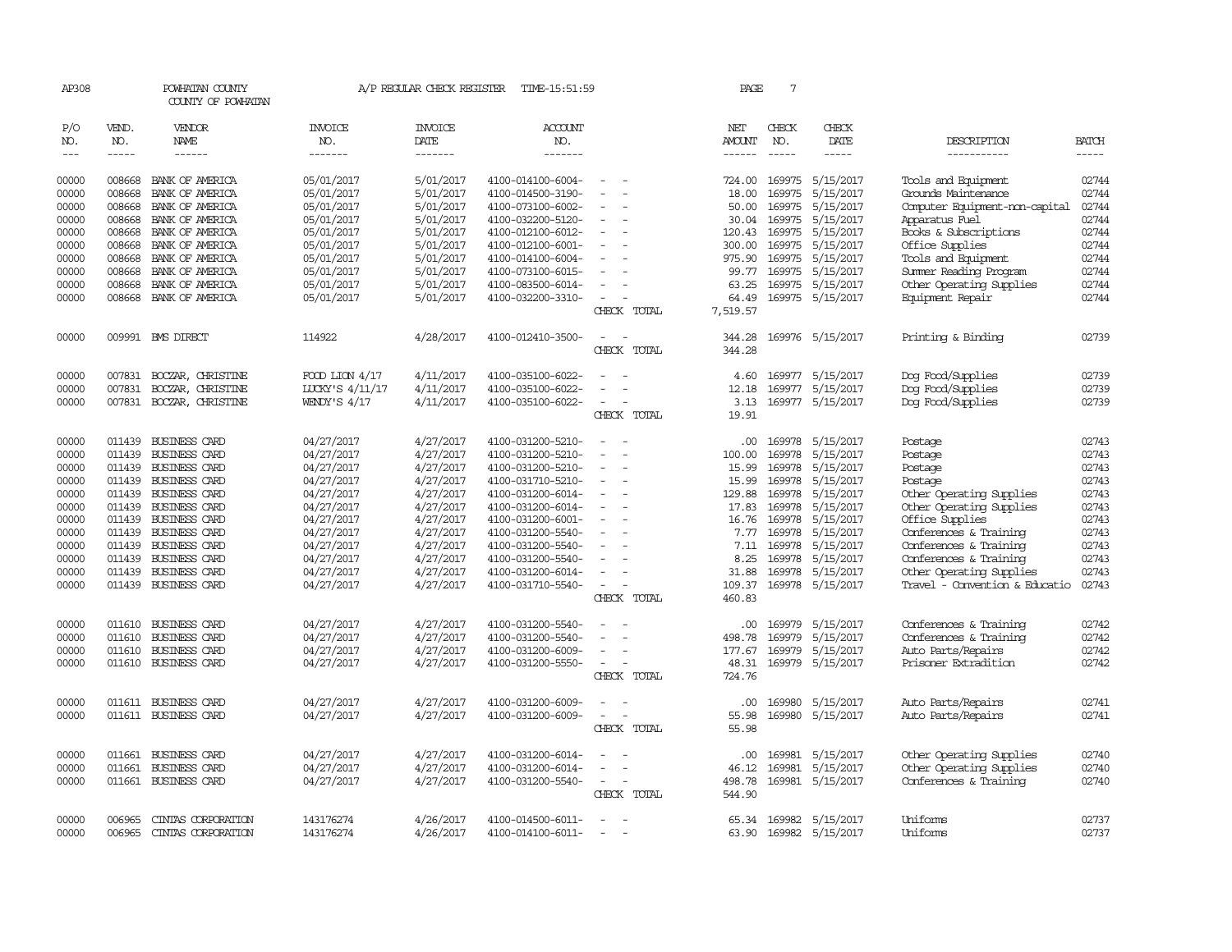| AP308               |                             | POWHATAN COUNTY<br>COUNTY OF POWHATAN  |                                  | A/P REGULAR CHECK REGISTER        | TIME-15:51:59                     |                          | PAGE                    | 7            |                         |                                |                             |
|---------------------|-----------------------------|----------------------------------------|----------------------------------|-----------------------------------|-----------------------------------|--------------------------|-------------------------|--------------|-------------------------|--------------------------------|-----------------------------|
| P/O<br>NO.<br>$---$ | VEND.<br>NO.<br>$- - - - -$ | <b>VENDOR</b><br>NAME<br>$- - - - - -$ | <b>INVOICE</b><br>NO.<br>------- | <b>INVOICE</b><br>DATE<br>------- | ACCOUNT<br>NO.<br>$- - - - - - -$ |                          | NET<br>AMOUNT<br>------ | CHECK<br>NO. | CHECK<br>DATE<br>-----  | DESCRIPTION<br>-----------     | <b>BATCH</b><br>$- - - - -$ |
|                     |                             |                                        |                                  |                                   |                                   |                          |                         |              |                         |                                |                             |
| 00000               | 008668                      | BANK OF AMERICA                        | 05/01/2017                       | 5/01/2017                         | 4100-014100-6004-                 |                          | 724.00                  |              | 169975 5/15/2017        | Tools and Equipment            | 02744                       |
| 00000               | 008668                      | BANK OF AMERICA                        | 05/01/2017                       | 5/01/2017                         | 4100-014500-3190-                 | $\overline{\phantom{a}}$ | 18.00                   |              | 169975 5/15/2017        | Grounds Maintenance            | 02744                       |
| 00000               | 008668                      | BANK OF AMERICA                        | 05/01/2017                       | 5/01/2017                         | 4100-073100-6002-                 |                          | 50.00                   | 169975       | 5/15/2017               | Computer Equipment-non-capital | 02744                       |
| 00000               | 008668                      | BANK OF AMERICA                        | 05/01/2017                       | 5/01/2017                         | 4100-032200-5120-                 |                          | 30.04                   | 169975       | 5/15/2017               | Apparatus Fuel                 | 02744                       |
| 00000               | 008668                      | BANK OF AMERICA                        | 05/01/2017                       | 5/01/2017                         | 4100-012100-6012-                 |                          |                         |              | 120.43 169975 5/15/2017 | Books & Subscriptions          | 02744                       |
| 00000               | 008668                      | BANK OF AMERICA                        | 05/01/2017                       | 5/01/2017                         | 4100-012100-6001-                 | $\overline{\phantom{a}}$ | 300.00                  |              | 169975 5/15/2017        | Office Supplies                | 02744                       |
| 00000               | 008668                      | BANK OF AMERICA                        | 05/01/2017                       | 5/01/2017                         | 4100-014100-6004-                 |                          | 975.90                  |              | 169975 5/15/2017        | Tools and Equipment            | 02744                       |
| 00000               | 008668                      | BANK OF AMERICA                        | 05/01/2017                       | 5/01/2017                         | 4100-073100-6015-                 |                          | 99.77                   |              | 169975 5/15/2017        | Summer Reading Program         | 02744                       |
| 00000               | 008668                      | BANK OF AMERICA                        | 05/01/2017                       | 5/01/2017                         | 4100-083500-6014-                 |                          | 63.25                   |              | 169975 5/15/2017        | Other Operating Supplies       | 02744                       |
| 00000               |                             | 008668 BANK OF AMERICA                 | 05/01/2017                       | 5/01/2017                         | 4100-032200-3310-                 | $\overline{\phantom{a}}$ | 64.49                   |              | 169975 5/15/2017        | Equipment Repair               | 02744                       |
|                     |                             |                                        |                                  |                                   |                                   | CHECK TOTAL              | 7,519.57                |              |                         |                                |                             |
| 00000               |                             | 009991 BMS DIRECT                      | 114922                           | 4/28/2017                         | 4100-012410-3500-                 | $\sim$                   | 344.28                  |              | 169976 5/15/2017        | Printing & Binding             | 02739                       |
|                     |                             |                                        |                                  |                                   |                                   | CHECK TOTAL              | 344.28                  |              |                         |                                |                             |
| 00000               | 007831                      | BOCZAR, CHRISTINE                      | FOOD LION $4/17$                 | 4/11/2017                         | 4100-035100-6022-                 |                          | 4.60                    |              | 169977 5/15/2017        | Dog Food/Supplies              | 02739                       |
| 00000               |                             | 007831 BOCZAR, CHRISTINE               | LUCKY'S 4/11/17                  | 4/11/2017                         | 4100-035100-6022-                 |                          | 12.18                   |              | 169977 5/15/2017        | Dog Food/Supplies              | 02739                       |
| 00000               |                             | 007831 BOCZAR, CHRISTINE               | <b>WENDY'S 4/17</b>              | 4/11/2017                         | 4100-035100-6022-                 | $\sim$                   | 3.13                    |              | 169977 5/15/2017        | Dog Food/Supplies              | 02739                       |
|                     |                             |                                        |                                  |                                   |                                   | CHECK TOTAL              | 19.91                   |              |                         |                                |                             |
| 00000               |                             | 011439 BUSINESS CARD                   | 04/27/2017                       | 4/27/2017                         | 4100-031200-5210-                 |                          | .00.                    |              | 169978 5/15/2017        | Postage                        | 02743                       |
| 00000               |                             | 011439 BUSINESS CARD                   | 04/27/2017                       | 4/27/2017                         | 4100-031200-5210-                 |                          | 100.00                  |              | 169978 5/15/2017        | Postage                        | 02743                       |
| 00000               |                             | 011439 BUSINESS CARD                   | 04/27/2017                       | 4/27/2017                         | 4100-031200-5210-                 |                          | 15.99                   |              | 169978 5/15/2017        | Postage                        | 02743                       |
| 00000               |                             | 011439 BUSINESS CARD                   | 04/27/2017                       | 4/27/2017                         | 4100-031710-5210-                 | $\overline{\phantom{a}}$ | 15.99                   | 169978       | 5/15/2017               | Postage                        | 02743                       |
| 00000               |                             | 011439 BUSINESS CARD                   | 04/27/2017                       | 4/27/2017                         | 4100-031200-6014-                 |                          | 129.88                  | 169978       | 5/15/2017               | Other Operating Supplies       | 02743                       |
| 00000               |                             | 011439 BUSINESS CARD                   | 04/27/2017                       | 4/27/2017                         | 4100-031200-6014-                 |                          | 17.83                   |              | 169978 5/15/2017        | Other Operating Supplies       | 02743                       |
| 00000               |                             | 011439 BUSINESS CARD                   | 04/27/2017                       | 4/27/2017                         | 4100-031200-6001-                 | $\overline{\phantom{a}}$ |                         |              | 16.76 169978 5/15/2017  | Office Supplies                | 02743                       |
| 00000               |                             | 011439 BUSINESS CARD                   | 04/27/2017                       | 4/27/2017                         | 4100-031200-5540-                 |                          | 7.77                    | 169978       | 5/15/2017               | Conferences & Training         | 02743                       |
| 00000               |                             | 011439 BUSINESS CARD                   | 04/27/2017                       | 4/27/2017                         | 4100-031200-5540-                 |                          | 7.11                    | 169978       | 5/15/2017               | Conferences & Training         | 02743                       |
| 00000               |                             | 011439 BUSINESS CARD                   | 04/27/2017                       | 4/27/2017                         | 4100-031200-5540-                 |                          | 8.25                    |              | 169978 5/15/2017        | Conferences & Training         | 02743                       |
| 00000               |                             | 011439 BUSINESS CARD                   | 04/27/2017                       | 4/27/2017                         | 4100-031200-6014-                 |                          | 31.88                   |              | 169978 5/15/2017        | Other Operating Supplies       | 02743                       |
| 00000               |                             | 011439 BUSINESS CARD                   | 04/27/2017                       | 4/27/2017                         | 4100-031710-5540-                 | $\overline{\phantom{a}}$ | 109.37                  |              | 169978 5/15/2017        | Travel - Convention & Educatio | 02743                       |
|                     |                             |                                        |                                  |                                   |                                   | CHECK TOTAL              | 460.83                  |              |                         |                                |                             |
| 00000               |                             | 011610 BUSINESS CARD                   | 04/27/2017                       | 4/27/2017                         | 4100-031200-5540-                 |                          | .00                     |              | 169979 5/15/2017        | Conferences & Training         | 02742                       |
| 00000               | 011610                      | <b>BUSINESS CARD</b>                   | 04/27/2017                       | 4/27/2017                         | 4100-031200-5540-                 |                          | 498.78                  |              | 169979 5/15/2017        | Conferences & Training         | 02742                       |
| 00000               | 011610                      | <b>BUSINESS CARD</b>                   | 04/27/2017                       | 4/27/2017                         | 4100-031200-6009-                 | $\equiv$                 | 177.67                  |              | 169979 5/15/2017        | Auto Parts/Repairs             | 02742                       |
| 00000               |                             | 011610 BUSINESS CARD                   | 04/27/2017                       | 4/27/2017                         | 4100-031200-5550-                 | $\overline{\phantom{a}}$ | 48.31                   |              | 169979 5/15/2017        | Prisoner Extradition           | 02742                       |
|                     |                             |                                        |                                  |                                   |                                   | CHECK TOTAL              | 724.76                  |              |                         |                                |                             |
| 00000               |                             | 011611 BUSINESS CARD                   | 04/27/2017                       | 4/27/2017                         | 4100-031200-6009-                 |                          | .00.                    | 169980       | 5/15/2017               | Auto Parts/Repairs             | 02741                       |
| 00000               |                             | 011611 BUSINESS CARD                   | 04/27/2017                       | 4/27/2017                         | 4100-031200-6009-                 |                          | 55.98                   | 169980       | 5/15/2017               | Auto Parts/Repairs             | 02741                       |
|                     |                             |                                        |                                  |                                   |                                   | CHECK TOTAL              | 55.98                   |              |                         |                                |                             |
| 00000               |                             | 011661 BUSINESS CARD                   | 04/27/2017                       | 4/27/2017                         | 4100-031200-6014-                 |                          | $.00 \times$            | 169981       | 5/15/2017               | Other Operating Supplies       | 02740                       |
| 00000               | 011661                      | <b>BUSINESS CARD</b>                   | 04/27/2017                       | 4/27/2017                         | 4100-031200-6014-                 |                          | 46.12                   | 169981       | 5/15/2017               | Other Operating Supplies       | 02740                       |
| 00000               |                             | 011661 BUSINESS CARD                   | 04/27/2017                       | 4/27/2017                         | 4100-031200-5540-                 |                          | 498.78                  |              | 169981 5/15/2017        | Conferences & Training         | 02740                       |
|                     |                             |                                        |                                  |                                   |                                   | CHECK TOTAL              | 544.90                  |              |                         |                                |                             |
| 00000               | 006965                      | CINIAS CORPORATION                     | 143176274                        | 4/26/2017                         | 4100-014500-6011-                 | $\overline{\phantom{a}}$ |                         |              | 65.34 169982 5/15/2017  | Uniforms                       | 02737                       |
| 00000               | 006965                      | CINIAS CORPORATION                     | 143176274                        | 4/26/2017                         | 4100-014100-6011-                 |                          | 63.90                   |              | 169982 5/15/2017        | Uniforms                       | 02737                       |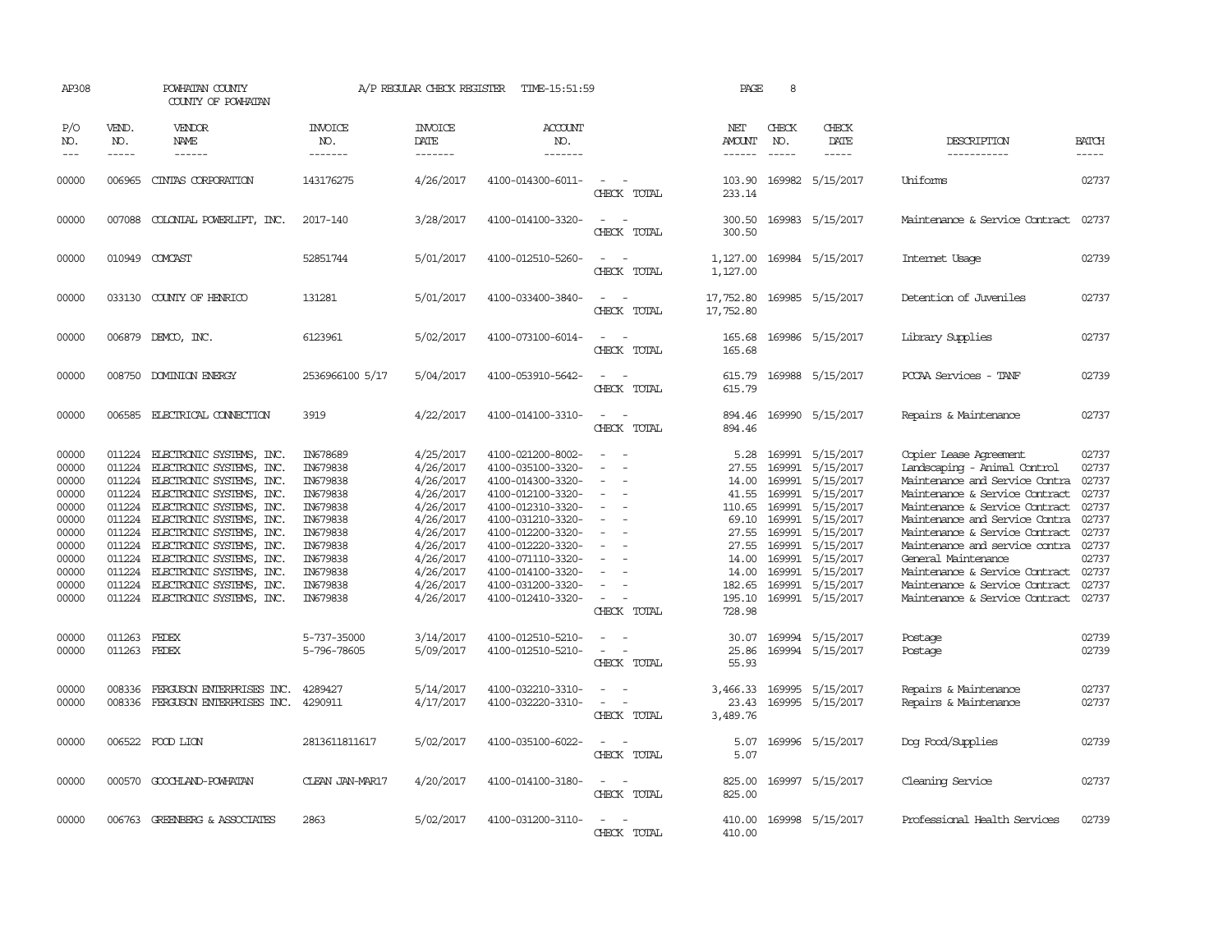| AP308                                                                                                                      |                                                                                                            | POWHATAN COUNTY<br>COUNTY OF POWHATAN                                                                                                                                                                                                                                                                                                                                               |                                                                                                                                                                            | A/P REGULAR CHECK REGISTER                                                                                                                                                         | TIME-15:51:59                                                                                                                                                                                                                                                                                      |                                      | PAGE                                                                                                                                  | 8                                                        |                                                                                                                                                                                                                                                   |                                                                                                                                                                                                                                                                                                                                                                                                                       |                                                                                                                            |
|----------------------------------------------------------------------------------------------------------------------------|------------------------------------------------------------------------------------------------------------|-------------------------------------------------------------------------------------------------------------------------------------------------------------------------------------------------------------------------------------------------------------------------------------------------------------------------------------------------------------------------------------|----------------------------------------------------------------------------------------------------------------------------------------------------------------------------|------------------------------------------------------------------------------------------------------------------------------------------------------------------------------------|----------------------------------------------------------------------------------------------------------------------------------------------------------------------------------------------------------------------------------------------------------------------------------------------------|--------------------------------------|---------------------------------------------------------------------------------------------------------------------------------------|----------------------------------------------------------|---------------------------------------------------------------------------------------------------------------------------------------------------------------------------------------------------------------------------------------------------|-----------------------------------------------------------------------------------------------------------------------------------------------------------------------------------------------------------------------------------------------------------------------------------------------------------------------------------------------------------------------------------------------------------------------|----------------------------------------------------------------------------------------------------------------------------|
| P/O<br>NO.<br>$---$                                                                                                        | VEND.<br>NO.<br>$- - - - -$                                                                                | VENDOR<br>NAME<br>$- - - - - -$                                                                                                                                                                                                                                                                                                                                                     | <b>INVOICE</b><br>NO.<br>-------                                                                                                                                           | <b>INVOICE</b><br>DATE<br>-------                                                                                                                                                  | <b>ACCOUNT</b><br>NO.<br>-------                                                                                                                                                                                                                                                                   |                                      | NET<br><b>AMOUNT</b><br>------                                                                                                        | CHECK<br>NO.                                             | CHECK<br>DATE<br>-----                                                                                                                                                                                                                            | DESCRIPTION<br>-----------                                                                                                                                                                                                                                                                                                                                                                                            | <b>BATCH</b><br>-----                                                                                                      |
| 00000                                                                                                                      | 006965                                                                                                     | CINIAS CORPORATION                                                                                                                                                                                                                                                                                                                                                                  | 143176275                                                                                                                                                                  | 4/26/2017                                                                                                                                                                          | 4100-014300-6011-                                                                                                                                                                                                                                                                                  | $\sim$<br>CHECK TOTAL                | 103.90<br>233.14                                                                                                                      |                                                          | 169982 5/15/2017                                                                                                                                                                                                                                  | <b>Uniforms</b>                                                                                                                                                                                                                                                                                                                                                                                                       | 02737                                                                                                                      |
| 00000                                                                                                                      | 007088                                                                                                     | COLONIAL POWERLIFT, INC.                                                                                                                                                                                                                                                                                                                                                            | 2017-140                                                                                                                                                                   | 3/28/2017                                                                                                                                                                          | 4100-014100-3320-                                                                                                                                                                                                                                                                                  | $\equiv$<br>CHECK TOTAL              | 300.50<br>300.50                                                                                                                      |                                                          | 169983 5/15/2017                                                                                                                                                                                                                                  | Maintenance & Service Contract                                                                                                                                                                                                                                                                                                                                                                                        | 02737                                                                                                                      |
| 00000                                                                                                                      |                                                                                                            | 010949 COMCAST                                                                                                                                                                                                                                                                                                                                                                      | 52851744                                                                                                                                                                   | 5/01/2017                                                                                                                                                                          | 4100-012510-5260-                                                                                                                                                                                                                                                                                  | CHECK TOTAL                          | 1,127.00<br>1,127.00                                                                                                                  |                                                          | 169984 5/15/2017                                                                                                                                                                                                                                  | Internet Usage                                                                                                                                                                                                                                                                                                                                                                                                        | 02739                                                                                                                      |
| 00000                                                                                                                      |                                                                                                            | 033130 COUNTY OF HENRICO                                                                                                                                                                                                                                                                                                                                                            | 131281                                                                                                                                                                     | 5/01/2017                                                                                                                                                                          | 4100-033400-3840-                                                                                                                                                                                                                                                                                  | CHECK TOTAL                          | 17,752.80<br>17,752.80                                                                                                                |                                                          | 169985 5/15/2017                                                                                                                                                                                                                                  | Detention of Juveniles                                                                                                                                                                                                                                                                                                                                                                                                | 02737                                                                                                                      |
| 00000                                                                                                                      |                                                                                                            | 006879 DEMCO, INC.                                                                                                                                                                                                                                                                                                                                                                  | 6123961                                                                                                                                                                    | 5/02/2017                                                                                                                                                                          | 4100-073100-6014-                                                                                                                                                                                                                                                                                  | CHECK TOTAL                          | 165.68<br>165.68                                                                                                                      |                                                          | 169986 5/15/2017                                                                                                                                                                                                                                  | Library Supplies                                                                                                                                                                                                                                                                                                                                                                                                      | 02737                                                                                                                      |
| 00000                                                                                                                      |                                                                                                            | 008750 DOMINION ENERGY                                                                                                                                                                                                                                                                                                                                                              | 2536966100 5/17                                                                                                                                                            | 5/04/2017                                                                                                                                                                          | 4100-053910-5642-                                                                                                                                                                                                                                                                                  | $\sim$<br>$\equiv$<br>CHECK TOTAL    | 615.79<br>615.79                                                                                                                      |                                                          | 169988 5/15/2017                                                                                                                                                                                                                                  | PCCAA Services - TANF                                                                                                                                                                                                                                                                                                                                                                                                 | 02739                                                                                                                      |
| 00000                                                                                                                      |                                                                                                            | 006585 ELECTRICAL CONNECTION                                                                                                                                                                                                                                                                                                                                                        | 3919                                                                                                                                                                       | 4/22/2017                                                                                                                                                                          | 4100-014100-3310-                                                                                                                                                                                                                                                                                  | CHECK TOTAL                          | 894.46<br>894.46                                                                                                                      |                                                          | 169990 5/15/2017                                                                                                                                                                                                                                  | Repairs & Maintenance                                                                                                                                                                                                                                                                                                                                                                                                 | 02737                                                                                                                      |
| 00000<br>00000<br>00000<br>00000<br>00000<br>00000<br>00000<br>00000<br>00000<br>00000<br>00000<br>00000<br>00000<br>00000 | 011224<br>011224<br>011224<br>011224<br>011224<br>011224<br>011224<br>011224<br>011224<br>011263<br>011263 | ELECTRONIC SYSTEMS, INC.<br>ELECTRONIC SYSTEMS, INC.<br>ELECTRONIC SYSTEMS, INC.<br>ELECTRONIC SYSTEMS, INC.<br>ELECTRONIC SYSTEMS, INC.<br>ELECTRONIC SYSTEMS, INC.<br>011224 ELECTRONIC SYSTEMS, INC.<br>ELECTRONIC SYSTEMS, INC.<br>011224 ELECTRONIC SYSTEMS, INC.<br>ELECTRONIC SYSTEMS, INC.<br>ELECTRONIC SYSTEMS, INC.<br>011224 ELECTRONIC SYSTEMS, INC.<br>FEDEX<br>FEDEX | IN678689<br>IN679838<br>IN679838<br>IN679838<br>IN679838<br>IN679838<br>IN679838<br>IN679838<br>IN679838<br>IN679838<br>IN679838<br>IN679838<br>5-737-35000<br>5-796-78605 | 4/25/2017<br>4/26/2017<br>4/26/2017<br>4/26/2017<br>4/26/2017<br>4/26/2017<br>4/26/2017<br>4/26/2017<br>4/26/2017<br>4/26/2017<br>4/26/2017<br>4/26/2017<br>3/14/2017<br>5/09/2017 | 4100-021200-8002-<br>4100-035100-3320-<br>4100-014300-3320-<br>4100-012100-3320-<br>4100-012310-3320-<br>4100-031210-3320-<br>4100-012200-3320-<br>4100-012220-3320-<br>4100-071110-3320-<br>4100-014100-3320-<br>4100-031200-3320-<br>4100-012410-3320-<br>4100-012510-5210-<br>4100-012510-5210- | $\sim$<br>CHECK TOTAL<br>CHECK TOTAL | 5.28<br>27.55<br>14.00<br>41.55<br>110.65<br>69.10<br>27.55<br>27.55<br>14.00<br>14.00<br>182.65<br>728.98<br>30.07<br>25.86<br>55.93 | 169991<br>169991<br>169991<br>169991<br>169991<br>169991 | 169991 5/15/2017<br>5/15/2017<br>169991 5/15/2017<br>169991 5/15/2017<br>5/15/2017<br>5/15/2017<br>169991 5/15/2017<br>5/15/2017<br>5/15/2017<br>169991 5/15/2017<br>5/15/2017<br>195.10 169991 5/15/2017<br>169994 5/15/2017<br>169994 5/15/2017 | Copier Lease Agreement<br>Landscaping - Animal Control<br>Maintenance and Service Contra<br>Maintenance & Service Contract<br>Maintenance & Service Contract<br>Maintenance and Service Contra<br>Maintenance & Service Contract<br>Maintenance and service contra<br>General Maintenance<br>Maintenance & Service Contract<br>Maintenance & Service Contract<br>Maintenance & Service Contract<br>Postage<br>Postage | 02737<br>02737<br>02737<br>02737<br>02737<br>02737<br>02737<br>02737<br>02737<br>02737<br>02737<br>02737<br>02739<br>02739 |
| 00000<br>00000                                                                                                             | 008336<br>008336                                                                                           | FERGUSON ENTERPRISES INC.<br>FERGUSON ENTERPRISES INC.                                                                                                                                                                                                                                                                                                                              | 4289427<br>4290911                                                                                                                                                         | 5/14/2017<br>4/17/2017                                                                                                                                                             | 4100-032210-3310-<br>4100-032220-3310-                                                                                                                                                                                                                                                             | CHECK TOTAL                          | 3,466.33<br>23.43<br>3,489.76                                                                                                         |                                                          | 169995 5/15/2017<br>169995 5/15/2017                                                                                                                                                                                                              | Repairs & Maintenance<br>Repairs & Maintenance                                                                                                                                                                                                                                                                                                                                                                        | 02737<br>02737                                                                                                             |
| 00000                                                                                                                      |                                                                                                            | 006522 FOOD LION                                                                                                                                                                                                                                                                                                                                                                    | 2813611811617                                                                                                                                                              | 5/02/2017                                                                                                                                                                          | 4100-035100-6022-                                                                                                                                                                                                                                                                                  | CHECK TOTAL                          | 5.07<br>5.07                                                                                                                          |                                                          | 169996 5/15/2017                                                                                                                                                                                                                                  | Dog Food/Supplies                                                                                                                                                                                                                                                                                                                                                                                                     | 02739                                                                                                                      |
| 00000                                                                                                                      |                                                                                                            | 000570 GOOCHLAND-POWHATAN                                                                                                                                                                                                                                                                                                                                                           | CLEAN JAN-MAR17                                                                                                                                                            | 4/20/2017                                                                                                                                                                          | 4100-014100-3180-                                                                                                                                                                                                                                                                                  | $ -$<br>CHECK TOTAL                  | 825.00<br>825.00                                                                                                                      |                                                          | 169997 5/15/2017                                                                                                                                                                                                                                  | Cleaning Service                                                                                                                                                                                                                                                                                                                                                                                                      | 02737                                                                                                                      |
| 00000                                                                                                                      |                                                                                                            | 006763 GREENBERG & ASSOCIATES                                                                                                                                                                                                                                                                                                                                                       | 2863                                                                                                                                                                       | 5/02/2017                                                                                                                                                                          | 4100-031200-3110-                                                                                                                                                                                                                                                                                  | CHECK TOTAL                          | 410.00<br>410.00                                                                                                                      |                                                          | 169998 5/15/2017                                                                                                                                                                                                                                  | Professional Health Services                                                                                                                                                                                                                                                                                                                                                                                          | 02739                                                                                                                      |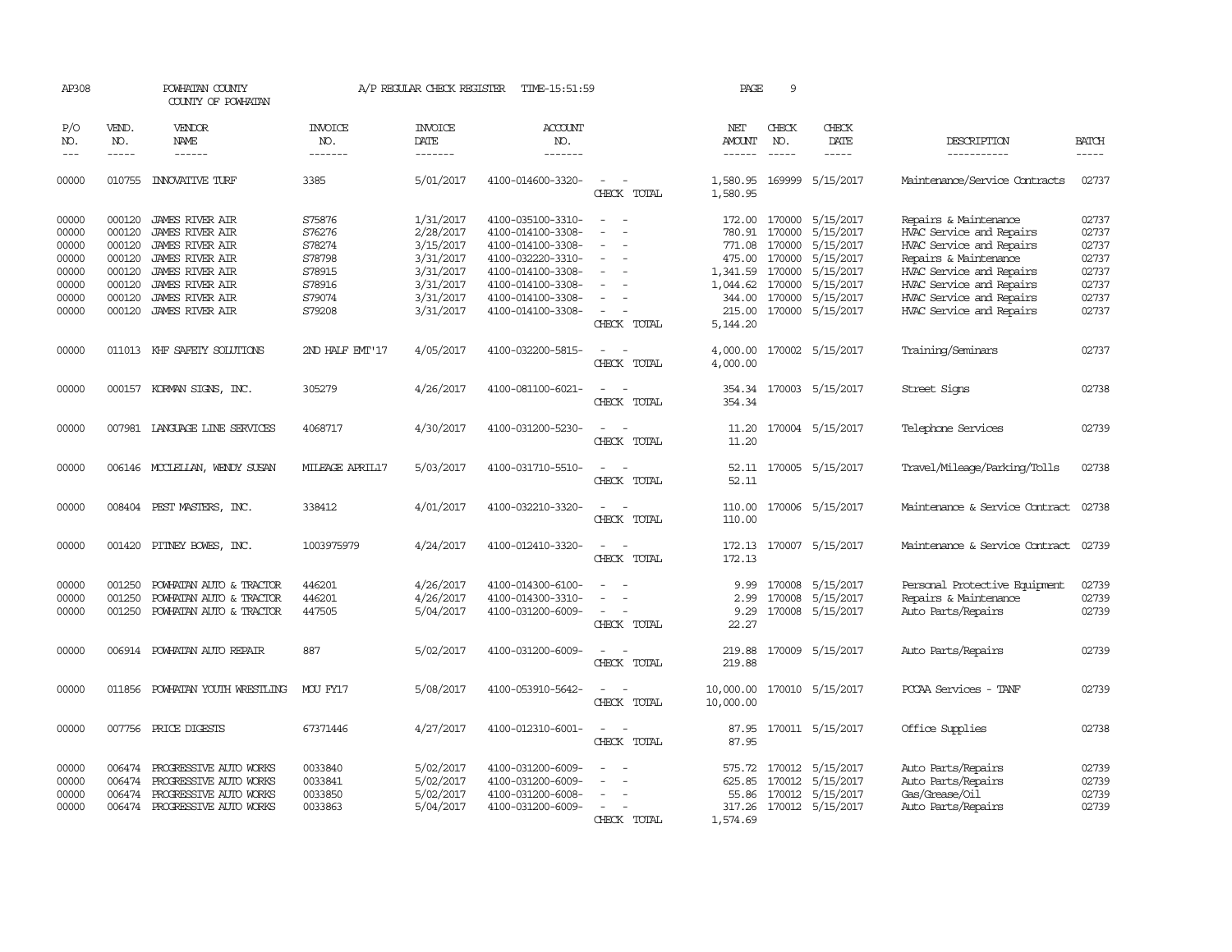| AP308                            |                                      | POWHATAN COUNTY<br>COUNTY OF POWHATAN                                                                       |                                          | A/P REGULAR CHECK REGISTER                       | TIME-15:51:59                                                                    |                                                        | PAGE                                  | 9                                    |                                                                              |                                                                                                              |                                  |
|----------------------------------|--------------------------------------|-------------------------------------------------------------------------------------------------------------|------------------------------------------|--------------------------------------------------|----------------------------------------------------------------------------------|--------------------------------------------------------|---------------------------------------|--------------------------------------|------------------------------------------------------------------------------|--------------------------------------------------------------------------------------------------------------|----------------------------------|
| P/O<br>NO.<br>$---$              | VEND.<br>NO.                         | VENDOR<br><b>NAME</b><br>$- - - - - -$                                                                      | <b>INVOICE</b><br>NO.<br>-------         | <b>INVOICE</b><br>DATE<br>-------                | <b>ACCOUNT</b><br>NO.<br>-------                                                 |                                                        | NET<br><b>AMOUNT</b><br>$- - - - - -$ | CHECK<br>NO.<br>$\frac{1}{2}$        | CHECK<br>DATE<br>-----                                                       | DESCRIPTION<br>-----------                                                                                   | <b>BATCH</b><br>$- - - - -$      |
| 00000                            | 010755                               | <b>INNOVATIVE TURF</b>                                                                                      | 3385                                     | 5/01/2017                                        | 4100-014600-3320-                                                                | CHECK TOTAL                                            | 1,580.95<br>1,580.95                  | 169999                               | 5/15/2017                                                                    | Maintenance/Service Contracts                                                                                | 02737                            |
| 00000<br>00000<br>00000<br>00000 | 000120<br>000120<br>000120<br>000120 | <b>JAMES RIVER AIR</b><br><b>JAMES RIVER AIR</b><br><b>JAMES RIVER AIR</b><br><b>JAMES RIVER AIR</b>        | S75876<br>S76276<br>S78274<br>S78798     | 1/31/2017<br>2/28/2017<br>3/15/2017<br>3/31/2017 | 4100-035100-3310-<br>4100-014100-3308-<br>4100-014100-3308-<br>4100-032220-3310- | $\equiv$                                               | 172.00<br>780.91<br>771.08<br>475.00  | 170000<br>170000<br>170000<br>170000 | 5/15/2017<br>5/15/2017<br>5/15/2017<br>5/15/2017                             | Repairs & Maintenance<br>HVAC Service and Repairs<br>HVAC Service and Repairs<br>Repairs & Maintenance       | 02737<br>02737<br>02737<br>02737 |
| 00000<br>00000<br>00000<br>00000 | 000120<br>000120<br>000120           | JAMES RIVER AIR<br>JAMES RIVER AIR<br><b>JAMES RIVER AIR</b><br>000120 JAMES RIVER AIR                      | S78915<br>S78916<br>S79074<br>S79208     | 3/31/2017<br>3/31/2017<br>3/31/2017<br>3/31/2017 | 4100-014100-3308-<br>4100-014100-3308-<br>4100-014100-3308-<br>4100-014100-3308- |                                                        | 1,341.59<br>1,044.62<br>344.00        | 170000<br>170000<br>170000           | 5/15/2017<br>5/15/2017<br>5/15/2017<br>215.00 170000 5/15/2017               | HVAC Service and Repairs<br>HVAC Service and Repairs<br>HVAC Service and Repairs<br>HVAC Service and Repairs | 02737<br>02737<br>02737<br>02737 |
| 00000                            |                                      | 011013 KHF SAFETY SOLUTIONS                                                                                 | 2ND HALF EMT'17                          | 4/05/2017                                        | 4100-032200-5815-                                                                | CHECK TOTAL<br>$\overline{\phantom{a}}$<br>CHECK TOTAL | 5,144.20<br>4,000.00<br>4,000.00      |                                      | 170002 5/15/2017                                                             | Training/Seminars                                                                                            | 02737                            |
| 00000                            |                                      | 000157 KORMAN SIGNS, INC.                                                                                   | 305279                                   | 4/26/2017                                        | 4100-081100-6021-                                                                | CHECK TOTAL                                            | 354.34<br>354.34                      |                                      | 170003 5/15/2017                                                             | Street Signs                                                                                                 | 02738                            |
| 00000                            |                                      | 007981 LANGUAGE LINE SERVICES                                                                               | 4068717                                  | 4/30/2017                                        | 4100-031200-5230-                                                                | $\sim$<br>CHECK TOTAL                                  | 11.20<br>11.20                        |                                      | 170004 5/15/2017                                                             | Telephone Services                                                                                           | 02739                            |
| 00000                            |                                      | 006146 MCCLELLAN, WENDY SUSAN                                                                               | MILEAGE APRIL17                          | 5/03/2017                                        | 4100-031710-5510-                                                                | CHECK TOTAL                                            | 52.11<br>52.11                        |                                      | 170005 5/15/2017                                                             | Travel/Mileage/Parking/Tolls                                                                                 | 02738                            |
| 00000                            |                                      | 008404 PEST MASTERS, INC.                                                                                   | 338412                                   | 4/01/2017                                        | 4100-032210-3320-                                                                | $\overline{\phantom{a}}$<br>CHECK TOTAL                | 110.00<br>110.00                      |                                      | 170006 5/15/2017                                                             | Maintenance & Service Contract                                                                               | 02738                            |
| 00000                            |                                      | 001420 PITNEY BOWES, INC.                                                                                   | 1003975979                               | 4/24/2017                                        | 4100-012410-3320-                                                                | CHECK TOTAL                                            | 172.13<br>172.13                      |                                      | 170007 5/15/2017                                                             | Maintenance & Service Contract                                                                               | 02739                            |
| 00000<br>00000<br>00000          | 001250<br>001250<br>001250           | POWHATAN AUTO & TRACTOR<br>POWHATAN AUTO & TRACTOR<br>POWHATAN AUTO & TRACTOR                               | 446201<br>446201<br>447505               | 4/26/2017<br>4/26/2017<br>5/04/2017              | 4100-014300-6100-<br>4100-014300-3310-<br>4100-031200-6009-                      | $\equiv$<br>CHECK TOTAL                                | 9.99<br>2.99<br>9.29<br>22.27         | 170008<br>170008                     | 5/15/2017<br>5/15/2017<br>170008 5/15/2017                                   | Personal Protective Equipment<br>Repairs & Maintenance<br>Auto Parts/Repairs                                 | 02739<br>02739<br>02739          |
| 00000                            |                                      | 006914 POWHATAN AUTO REPAIR                                                                                 | 887                                      | 5/02/2017                                        | 4100-031200-6009-                                                                | CHECK TOTAL                                            | 219.88<br>219.88                      |                                      | 170009 5/15/2017                                                             | Auto Parts/Repairs                                                                                           | 02739                            |
| 00000                            |                                      | 011856 POWHATAN YOUTH WRESTLING                                                                             | MOU FY17                                 | 5/08/2017                                        | 4100-053910-5642-                                                                | $\sim$<br>CHECK TOTAL                                  | 10,000.00<br>10,000.00                |                                      | 170010 5/15/2017                                                             | PCCAA Services - TANF                                                                                        | 02739                            |
| 00000                            |                                      | 007756 PRICE DIGESTS                                                                                        | 67371446                                 | 4/27/2017                                        | 4100-012310-6001-                                                                | CHECK TOTAL                                            | 87.95                                 |                                      | 87.95 170011 5/15/2017                                                       | Office Supplies                                                                                              | 02738                            |
| 00000<br>00000<br>00000<br>00000 | 006474<br>006474<br>006474           | PROGRESSIVE AUTO WORKS<br>PROGRESSIVE AUTO WORKS<br>PROGRESSIVE AUTO WORKS<br>006474 PROGRESSIVE AUTO WORKS | 0033840<br>0033841<br>0033850<br>0033863 | 5/02/2017<br>5/02/2017<br>5/02/2017<br>5/04/2017 | 4100-031200-6009-<br>4100-031200-6009-<br>4100-031200-6008-<br>4100-031200-6009- | CHECK TOTAL                                            | 575.72<br>625.85<br>55.86<br>1,574.69 | 170012                               | 170012 5/15/2017<br>5/15/2017<br>170012 5/15/2017<br>317.26 170012 5/15/2017 | Auto Parts/Repairs<br>Auto Parts/Repairs<br>Gas/Grease/Oil<br>Auto Parts/Repairs                             | 02739<br>02739<br>02739<br>02739 |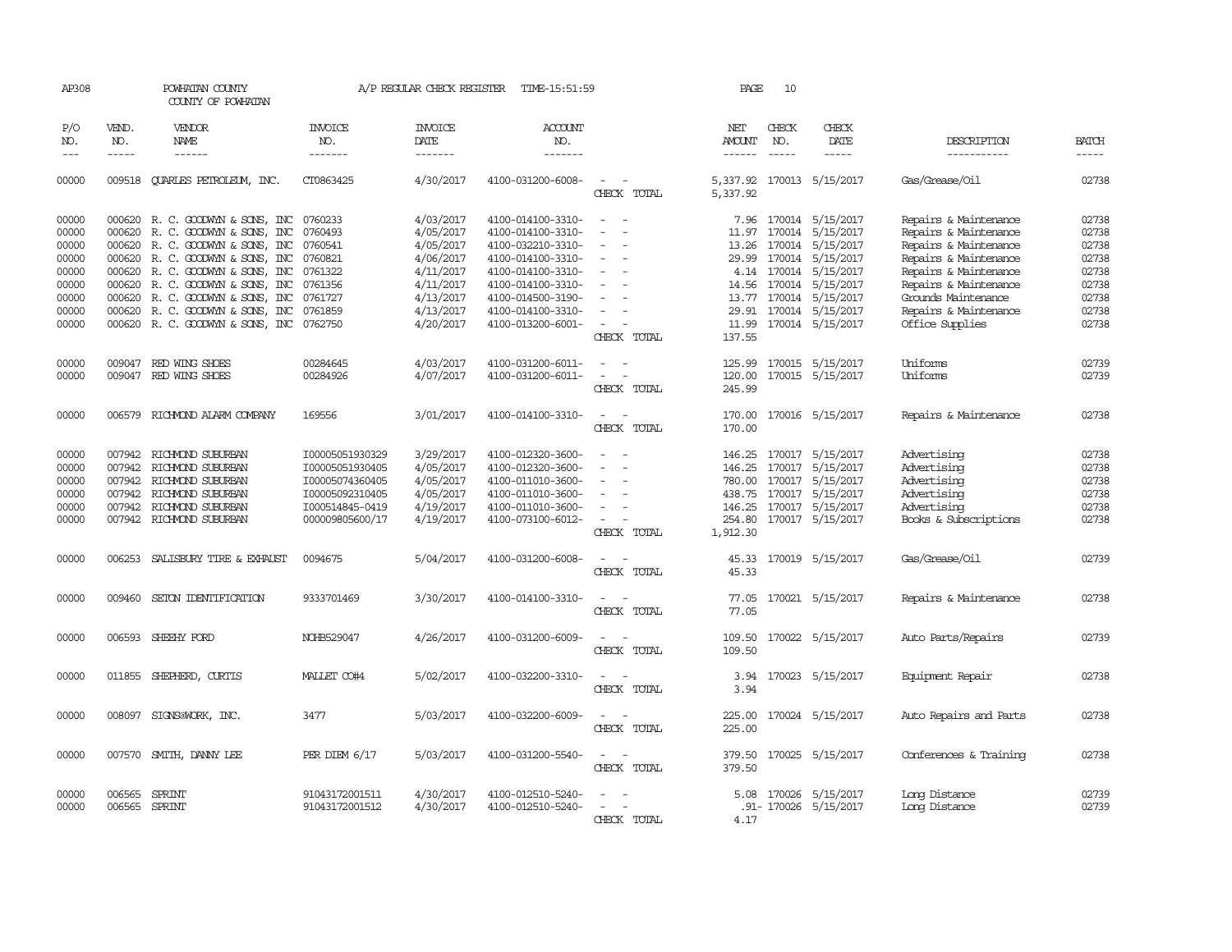| AP308                            |                             | POWHATAN COUNTY<br>COUNTY OF POWHATAN                                                                            |                                                                          | A/P REGULAR CHECK REGISTER                       | TIME-15:51:59                                                                    |                                                                                         | PAGE                                  | 10                          |                                                                                     |                                                                       |                                  |
|----------------------------------|-----------------------------|------------------------------------------------------------------------------------------------------------------|--------------------------------------------------------------------------|--------------------------------------------------|----------------------------------------------------------------------------------|-----------------------------------------------------------------------------------------|---------------------------------------|-----------------------------|-------------------------------------------------------------------------------------|-----------------------------------------------------------------------|----------------------------------|
| P/O<br>NO.<br>$---$              | VEND.<br>NO.<br>$- - - - -$ | VENDOR<br><b>NAME</b><br>$- - - - - -$                                                                           | <b>INVOICE</b><br>NO.<br>-------                                         | <b>INVOICE</b><br><b>DATE</b><br>-------         | <b>ACCOUNT</b><br>NO.<br>-------                                                 |                                                                                         | NET<br><b>AMOUNT</b><br>$- - - - - -$ | CHECK<br>NO.<br>$- - - - -$ | CHECK<br>DATE<br>-----                                                              | DESCRIPTION<br>-----------                                            | <b>BATCH</b><br>$- - - - -$      |
| 00000                            | 009518                      | <b>OUARLES PETROLEUM, INC.</b>                                                                                   | CT0863425                                                                | 4/30/2017                                        | 4100-031200-6008-                                                                | CHECK TOTAL                                                                             | 5,337.92<br>5,337.92                  |                             | 170013 5/15/2017                                                                    | Gas/Grease/Oil                                                        | 02738                            |
| 00000<br>00000                   |                             | 000620 R. C. GOODWYN & SONS, INC<br>000620 R. C. GOODWYN & SONS, INC                                             | 0760233<br>0760493                                                       | 4/03/2017<br>4/05/2017                           | 4100-014100-3310-<br>4100-014100-3310-                                           | $\sim$<br>$\sim$                                                                        | 7.96                                  |                             | 170014 5/15/2017<br>11.97 170014 5/15/2017                                          | Repairs & Maintenance<br>Repairs & Maintenance                        | 02738<br>02738                   |
| 00000<br>00000                   |                             | 000620 R. C. GOODWYN & SONS, INC 0760541<br>000620 R.C. GOODWYN & SONS, INC                                      | 0760821                                                                  | 4/05/2017<br>4/06/2017                           | 4100-032210-3310-<br>4100-014100-3310-                                           | $\overline{\phantom{a}}$<br>$\sim$                                                      | 13.26<br>29.99                        |                             | 170014 5/15/2017<br>170014 5/15/2017                                                | Repairs & Maintenance<br>Repairs & Maintenance                        | 02738<br>02738                   |
| 00000<br>00000<br>00000          |                             | 000620 R. C. GOODWYN & SONS, INC<br>000620 R. C. GOODWYN & SONS, INC<br>000620 R. C. GOODWYN & SONS, INC 0761727 | 0761322<br>0761356                                                       | 4/11/2017<br>4/11/2017<br>4/13/2017              | 4100-014100-3310-<br>4100-014100-3310-<br>4100-014500-3190-                      | $\sim$<br>$\overline{\phantom{a}}$<br>$\equiv$                                          |                                       |                             | 4.14 170014 5/15/2017<br>14.56 170014 5/15/2017<br>13.77 170014 5/15/2017           | Repairs & Maintenance<br>Repairs & Maintenance<br>Grounds Maintenance | 02738<br>02738<br>02738          |
| 00000<br>00000                   |                             | 000620 R. C. GOODWYN & SONS, INC 0761859<br>000620 R. C. GOODWIN & SONS, INC 0762750                             |                                                                          | 4/13/2017<br>4/20/2017                           | 4100-014100-3310-<br>4100-013200-6001-                                           | $\sim$<br>CHECK TOTAL                                                                   | 137.55                                |                             | 29.91 170014 5/15/2017<br>11.99 170014 5/15/2017                                    | Repairs & Maintenance<br>Office Supplies                              | 02738<br>02738                   |
| 00000<br>00000                   |                             | 009047 RED WING SHOES<br>009047 RED WING SHOES                                                                   | 00284645<br>00284926                                                     | 4/03/2017<br>4/07/2017                           | 4100-031200-6011-<br>4100-031200-6011-                                           | $\overline{\phantom{a}}$<br>$\sim$<br>$\sim$<br>$\overline{\phantom{a}}$<br>CHECK TOTAL | 120.00<br>245.99                      |                             | 125.99 170015 5/15/2017<br>170015 5/15/2017                                         | Uniforms<br>Uniforms                                                  | 02739<br>02739                   |
| 00000                            |                             | 006579 RICHMOND ALARM COMPANY                                                                                    | 169556                                                                   | 3/01/2017                                        | 4100-014100-3310-                                                                | $\sim$<br>$\sim$<br>CHECK TOTAL                                                         | 170.00                                |                             | 170.00 170016 5/15/2017                                                             | Repairs & Maintenance                                                 | 02738                            |
| 00000<br>00000<br>00000<br>00000 | 007942                      | 007942 RICHMOND SUBURBAN<br>RICHMOND SUBURBAN<br>007942 RICHMOND SUBURBAN<br>007942 RICHMOND SUBURBAN            | I00005051930329<br>I00005051930405<br>I00005074360405<br>I00005092310405 | 3/29/2017<br>4/05/2017<br>4/05/2017<br>4/05/2017 | 4100-012320-3600-<br>4100-012320-3600-<br>4100-011010-3600-<br>4100-011010-3600- | $\equiv$<br>$\overline{\phantom{a}}$<br>$\overline{\phantom{a}}$<br>$\sim$              | 146.25<br>780.00                      | 170017                      | 146.25 170017 5/15/2017<br>5/15/2017<br>170017 5/15/2017<br>438.75 170017 5/15/2017 | Advertising<br>Advertising<br>Advertising<br>Advertising              | 02738<br>02738<br>02738<br>02738 |
| 00000<br>00000                   |                             | 007942 RICHMOND SUBURBAN<br>007942 RICHMOND SUBURBAN                                                             | I000514845-0419<br>000009805600/17                                       | 4/19/2017<br>4/19/2017                           | 4100-011010-3600-<br>4100-073100-6012-                                           | $\sim$<br>$\sim$<br>CHECK TOTAL                                                         | 254.80<br>1,912.30                    |                             | 146.25 170017 5/15/2017<br>170017 5/15/2017                                         | Advertising<br>Books & Subscriptions                                  | 02738<br>02738                   |
| 00000                            | 006253                      | SALISBURY TIRE & EXHAUST                                                                                         | 0094675                                                                  | 5/04/2017                                        | 4100-031200-6008-                                                                | CHECK TOTAL                                                                             | 45.33                                 |                             | 45.33 170019 5/15/2017                                                              | Gas/Grease/Oil                                                        | 02739                            |
| 00000                            | 009460                      | SEION IDENTIFICATION                                                                                             | 9333701469                                                               | 3/30/2017                                        | 4100-014100-3310-                                                                | CHECK TOTAL                                                                             | 77.05                                 |                             | 77.05 170021 5/15/2017                                                              | Repairs & Maintenance                                                 | 02738                            |
| 00000                            | 006593                      | SHEEHY FORD                                                                                                      | NOHB529047                                                               | 4/26/2017                                        | 4100-031200-6009-                                                                | CHECK TOTAL                                                                             | 109.50<br>109.50                      |                             | 170022 5/15/2017                                                                    | Auto Parts/Repairs                                                    | 02739                            |
| 00000                            | 011855                      | SHEPHERD, CURTIS                                                                                                 | MALLET CO#4                                                              | 5/02/2017                                        | 4100-032200-3310-                                                                | CHECK TOTAL                                                                             | 3.94<br>3.94                          |                             | 170023 5/15/2017                                                                    | Equipment Repair                                                      | 02738                            |
| 00000                            | 008097                      | SIGNS@WORK, INC.                                                                                                 | 3477                                                                     | 5/03/2017                                        | 4100-032200-6009-                                                                | CHECK TOTAL                                                                             | 225.00<br>225.00                      |                             | 170024 5/15/2017                                                                    | Auto Repairs and Parts                                                | 02738                            |
| 00000                            | 007570                      | SMITH, DANNY LEE                                                                                                 | PER DIEM $6/17$                                                          | 5/03/2017                                        | 4100-031200-5540-                                                                | CHECK TOTAL                                                                             | 379.50<br>379.50                      |                             | 170025 5/15/2017                                                                    | Conferences & Training                                                | 02738                            |
| 00000<br>00000                   | 006565                      | SPRINT<br>006565 SPRINT                                                                                          | 91043172001511<br>91043172001512                                         | 4/30/2017<br>4/30/2017                           | 4100-012510-5240-<br>4100-012510-5240-                                           | CHECK TOTAL                                                                             | 5.08<br>4.17                          |                             | 170026 5/15/2017<br>.91- 170026 5/15/2017                                           | Long Distance<br>Long Distance                                        | 02739<br>02739                   |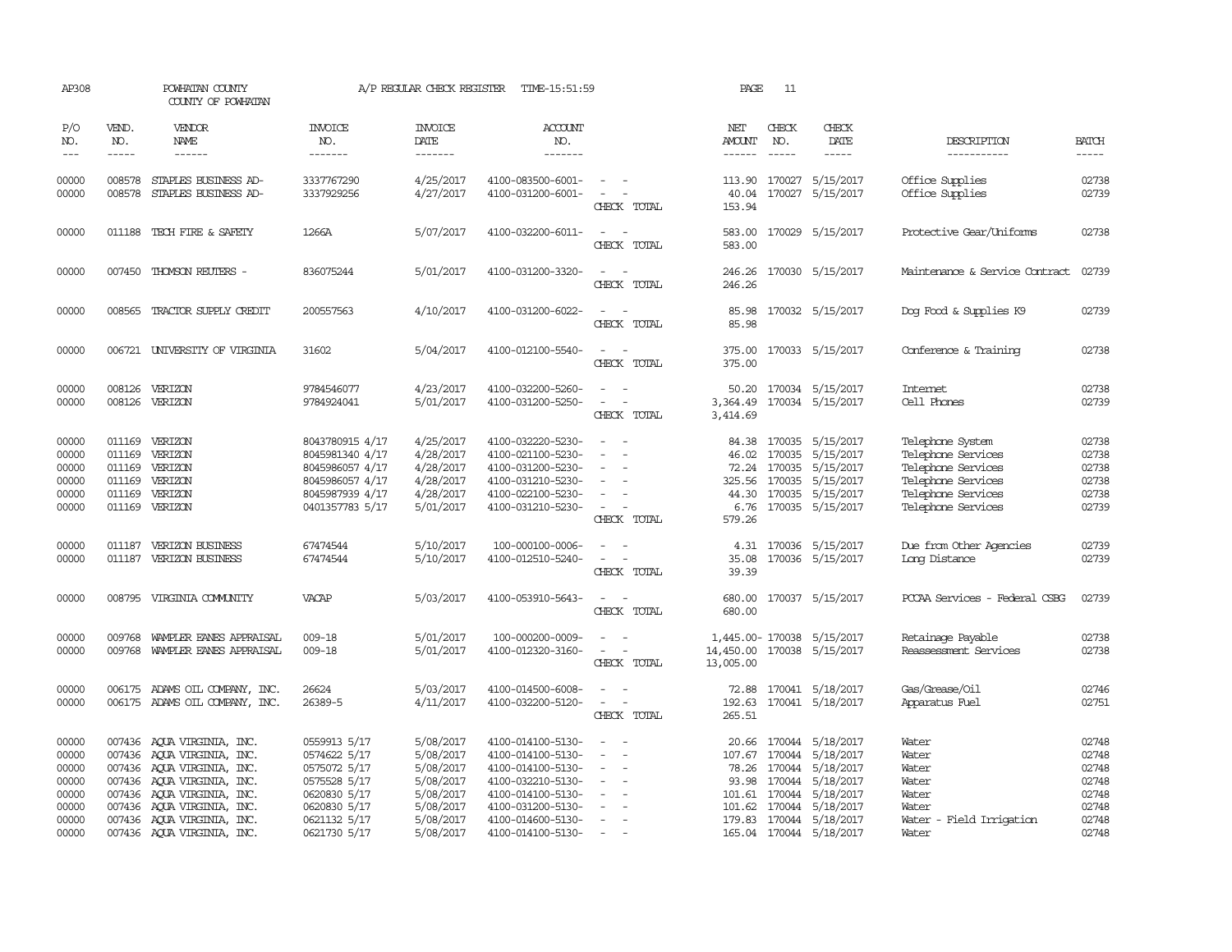| AP308                                                                |                               | POWHATAN COUNTY<br>COUNTY OF POWHATAN                                                                                                                                                                                                        |                                                                                                                              | A/P REGULAR CHECK REGISTER                                                                           | TIME-15:51:59                                                                                                                                                        |                                                                                                                             | PAGE                          | 11                            |                                                                                                                                                                                                             |                                                                                                                                |                                                                      |
|----------------------------------------------------------------------|-------------------------------|----------------------------------------------------------------------------------------------------------------------------------------------------------------------------------------------------------------------------------------------|------------------------------------------------------------------------------------------------------------------------------|------------------------------------------------------------------------------------------------------|----------------------------------------------------------------------------------------------------------------------------------------------------------------------|-----------------------------------------------------------------------------------------------------------------------------|-------------------------------|-------------------------------|-------------------------------------------------------------------------------------------------------------------------------------------------------------------------------------------------------------|--------------------------------------------------------------------------------------------------------------------------------|----------------------------------------------------------------------|
| P/O<br>NO.<br>$---$                                                  | VEND.<br>NO.<br>$\frac{1}{2}$ | VENDOR<br>NAME                                                                                                                                                                                                                               | <b>INVOICE</b><br>NO.<br>-------                                                                                             | <b>INVOICE</b><br>DATE<br>-------                                                                    | ACCOUNT<br>NO.<br>-------                                                                                                                                            |                                                                                                                             | NET<br>AMOUNT<br>-------      | CHECK<br>NO.<br>$\frac{1}{2}$ | CHECK<br>DATE<br>$- - - - -$                                                                                                                                                                                | DESCRIPTION<br>-----------                                                                                                     | <b>BATCH</b><br>-----                                                |
| 00000<br>00000                                                       | 008578<br>008578              | STAPLES BUSINESS AD-<br>STAPLES BUSINESS AD-                                                                                                                                                                                                 | 3337767290<br>3337929256                                                                                                     | 4/25/2017<br>4/27/2017                                                                               | 4100-083500-6001-<br>4100-031200-6001-                                                                                                                               | $\sim$ $ -$<br>$\sim$ $-$<br>CHECK TOTAL                                                                                    | 153.94                        |                               | 113.90 170027 5/15/2017<br>40.04 170027 5/15/2017                                                                                                                                                           | Office Supplies<br>Office Supplies                                                                                             | 02738<br>02739                                                       |
| 00000                                                                |                               | 011188 TECH FIRE & SAFETY                                                                                                                                                                                                                    | 1266A                                                                                                                        | 5/07/2017                                                                                            | 4100-032200-6011-                                                                                                                                                    | $\overline{\phantom{a}}$<br>CHECK TOTAL                                                                                     | 583.00<br>583.00              |                               | 170029 5/15/2017                                                                                                                                                                                            | Protective Gear/Uniforms                                                                                                       | 02738                                                                |
| 00000                                                                |                               | 007450 THOMSON REUTERS -                                                                                                                                                                                                                     | 836075244                                                                                                                    | 5/01/2017                                                                                            | 4100-031200-3320-                                                                                                                                                    | $\sim$<br>CHECK TOTAL                                                                                                       | 246.26<br>246.26              |                               | 170030 5/15/2017                                                                                                                                                                                            | Maintenance & Service Contract                                                                                                 | 02739                                                                |
| 00000                                                                | 008565                        | TRACTOR SUPPLY CREDIT                                                                                                                                                                                                                        | 200557563                                                                                                                    | 4/10/2017                                                                                            | 4100-031200-6022-                                                                                                                                                    | $\overline{\phantom{a}}$<br>CHECK TOTAL                                                                                     | 85.98<br>85.98                |                               | 170032 5/15/2017                                                                                                                                                                                            | Dog Food & Supplies K9                                                                                                         | 02739                                                                |
| 00000                                                                |                               | 006721 UNIVERSITY OF VIRGINIA                                                                                                                                                                                                                | 31602                                                                                                                        | 5/04/2017                                                                                            | 4100-012100-5540-                                                                                                                                                    | $\frac{1}{2} \left( \frac{1}{2} \right) \left( \frac{1}{2} \right) = \frac{1}{2} \left( \frac{1}{2} \right)$<br>CHECK TOTAL | 375.00                        |                               | 375.00 170033 5/15/2017                                                                                                                                                                                     | Conference & Training                                                                                                          | 02738                                                                |
| 00000<br>00000                                                       | 008126<br>008126              | VERIZON<br>VERIZON                                                                                                                                                                                                                           | 9784546077<br>9784924041                                                                                                     | 4/23/2017<br>5/01/2017                                                                               | 4100-032200-5260-<br>4100-031200-5250-                                                                                                                               | $\sim$<br>CHECK TOTAL                                                                                                       | 50.20<br>3,364.49<br>3,414.69 |                               | 170034 5/15/2017<br>170034 5/15/2017                                                                                                                                                                        | Internet<br>Cell Phones                                                                                                        | 02738<br>02739                                                       |
| 00000<br>00000<br>00000<br>00000<br>00000<br>00000                   | 011169<br>011169              | 011169 VERIZON<br>VERIZON<br>VERIZON<br>011169 VERIZON<br>011169 VERIZON<br>011169 VERIZON                                                                                                                                                   | 8043780915 4/17<br>8045981340 4/17<br>8045986057 4/17<br>8045986057 4/17<br>8045987939 4/17<br>0401357783 5/17               | 4/25/2017<br>4/28/2017<br>4/28/2017<br>4/28/2017<br>4/28/2017<br>5/01/2017                           | 4100-032220-5230-<br>4100-021100-5230-<br>4100-031200-5230-<br>4100-031210-5230-<br>4100-022100-5230-<br>4100-031210-5230-                                           | $ -$<br>$\sim$<br>$\sim$<br>CHECK TOTAL                                                                                     | 46.02<br>579.26               |                               | 84.38 170035 5/15/2017<br>170035 5/15/2017<br>72.24 170035 5/15/2017<br>325.56 170035 5/15/2017<br>44.30 170035 5/15/2017<br>6.76 170035 5/15/2017                                                          | Telephone System<br>Telephone Services<br>Telephone Services<br>Telephone Services<br>Telephone Services<br>Telephone Services | 02738<br>02738<br>02738<br>02738<br>02738<br>02739                   |
| 00000<br>00000                                                       |                               | 011187 VERIZON BUSINESS<br>011187 VERIZON BUSINESS                                                                                                                                                                                           | 67474544<br>67474544                                                                                                         | 5/10/2017<br>5/10/2017                                                                               | 100-000100-0006-<br>4100-012510-5240-                                                                                                                                | $\frac{1}{2} \left( \frac{1}{2} \right) \left( \frac{1}{2} \right) = \frac{1}{2} \left( \frac{1}{2} \right)$<br>CHECK TOTAL | 39.39                         |                               | 4.31 170036 5/15/2017<br>35.08 170036 5/15/2017                                                                                                                                                             | Due from Other Agencies<br>Long Distance                                                                                       | 02739<br>02739                                                       |
| 00000                                                                |                               | 008795 VIRGINIA COMUNITY                                                                                                                                                                                                                     | VACAP                                                                                                                        | 5/03/2017                                                                                            | 4100-053910-5643-                                                                                                                                                    | $\sim$ $ \sim$<br>CHECK TOTAL                                                                                               | 680.00                        |                               | 680.00 170037 5/15/2017                                                                                                                                                                                     | PCCAA Services - Federal CSBG                                                                                                  | 02739                                                                |
| 00000<br>00000                                                       | 009768                        | WAMPLER EANES APPRAISAL<br>009768 WAMPLER EANES APPRAISAL                                                                                                                                                                                    | $009 - 18$<br>009-18                                                                                                         | 5/01/2017<br>5/01/2017                                                                               | 100-000200-0009-<br>4100-012320-3160-                                                                                                                                | CHECK TOTAL                                                                                                                 | 13,005.00                     |                               | 1,445.00-170038 5/15/2017<br>14,450.00 170038 5/15/2017                                                                                                                                                     | Retainage Payable<br>Reassessment Services                                                                                     | 02738<br>02738                                                       |
| 00000<br>00000                                                       |                               | 006175 ADAMS OIL COMPANY, INC.<br>006175 ADAMS OIL COMPANY, INC.                                                                                                                                                                             | 26624<br>26389-5                                                                                                             | 5/03/2017<br>4/11/2017                                                                               | 4100-014500-6008-<br>4100-032200-5120-                                                                                                                               | $\sim 10^{-1}$<br>$\overline{\phantom{a}}$<br>CHECK TOTAL                                                                   | 265.51                        |                               | 72.88 170041 5/18/2017<br>192.63 170041 5/18/2017                                                                                                                                                           | Gas/Grease/Oil<br>Apparatus Fuel                                                                                               | 02746<br>02751                                                       |
| 00000<br>00000<br>00000<br>00000<br>00000<br>00000<br>00000<br>00000 |                               | 007436 AQUA VIRGINIA, INC.<br>007436 AQUA VIRGINIA, INC.<br>007436 AQUA VIRGINIA, INC.<br>007436 AQUA VIRGINIA, INC.<br>007436 AOUA VIRGINIA, INC.<br>007436 AQUA VIRGINIA, INC.<br>007436 AQUA VIRGINIA, INC.<br>007436 AOUA VIRGINIA, INC. | 0559913 5/17<br>0574622 5/17<br>0575072 5/17<br>0575528 5/17<br>0620830 5/17<br>0620830 5/17<br>0621132 5/17<br>0621730 5/17 | 5/08/2017<br>5/08/2017<br>5/08/2017<br>5/08/2017<br>5/08/2017<br>5/08/2017<br>5/08/2017<br>5/08/2017 | 4100-014100-5130-<br>4100-014100-5130-<br>4100-014100-5130-<br>4100-032210-5130-<br>4100-014100-5130-<br>4100-031200-5130-<br>4100-014600-5130-<br>4100-014100-5130- | $\equiv$<br>$\overline{\phantom{a}}$<br>$\sim$<br>$\sim$<br>$\overline{\phantom{a}}$<br>$\sim$                              | 93.98                         |                               | 20.66 170044 5/18/2017<br>107.67 170044 5/18/2017<br>78.26 170044 5/18/2017<br>170044 5/18/2017<br>101.61 170044 5/18/2017<br>101.62 170044 5/18/2017<br>179.83 170044 5/18/2017<br>165.04 170044 5/18/2017 | Water<br>Water<br>Water<br>Water<br>Water<br>Water<br>Water - Field Irrigation<br>Water                                        | 02748<br>02748<br>02748<br>02748<br>02748<br>02748<br>02748<br>02748 |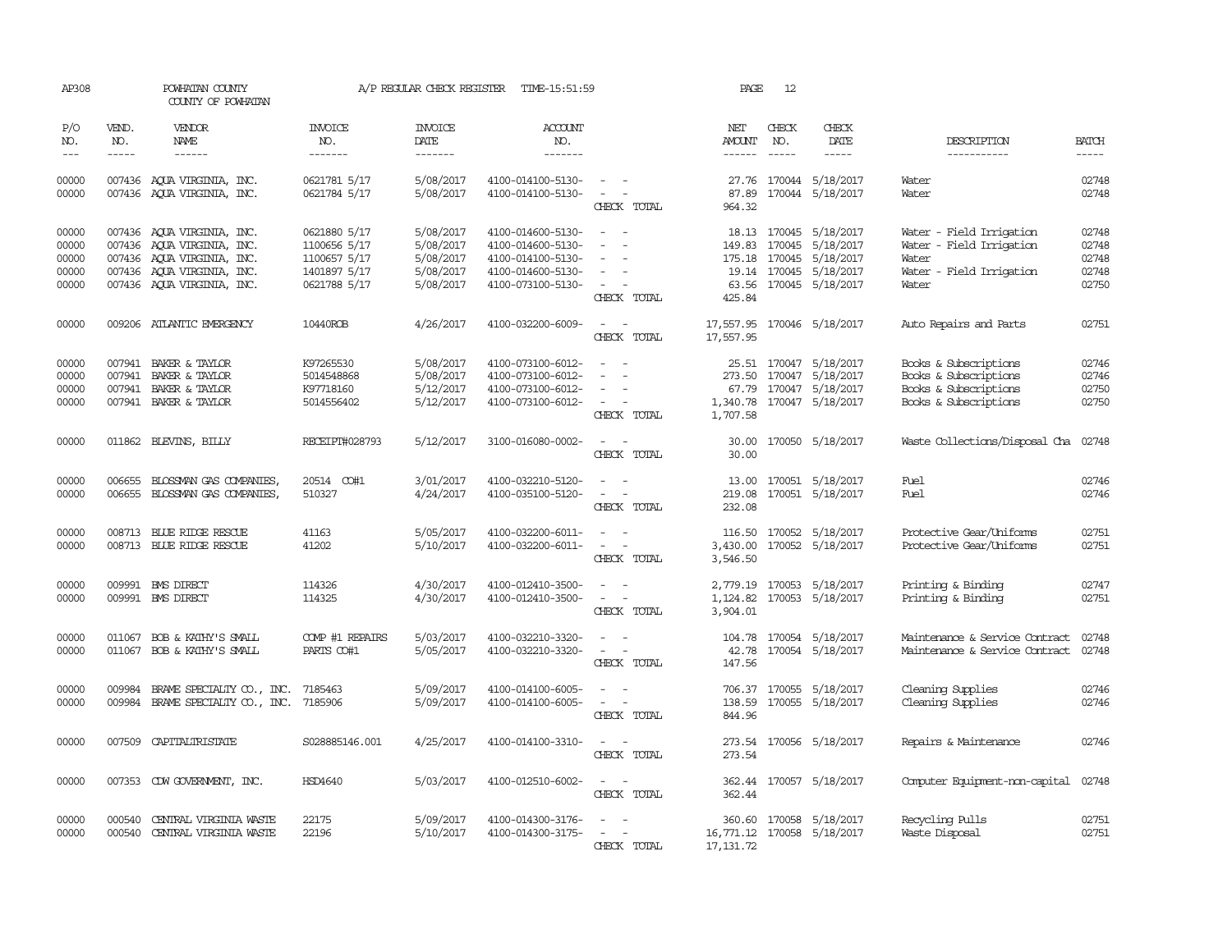| AP308                                     |                             | POWHATAN COUNTY<br>COUNTY OF POWHATAN                                                                                                              |                                                                              | A/P REGULAR CHECK REGISTER                                    | TIME-15:51:59                                                                                         |                                                                                                                             | PAGE                           | 12                                      |                                                                                                 |                                                                                                    |                                           |
|-------------------------------------------|-----------------------------|----------------------------------------------------------------------------------------------------------------------------------------------------|------------------------------------------------------------------------------|---------------------------------------------------------------|-------------------------------------------------------------------------------------------------------|-----------------------------------------------------------------------------------------------------------------------------|--------------------------------|-----------------------------------------|-------------------------------------------------------------------------------------------------|----------------------------------------------------------------------------------------------------|-------------------------------------------|
| P/O<br>NO.<br>$---$                       | VEND.<br>NO.<br>$- - - - -$ | <b>VENDOR</b><br>NAME<br>$- - - - - -$                                                                                                             | <b>INVOICE</b><br>NO.<br>-------                                             | <b>INVOICE</b><br>DATE<br>-------                             | <b>ACCOUNT</b><br>NO.<br>-------                                                                      |                                                                                                                             | NET<br>AMOUNT<br>$- - - - - -$ | CHECK<br>NO.<br>$\frac{1}{2}$           | CHECK<br>DATE<br>-----                                                                          | DESCRIPTION<br>-----------                                                                         | <b>BATCH</b><br>$\frac{1}{2}$             |
| 00000<br>00000                            |                             | 007436 AOUA VIRGINIA, INC.<br>007436 AQUA VIRGINIA, INC.                                                                                           | 0621781 5/17<br>0621784 5/17                                                 | 5/08/2017<br>5/08/2017                                        | 4100-014100-5130-<br>4100-014100-5130-                                                                | $\overline{\phantom{a}}$<br>$\overline{\phantom{a}}$<br>CHECK TOTAL                                                         | 87.89<br>964.32                |                                         | 27.76 170044 5/18/2017<br>170044 5/18/2017                                                      | Water<br>Water                                                                                     | 02748<br>02748                            |
| 00000<br>00000<br>00000<br>00000<br>00000 |                             | 007436 AQUA VIRGINIA, INC.<br>007436 AQUA VIRGINIA, INC.<br>007436 AQUA VIRGINIA, INC.<br>007436 AQUA VIRGINIA, INC.<br>007436 AQUA VIRGINIA, INC. | 0621880 5/17<br>1100656 5/17<br>1100657 5/17<br>1401897 5/17<br>0621788 5/17 | 5/08/2017<br>5/08/2017<br>5/08/2017<br>5/08/2017<br>5/08/2017 | 4100-014600-5130-<br>4100-014600-5130-<br>4100-014100-5130-<br>4100-014600-5130-<br>4100-073100-5130- | $\overline{\phantom{a}}$<br>$\overline{a}$<br>$\sim$<br>$\overline{\phantom{a}}$<br>$\sim$<br>$\sim$<br>CHECK TOTAL         | 149.83<br>425.84               | 170045<br>175.18 170045<br>19.14 170045 | 18.13 170045 5/18/2017<br>5/18/2017<br>5/18/2017<br>5/18/2017<br>63.56 170045 5/18/2017         | Water - Field Irrigation<br>Water - Field Irrigation<br>Water<br>Water - Field Irrigation<br>Water | 02748<br>02748<br>02748<br>02748<br>02750 |
| 00000                                     |                             | 009206 ATLANTIC EMERGENCY                                                                                                                          | 10440ROB                                                                     | 4/26/2017                                                     | 4100-032200-6009-                                                                                     | $\sim$ $\sim$<br>CHECK TOTAL                                                                                                | 17,557.95                      |                                         | 17,557.95 170046 5/18/2017                                                                      | Auto Repairs and Parts                                                                             | 02751                                     |
| 00000<br>00000<br>00000<br>00000          | 007941<br>007941            | 007941 BAKER & TAYLOR<br>BAKER & TAYLOR<br>BAKER & TAYLOR<br>007941 BAKER & TAYLOR                                                                 | K97265530<br>5014548868<br>K97718160<br>5014556402                           | 5/08/2017<br>5/08/2017<br>5/12/2017<br>5/12/2017              | 4100-073100-6012-<br>4100-073100-6012-<br>4100-073100-6012-<br>4100-073100-6012-                      | $\overline{\phantom{a}}$<br>$\sim$<br>CHECK TOTAL                                                                           | 1,340.78<br>1,707.58           |                                         | 25.51 170047 5/18/2017<br>273.50 170047 5/18/2017<br>67.79 170047 5/18/2017<br>170047 5/18/2017 | Books & Subscriptions<br>Books & Subscriptions<br>Books & Subscriptions<br>Books & Subscriptions   | 02746<br>02746<br>02750<br>02750          |
| 00000                                     |                             | 011862 BLEVINS, BILLY                                                                                                                              | RECEIPT#028793                                                               | 5/12/2017                                                     | 3100-016080-0002-                                                                                     | $\sim$<br>CHECK TOTAL                                                                                                       | 30.00                          |                                         | 30.00 170050 5/18/2017                                                                          | Waste Collections/Disposal Cha                                                                     | 02748                                     |
| 00000<br>00000                            | 006655                      | BLOSSMAN GAS COMPANIES<br>006655 BLOSSMAN GAS COMPANIES,                                                                                           | 20514 CO#1<br>510327                                                         | 3/01/2017<br>4/24/2017                                        | 4100-032210-5120-<br>4100-035100-5120-                                                                | $\overline{\phantom{a}}$<br>$\overline{\phantom{a}}$<br>$\overline{\phantom{a}}$<br>CHECK TOTAL                             | 13.00<br>219.08<br>232.08      |                                         | 170051 5/18/2017<br>170051 5/18/2017                                                            | Fuel<br>Fuel                                                                                       | 02746<br>02746                            |
| 00000<br>00000                            |                             | 008713 BLUE RIDGE RESCUE<br>008713 BLUE RIDGE RESCUE                                                                                               | 41163<br>41202                                                               | 5/05/2017<br>5/10/2017                                        | 4100-032200-6011-<br>4100-032200-6011-                                                                | $\overline{\phantom{a}}$<br>$\overline{\phantom{a}}$<br>$\overline{\phantom{a}}$<br>$\overline{\phantom{a}}$<br>CHECK TOTAL | 116.50<br>3,430.00<br>3,546.50 |                                         | 170052 5/18/2017<br>170052 5/18/2017                                                            | Protective Gear/Uniforms<br>Protective Gear/Uniforms                                               | 02751<br>02751                            |
| 00000<br>00000                            |                             | 009991 BMS DIRECT<br>009991 BMS DIRECT                                                                                                             | 114326<br>114325                                                             | 4/30/2017<br>4/30/2017                                        | 4100-012410-3500-<br>4100-012410-3500-                                                                | $\overline{\phantom{a}}$<br>$\overline{\phantom{a}}$<br>CHECK TOTAL                                                         | 1,124.82<br>3,904.01           |                                         | 2,779.19 170053 5/18/2017<br>170053 5/18/2017                                                   | Printing & Binding<br>Printing & Binding                                                           | 02747<br>02751                            |
| 00000<br>00000                            |                             | 011067 BOB & KATHY'S SMALL<br>011067 BOB & KATHY'S SMALL                                                                                           | COMP #1 REPAIRS<br>PARIS CO#1                                                | 5/03/2017<br>5/05/2017                                        | 4100-032210-3320-<br>4100-032210-3320-                                                                | $\overline{\phantom{a}}$<br>CHECK TOTAL                                                                                     | 42.78<br>147.56                |                                         | 104.78 170054 5/18/2017<br>170054 5/18/2017                                                     | Maintenance & Service Contract<br>Maintenance & Service Contract                                   | 02748<br>02748                            |
| 00000<br>00000                            | 009984                      | BRAME SPECIALITY CO., INC.<br>009984 BRAME SPECIALITY CO., INC.                                                                                    | 7185463<br>7185906                                                           | 5/09/2017<br>5/09/2017                                        | 4100-014100-6005-<br>4100-014100-6005-                                                                | $\sim$<br>$\overline{\phantom{a}}$<br>CHECK TOTAL                                                                           | 138.59<br>844.96               |                                         | 706.37 170055 5/18/2017<br>170055 5/18/2017                                                     | Cleaning Supplies<br>Cleaning Supplies                                                             | 02746<br>02746                            |
| 00000                                     |                             | 007509 CAPITALIRISTATE                                                                                                                             | S028885146.001                                                               | 4/25/2017                                                     | 4100-014100-3310-                                                                                     | $\sim$<br>CHECK TOTAL                                                                                                       | 273.54                         |                                         | 273.54 170056 5/18/2017                                                                         | Repairs & Maintenance                                                                              | 02746                                     |
| 00000                                     |                             | 007353 CDW GOVERNMENT, INC.                                                                                                                        | HSD4640                                                                      | 5/03/2017                                                     | 4100-012510-6002-                                                                                     | $\sim$ $\sim$<br>CHECK TOTAL                                                                                                | 362.44                         |                                         | 362.44 170057 5/18/2017                                                                         | Computer Equipment-non-capital                                                                     | 02748                                     |
| 00000<br>00000                            | 000540<br>000540            | CENTRAL VIRGINIA WASTE<br>CENTRAL VIRGINIA WASTE                                                                                                   | 22175<br>22196                                                               | 5/09/2017<br>5/10/2017                                        | 4100-014300-3176-<br>4100-014300-3175-                                                                | $\overline{\phantom{a}}$<br>CHECK TOTAL                                                                                     | 17, 131.72                     |                                         | 360.60 170058 5/18/2017<br>16,771.12 170058 5/18/2017                                           | Recycling Pulls<br>Waste Disposal                                                                  | 02751<br>02751                            |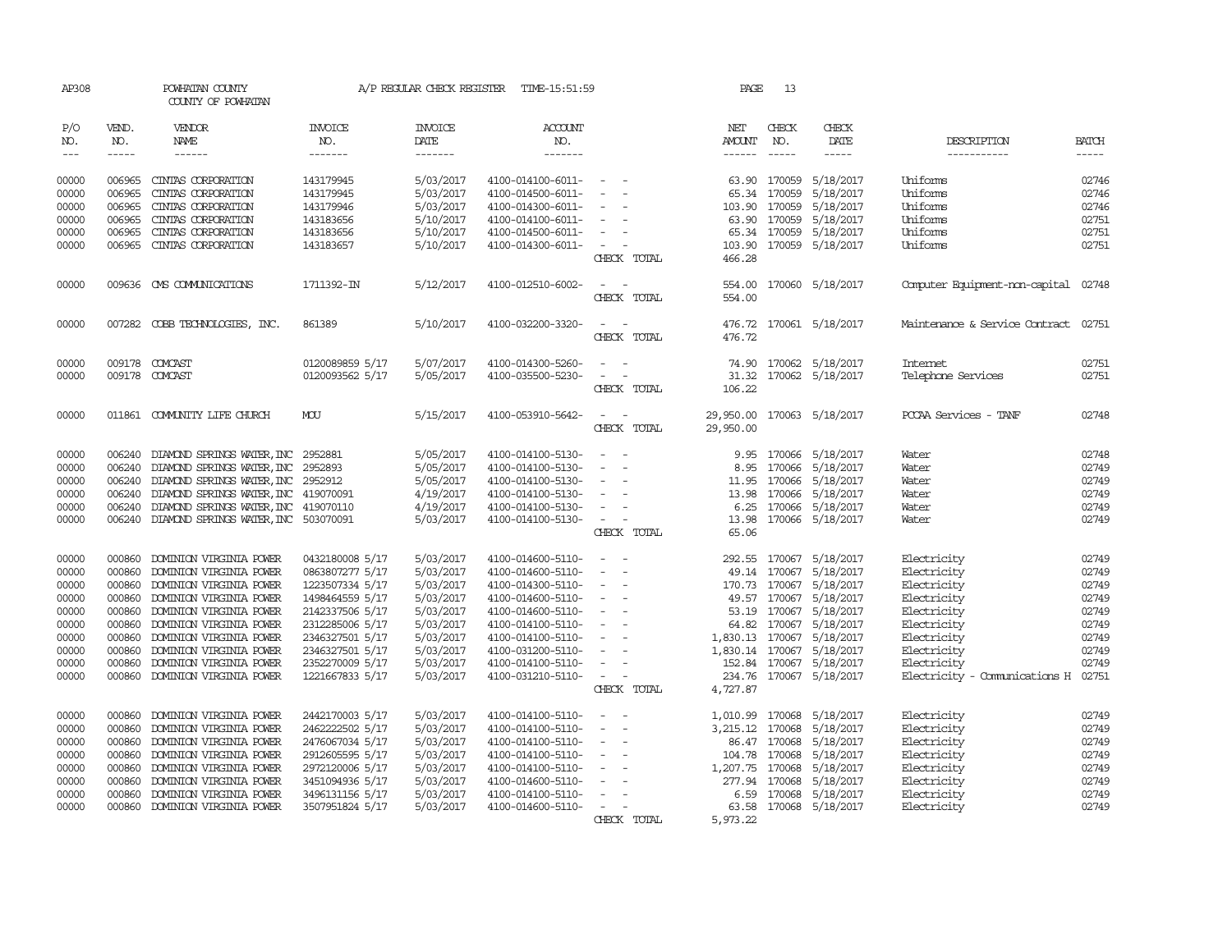| AP308                                                                                  |                                                                                                                                                                                                                                                                                                                                                                                                                                                                                                     | POWHATAN COUNTY<br>COUNTY OF POWHATAN                                                                                                                                                                                                                                                                                                                                                                                                                                     |                                                                                                                                                                                            | A/P REGULAR CHECK REGISTER                                                                                                     | TIME-15:51:59                                                                                                                                                                                                  |                                                                                                                                                                                                                       | PAGE                                    | 13                                            |                                                                                                                                                                                                                                                              |                                                                                                                                                                      |                                                                                        |
|----------------------------------------------------------------------------------------|-----------------------------------------------------------------------------------------------------------------------------------------------------------------------------------------------------------------------------------------------------------------------------------------------------------------------------------------------------------------------------------------------------------------------------------------------------------------------------------------------------|---------------------------------------------------------------------------------------------------------------------------------------------------------------------------------------------------------------------------------------------------------------------------------------------------------------------------------------------------------------------------------------------------------------------------------------------------------------------------|--------------------------------------------------------------------------------------------------------------------------------------------------------------------------------------------|--------------------------------------------------------------------------------------------------------------------------------|----------------------------------------------------------------------------------------------------------------------------------------------------------------------------------------------------------------|-----------------------------------------------------------------------------------------------------------------------------------------------------------------------------------------------------------------------|-----------------------------------------|-----------------------------------------------|--------------------------------------------------------------------------------------------------------------------------------------------------------------------------------------------------------------------------------------------------------------|----------------------------------------------------------------------------------------------------------------------------------------------------------------------|----------------------------------------------------------------------------------------|
| P/O<br>NO.<br>$---$                                                                    | VEND.<br>NO.<br>$\begin{tabular}{ccccc} \multicolumn{2}{c}{} & \multicolumn{2}{c}{} & \multicolumn{2}{c}{} & \multicolumn{2}{c}{} & \multicolumn{2}{c}{} & \multicolumn{2}{c}{} & \multicolumn{2}{c}{} & \multicolumn{2}{c}{} & \multicolumn{2}{c}{} & \multicolumn{2}{c}{} & \multicolumn{2}{c}{} & \multicolumn{2}{c}{} & \multicolumn{2}{c}{} & \multicolumn{2}{c}{} & \multicolumn{2}{c}{} & \multicolumn{2}{c}{} & \multicolumn{2}{c}{} & \multicolumn{2}{c}{} & \multicolumn{2}{c}{} & \mult$ | VENDOR<br>NAME<br>$\begin{tabular}{ccccc} \multicolumn{2}{c }{\multicolumn{2}{c }{\multicolumn{2}{c }{\multicolumn{2}{c}}{\hspace{-2.2cm}}}} \multicolumn{2}{c }{\multicolumn{2}{c }{\hspace{-2.2cm}}\hline} \multicolumn{2}{c }{\hspace{-2.2cm}}\hline \multicolumn{2}{c }{\hspace{-2.2cm}}\hline \multicolumn{2}{c }{\hspace{-2.2cm}}\hline \multicolumn{2}{c }{\hspace{-2.2cm}}\hline \multicolumn{2}{c }{\hspace{-2.2cm}}\hline \multicolumn{2}{c }{\hspace{-2.2cm}}$ | <b>INVOICE</b><br>NO.<br>-------                                                                                                                                                           | <b>INVOICE</b><br>DATE<br>-------                                                                                              | <b>ACCOUNT</b><br>NO.<br>-------                                                                                                                                                                               |                                                                                                                                                                                                                       | NET<br>AMOUNT<br>------                 | CHECK<br>NO.<br>$- - - - -$                   | CHECK<br>DATE<br>$\cdots \cdots \cdots$                                                                                                                                                                                                                      | DESCRIPTION<br>-----------                                                                                                                                           | <b>BATCH</b><br>-----                                                                  |
| 00000<br>00000<br>00000<br>00000<br>00000<br>00000<br>00000<br>00000                   | 006965<br>006965<br>006965<br>006965<br>006965                                                                                                                                                                                                                                                                                                                                                                                                                                                      | CINTAS CORPORATION<br>CINIAS CORPORATION<br>CINIAS CORPORATION<br>CINIAS CORPORATION<br>CINIAS CORPORATION<br>006965 CINIAS CORPORATION<br>009636 CMS COMMUNICATIONS<br>007282 COBB TECHNOLOGIES, INC.                                                                                                                                                                                                                                                                    | 143179945<br>143179945<br>143179946<br>143183656<br>143183656<br>143183657<br>1711392-IN<br>861389                                                                                         | 5/03/2017<br>5/03/2017<br>5/03/2017<br>5/10/2017<br>5/10/2017<br>5/10/2017<br>5/12/2017<br>5/10/2017                           | 4100-014100-6011-<br>4100-014500-6011-<br>4100-014300-6011-<br>4100-014100-6011-<br>4100-014500-6011-<br>4100-014300-6011-<br>4100-012510-6002-<br>4100-032200-3320-                                           | $\overline{\phantom{a}}$<br>$\sim$<br>$\overline{\phantom{a}}$<br>$\sim$<br>CHECK TOTAL<br>CHECK TOTAL                                                                                                                | 466.28<br>554.00                        | 63.90 170059<br>65.34 170059<br>103.90 170059 | 5/18/2017<br>5/18/2017<br>5/18/2017<br>63.90 170059 5/18/2017<br>65.34 170059 5/18/2017<br>103.90 170059 5/18/2017<br>554.00 170060 5/18/2017<br>476.72 170061 5/18/2017                                                                                     | Uniforms<br>Uniforms<br>Uniforms<br>Uniforms<br>Uniforms<br>Uniforms<br>Computer Equipment-non-capital 02748<br>Maintenance & Service Contract                       | 02746<br>02746<br>02746<br>02751<br>02751<br>02751<br>02751                            |
| 00000<br>00000                                                                         | 009178                                                                                                                                                                                                                                                                                                                                                                                                                                                                                              | 009178 COMCAST<br>COMCAST                                                                                                                                                                                                                                                                                                                                                                                                                                                 | 0120089859 5/17<br>0120093562 5/17                                                                                                                                                         | 5/07/2017<br>5/05/2017                                                                                                         | 4100-014300-5260-<br>4100-035500-5230-                                                                                                                                                                         | CHECK TOTAL<br>$\overline{\phantom{a}}$<br>CHECK TOTAL                                                                                                                                                                | 476.72<br>74.90<br>31.32<br>106.22      |                                               | 170062 5/18/2017<br>170062 5/18/2017                                                                                                                                                                                                                         | Internet<br>Telephone Services                                                                                                                                       | 02751<br>02751                                                                         |
| 00000                                                                                  |                                                                                                                                                                                                                                                                                                                                                                                                                                                                                                     | 011861 COMUNITY LIFE CHURCH                                                                                                                                                                                                                                                                                                                                                                                                                                               | MOU                                                                                                                                                                                        | 5/15/2017                                                                                                                      | 4100-053910-5642-                                                                                                                                                                                              | $\frac{1}{2} \left( \frac{1}{2} \right) \left( \frac{1}{2} \right) = \frac{1}{2} \left( \frac{1}{2} \right)$<br>CHECK TOTAL                                                                                           | 29,950.00                               |                                               | 29,950.00 170063 5/18/2017                                                                                                                                                                                                                                   | PCCAA Services - TANF                                                                                                                                                | 02748                                                                                  |
| 00000<br>00000<br>00000<br>00000<br>00000<br>00000                                     | 006240<br>006240                                                                                                                                                                                                                                                                                                                                                                                                                                                                                    | 006240 DIAMOND SPRINGS WATER, INC 2952881<br>DIAMOND SPRINGS WATER, INC<br>DIAMOND SPRINGS WATER, INC<br>006240 DIAMOND SPRINGS WATER, INC 419070091<br>006240 DIAMOND SPRINGS WATER, INC 419070110<br>006240 DIAMOND SPRINGS WATER, INC 503070091                                                                                                                                                                                                                        | 2952893<br>2952912                                                                                                                                                                         | 5/05/2017<br>5/05/2017<br>5/05/2017<br>4/19/2017<br>4/19/2017<br>5/03/2017                                                     | 4100-014100-5130-<br>4100-014100-5130-<br>4100-014100-5130-<br>4100-014100-5130-<br>4100-014100-5130-<br>4100-014100-5130-                                                                                     | $\frac{1}{2} \left( \frac{1}{2} \right) \left( \frac{1}{2} \right) = \frac{1}{2} \left( \frac{1}{2} \right)$<br>$\overline{\phantom{a}}$<br>$\overline{\phantom{a}}$<br>$\sim$<br>$\sim$<br>$\sim$ $-$<br>CHECK TOTAL | 8.95<br>11.95<br>6.25<br>13.98<br>65.06 |                                               | 9.95 170066 5/18/2017<br>170066 5/18/2017<br>170066 5/18/2017<br>13.98 170066 5/18/2017<br>170066 5/18/2017<br>170066 5/18/2017                                                                                                                              | Water<br>Water<br>Water<br>Water<br>Water<br>Water                                                                                                                   | 02748<br>02749<br>02749<br>02749<br>02749<br>02749                                     |
| 00000<br>00000<br>00000<br>00000<br>00000<br>00000<br>00000<br>00000<br>00000<br>00000 | 000860<br>000860<br>000860<br>000860<br>000860<br>000860<br>000860<br>000860<br>000860<br>000860                                                                                                                                                                                                                                                                                                                                                                                                    | DOMINION VIRGINIA POWER<br>DOMINION VIRGINIA POWER<br>DOMINION VIRGINIA POWER<br>DOMINION VIRGINIA POWER<br>DOMINION VIRGINIA POWER<br>DOMINION VIRGINIA POWER<br>DOMINION VIRGINIA POWER<br>DOMINION VIRGINIA POWER<br>DOMINION VIRGINIA POWER<br>DOMINION VIRGINIA POWER                                                                                                                                                                                                | 0432180008 5/17<br>0863807277 5/17<br>1223507334 5/17<br>1498464559 5/17<br>2142337506 5/17<br>2312285006 5/17<br>2346327501 5/17<br>2346327501 5/17<br>2352270009 5/17<br>1221667833 5/17 | 5/03/2017<br>5/03/2017<br>5/03/2017<br>5/03/2017<br>5/03/2017<br>5/03/2017<br>5/03/2017<br>5/03/2017<br>5/03/2017<br>5/03/2017 | 4100-014600-5110-<br>4100-014600-5110-<br>4100-014300-5110-<br>4100-014600-5110-<br>4100-014600-5110-<br>4100-014100-5110-<br>4100-014100-5110-<br>4100-031200-5110-<br>4100-014100-5110-<br>4100-031210-5110- | $\overline{\phantom{a}}$<br>$\overline{\phantom{a}}$<br>$\sim$<br>$\sim$<br>$\sim$<br>$\sim$<br>$\overline{\phantom{a}}$<br>$\sim$<br>$\sim$<br>CHECK TOTAL                                                           | 170.73<br>234.76<br>4,727.87            |                                               | 292.55 170067 5/18/2017<br>49.14 170067 5/18/2017<br>170067 5/18/2017<br>49.57 170067 5/18/2017<br>53.19 170067 5/18/2017<br>64.82 170067 5/18/2017<br>1,830.13 170067 5/18/2017<br>1,830.14 170067 5/18/2017<br>152.84 170067 5/18/2017<br>170067 5/18/2017 | Electricity<br>Electricity<br>Electricity<br>Electricity<br>Electricity<br>Electricity<br>Electricity<br>Electricity<br>Electricity<br>Electricity - Comunications H | 02749<br>02749<br>02749<br>02749<br>02749<br>02749<br>02749<br>02749<br>02749<br>02751 |
| 00000<br>00000<br>00000<br>00000<br>00000<br>00000<br>00000<br>00000                   | 000860<br>000860<br>000860<br>000860<br>000860<br>000860<br>000860                                                                                                                                                                                                                                                                                                                                                                                                                                  | DOMINION VIRGINIA POWER<br>DOMINION VIRGINIA POWER<br>DOMINION VIRGINIA POWER<br>DOMINION VIRGINIA POWER<br>DOMINION VIRGINIA POWER<br>DOMINION VIRGINIA POWER<br>DOMINION VIRGINIA POWER<br>000860 DOMINION VIRGINIA POWER                                                                                                                                                                                                                                               | 2442170003 5/17<br>2462222502 5/17<br>2476067034 5/17<br>2912605595 5/17<br>2972120006 5/17<br>3451094936 5/17<br>3496131156 5/17<br>3507951824 5/17                                       | 5/03/2017<br>5/03/2017<br>5/03/2017<br>5/03/2017<br>5/03/2017<br>5/03/2017<br>5/03/2017<br>5/03/2017                           | 4100-014100-5110-<br>4100-014100-5110-<br>4100-014100-5110-<br>4100-014100-5110-<br>4100-014100-5110-<br>4100-014600-5110-<br>4100-014100-5110-<br>4100-014600-5110-                                           | $\overline{\phantom{a}}$<br>$\overline{\phantom{a}}$<br>$\sim$<br>$\overline{\phantom{a}}$<br>$\overline{\phantom{a}}$<br>$\overline{\phantom{a}}$<br>$\sim$<br>CHECK TOTAL                                           | 1,010.99<br>104.78<br>6.59<br>5,973.22  |                                               | 170068 5/18/2017<br>3,215.12 170068 5/18/2017<br>86.47 170068 5/18/2017<br>170068 5/18/2017<br>1,207.75 170068 5/18/2017<br>277.94 170068 5/18/2017<br>170068 5/18/2017<br>63.58 170068 5/18/2017                                                            | Electricity<br>Electricity<br>Electricity<br>Electricity<br>Electricity<br>Electricity<br>Electricity<br>Electricity                                                 | 02749<br>02749<br>02749<br>02749<br>02749<br>02749<br>02749<br>02749                   |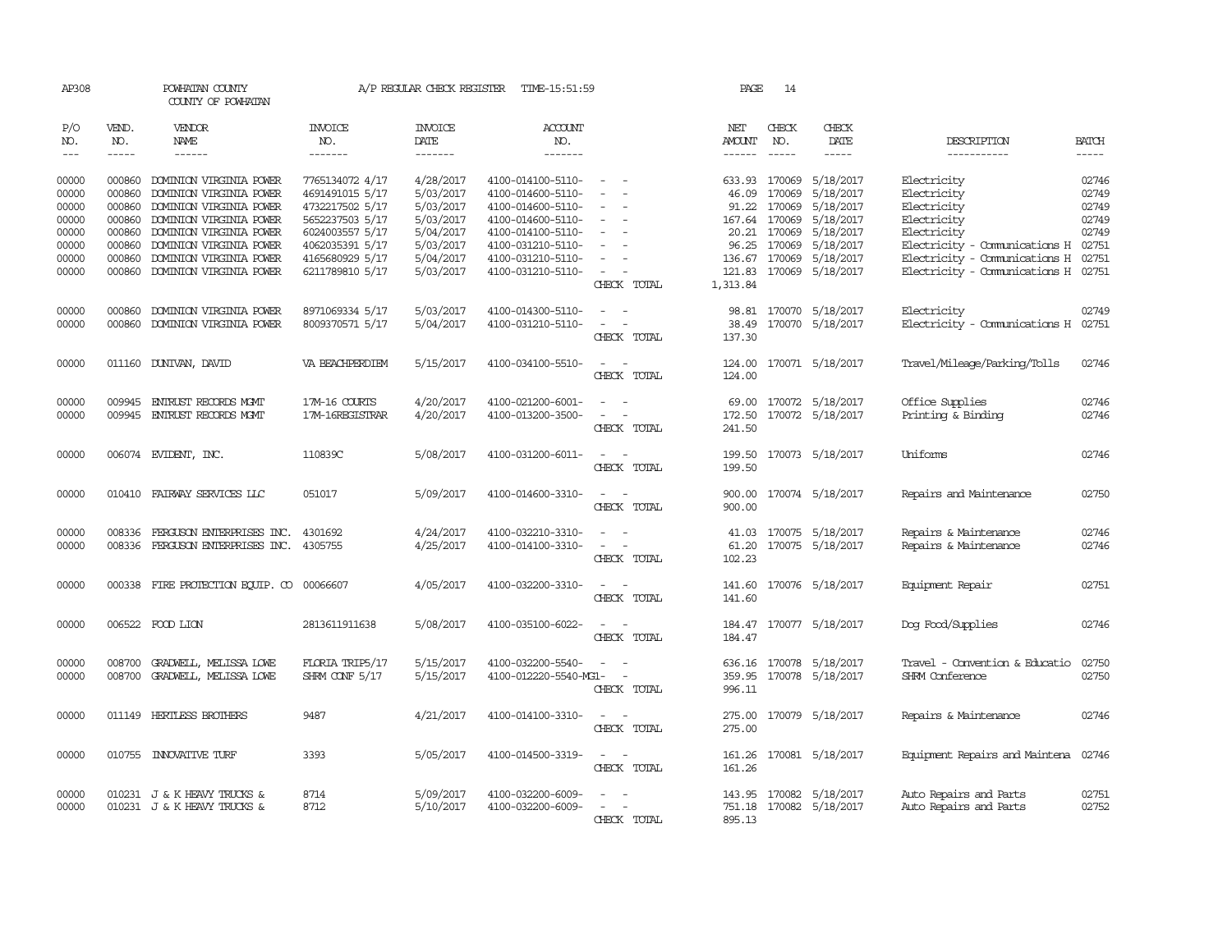| AP308                   |                            | POWHATAN COUNTY<br>COUNTY OF POWHATAN                                         |                                                       | A/P REGULAR CHECK REGISTER          | TIME-15:51:59                                               |                                                                                                                             | PAGE                            | 14               |                                                    |                                                                                     |                |
|-------------------------|----------------------------|-------------------------------------------------------------------------------|-------------------------------------------------------|-------------------------------------|-------------------------------------------------------------|-----------------------------------------------------------------------------------------------------------------------------|---------------------------------|------------------|----------------------------------------------------|-------------------------------------------------------------------------------------|----------------|
| P/O<br>NO.              | VEND.<br>NO.               | VENDOR<br><b>NAME</b>                                                         | INVOICE<br>NO.                                        | <b>INVOICE</b><br>DATE              | <b>ACCOUNT</b><br>NO.                                       |                                                                                                                             | NET<br><b>AMOUNT</b>            | CHECK<br>NO.     | CHECK<br>DATE                                      | DESCRIPTION                                                                         | <b>BATCH</b>   |
| $\frac{1}{2}$           | $\frac{1}{2}$              | ------                                                                        | -------                                               | -------                             | -------                                                     |                                                                                                                             | $- - - - - -$                   | $\frac{1}{2}$    | -----                                              | -----------                                                                         | $- - - - -$    |
| 00000<br>00000          | 000860<br>000860           | DOMINION VIRGINIA POWER<br>DOMINION VIRGINIA POWER                            | 7765134072 4/17<br>4691491015 5/17                    | 4/28/2017<br>5/03/2017              | 4100-014100-5110-<br>4100-014600-5110-                      | $\sim$                                                                                                                      | 633.93 170069<br>46.09          | 170069           | 5/18/2017<br>5/18/2017                             | Electricity<br>Electricity                                                          | 02746<br>02749 |
| 00000<br>00000          | 000860<br>000860           | DOMINION VIRGINIA POWER<br>DOMINION VIRGINIA POWER                            | 4732217502 5/17<br>5652237503 5/17                    | 5/03/2017<br>5/03/2017              | 4100-014600-5110-<br>4100-014600-5110-                      | $\overline{\phantom{a}}$<br>$\sim$<br>$\overline{\phantom{a}}$                                                              | 91.22<br>167.64 170069          | 170069           | 5/18/2017<br>5/18/2017                             | Electricity<br>Electricity                                                          | 02749<br>02749 |
| 00000<br>00000<br>00000 | 000860<br>000860<br>000860 | DOMINION VIRGINIA POWER<br>DOMINION VIRGINIA POWER<br>DOMINION VIRGINIA POWER | 6024003557 5/17<br>4062035391 5/17<br>4165680929 5/17 | 5/04/2017<br>5/03/2017<br>5/04/2017 | 4100-014100-5110-<br>4100-031210-5110-<br>4100-031210-5110- | $\overline{\phantom{a}}$<br>$\sim$                                                                                          | 20.21<br>96.25<br>136.67 170069 | 170069<br>170069 | 5/18/2017<br>5/18/2017<br>5/18/2017                | Electricity<br>Electricity - Comunications H<br>Electricity - Comunications H 02751 | 02749<br>02751 |
| 00000                   | 000860                     | DOMINION VIRGINIA POWER                                                       | 6211789810 5/17                                       | 5/03/2017                           | 4100-031210-5110-                                           | $\sim$<br>CHECK TOTAL                                                                                                       | 121.83<br>1,313.84              | 170069           | 5/18/2017                                          | Electricity - Comunications H                                                       | 02751          |
| 00000<br>00000          | 000860<br>000860           | DOMINION VIRGINIA POWER<br>DOMINION VIRGINIA POWER                            | 8971069334 5/17<br>8009370571 5/17                    | 5/03/2017<br>5/04/2017              | 4100-014300-5110-<br>4100-031210-5110-                      | $\sim$<br>$\overline{\phantom{a}}$<br>CHECK TOTAL                                                                           | 98.81<br>137.30                 |                  | 170070 5/18/2017<br>38.49 170070 5/18/2017         | Electricity<br>Electricity - Comunications H 02751                                  | 02749          |
| 00000                   |                            | 011160 DUNIVAN, DAVID                                                         | VA BEACHPERDIEM                                       | 5/15/2017                           | 4100-034100-5510-                                           | CHECK TOTAL                                                                                                                 | 124.00<br>124.00                |                  | 170071 5/18/2017                                   | Travel/Mileage/Parking/Tolls                                                        | 02746          |
| 00000<br>00000          | 009945<br>009945           | ENTRUST RECORDS MGMT<br>ENTRUST RECORDS MGMT                                  | 17M-16 COURTS<br>17M-16REGISTRAR                      | 4/20/2017<br>4/20/2017              | 4100-021200-6001-<br>4100-013200-3500-                      | $\overline{\phantom{a}}$<br>CHECK TOTAL                                                                                     | 69.00<br>241.50                 |                  | 170072 5/18/2017<br>172.50 170072 5/18/2017        | Office Supplies<br>Printing & Binding                                               | 02746<br>02746 |
| 00000                   |                            | 006074 EVIDENT, INC.                                                          | 110839C                                               | 5/08/2017                           | 4100-031200-6011-                                           | $\sim$<br>$\sim$<br>CHECK TOTAL                                                                                             | 199.50                          |                  | 199.50 170073 5/18/2017                            | Uniforms                                                                            | 02746          |
| 00000                   |                            | 010410 FAIRWAY SERVICES LLC                                                   | 051017                                                | 5/09/2017                           | 4100-014600-3310-                                           | $\frac{1}{2} \left( \frac{1}{2} \right) \left( \frac{1}{2} \right) = \frac{1}{2} \left( \frac{1}{2} \right)$<br>CHECK TOTAL | 900.00                          |                  | 900.00 170074 5/18/2017                            | Repairs and Maintenance                                                             | 02750          |
| 00000<br>00000          | 008336<br>008336           | FERGUSON ENTERPRISES INC.<br>FERGUSON ENTERPRISES INC.                        | 4301692<br>4305755                                    | 4/24/2017<br>4/25/2017              | 4100-032210-3310-<br>4100-014100-3310-                      | $\sim$<br>$\overline{\phantom{a}}$<br>CHECK TOTAL                                                                           | 61.20<br>102.23                 |                  | 41.03 170075 5/18/2017<br>170075 5/18/2017         | Repairs & Maintenance<br>Repairs & Maintenance                                      | 02746<br>02746 |
| 00000                   |                            | 000338 FIRE PROTECTION EQUIP. CO 00066607                                     |                                                       | 4/05/2017                           | 4100-032200-3310-                                           | $\frac{1}{2} \left( \frac{1}{2} \right) \left( \frac{1}{2} \right) = \frac{1}{2} \left( \frac{1}{2} \right)$<br>CHECK TOTAL | 141.60<br>141.60                |                  | 170076 5/18/2017                                   | Equipment Repair                                                                    | 02751          |
| 00000                   |                            | 006522 FOOD LION                                                              | 2813611911638                                         | 5/08/2017                           | 4100-035100-6022-                                           | CHECK TOTAL                                                                                                                 | 184.47                          |                  | 184.47 170077 5/18/2017                            | Dog Food/Supplies                                                                   | 02746          |
| 00000<br>00000          | 008700                     | GRADWELL, MELISSA LOWE<br>008700 GRADWELL, MELISSA LOWE                       | FLORIA TRIP5/17<br>SHRM CONF 5/17                     | 5/15/2017<br>5/15/2017              | 4100-032200-5540-<br>4100-012220-5540-MG1-                  | $\overline{\phantom{a}}$<br>CHECK TOTAL                                                                                     | 996.11                          |                  | 636.16 170078 5/18/2017<br>359.95 170078 5/18/2017 | Travel - Convention & Educatio<br>SHRM Conference                                   | 02750<br>02750 |
| 00000                   |                            | 011149 HERTLESS BROTHERS                                                      | 9487                                                  | 4/21/2017                           | 4100-014100-3310-                                           | $\sim$<br>$\sim$<br>CHECK TOTAL                                                                                             | 275.00<br>275.00                |                  | 170079 5/18/2017                                   | Repairs & Maintenance                                                               | 02746          |
| 00000                   |                            | 010755 INNOVATIVE TURF                                                        | 3393                                                  | 5/05/2017                           | 4100-014500-3319-                                           | $\sim 100$ km s $^{-1}$<br>CHECK TOTAL                                                                                      | 161.26<br>161.26                |                  | 170081 5/18/2017                                   | Equipment Repairs and Maintena                                                      | 02746          |
| 00000<br>00000          |                            | 010231 J & K HEAVY TRUCKS &<br>010231 J & K HEAVY TRUCKS &                    | 8714<br>8712                                          | 5/09/2017<br>5/10/2017              | 4100-032200-6009-<br>4100-032200-6009-                      | $\overline{a}$<br>CHECK TOTAL                                                                                               | 143.95 170082<br>895.13         |                  | 5/18/2017<br>751.18 170082 5/18/2017               | Auto Repairs and Parts<br>Auto Repairs and Parts                                    | 02751<br>02752 |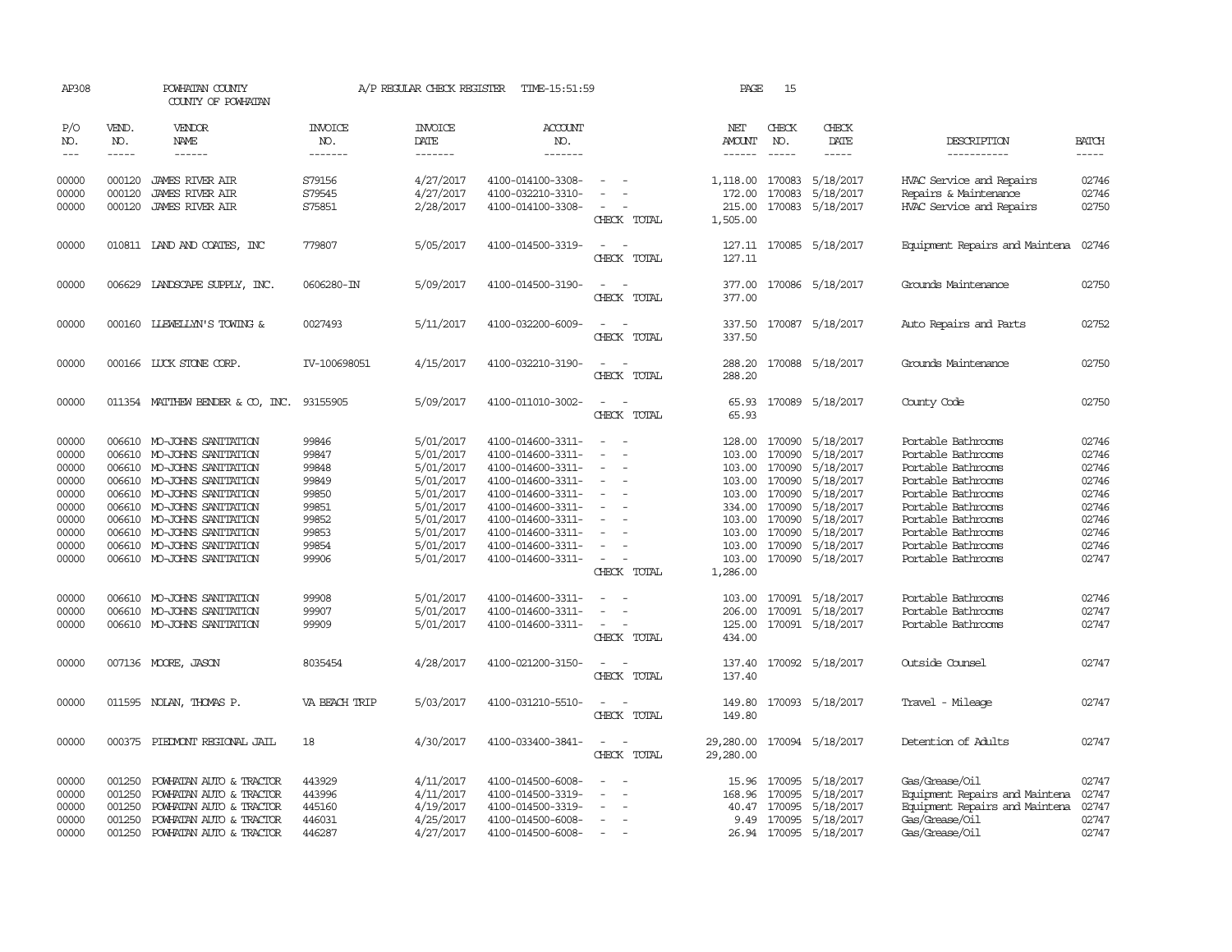| AP308                                                                                           | POWHATAN COUNTY<br>COUNTY OF POWHATAN          |                                                                                                                                                                                                                                                                                                                                        |                                                                                                 | A/P REGULAR CHECK REGISTER                                                                                                                  | TIME-15:51:59                                                                                                                                                                                                                       |                                                                                                                         | PAGE                                                                 | 15                                                                                         |                                                                                                                                                                                       |                                                                                                                                                                                                                                                |                                                                                                 |
|-------------------------------------------------------------------------------------------------|------------------------------------------------|----------------------------------------------------------------------------------------------------------------------------------------------------------------------------------------------------------------------------------------------------------------------------------------------------------------------------------------|-------------------------------------------------------------------------------------------------|---------------------------------------------------------------------------------------------------------------------------------------------|-------------------------------------------------------------------------------------------------------------------------------------------------------------------------------------------------------------------------------------|-------------------------------------------------------------------------------------------------------------------------|----------------------------------------------------------------------|--------------------------------------------------------------------------------------------|---------------------------------------------------------------------------------------------------------------------------------------------------------------------------------------|------------------------------------------------------------------------------------------------------------------------------------------------------------------------------------------------------------------------------------------------|-------------------------------------------------------------------------------------------------|
| P/O<br>NO.<br>$---$                                                                             | VEND.<br>NO.<br>$- - - - -$                    | VENDOR<br>NAME<br>$- - - - - -$                                                                                                                                                                                                                                                                                                        | <b>INVOICE</b><br>NO.<br>--------                                                               | <b>INVOICE</b><br>DATE<br>--------                                                                                                          | ACCOUNT<br>NO.<br>-------                                                                                                                                                                                                           |                                                                                                                         | NET<br><b>AMOUNT</b><br>$- - - - - -$                                | CHECK<br>NO.<br>$- - - - -$                                                                | CHECK<br>DATE<br>-----                                                                                                                                                                | DESCRIPTION<br>-----------                                                                                                                                                                                                                     | <b>BATCH</b><br>$- - - - -$                                                                     |
| 00000<br>00000<br>00000                                                                         | 000120<br>000120<br>000120                     | JAMES RIVER AIR<br><b>JAMES RIVER AIR</b><br>JAMES RIVER AIR                                                                                                                                                                                                                                                                           | S79156<br>S79545<br>S75851                                                                      | 4/27/2017<br>4/27/2017<br>2/28/2017                                                                                                         | 4100-014100-3308-<br>4100-032210-3310-<br>4100-014100-3308-                                                                                                                                                                         | CHECK TOTAL                                                                                                             | 1,118.00<br>172.00<br>215.00<br>1,505.00                             | 170083                                                                                     | 170083 5/18/2017<br>5/18/2017<br>170083 5/18/2017                                                                                                                                     | HVAC Service and Repairs<br>Repairs & Maintenance<br>HVAC Service and Repairs                                                                                                                                                                  | 02746<br>02746<br>02750                                                                         |
| 00000                                                                                           |                                                | 010811 LAND AND COATES, INC                                                                                                                                                                                                                                                                                                            | 779807                                                                                          | 5/05/2017                                                                                                                                   | 4100-014500-3319-                                                                                                                                                                                                                   | $\sim$<br>CHECK TOTAL                                                                                                   | 127.11                                                               |                                                                                            | 127.11 170085 5/18/2017                                                                                                                                                               | Equipment Repairs and Maintena                                                                                                                                                                                                                 | 02746                                                                                           |
| 00000                                                                                           |                                                | 006629 LANDSCAPE SUPPLY, INC.                                                                                                                                                                                                                                                                                                          | 0606280-IN                                                                                      | 5/09/2017                                                                                                                                   | 4100-014500-3190-                                                                                                                                                                                                                   | CHECK TOTAL                                                                                                             | 377.00<br>377.00                                                     |                                                                                            | 170086 5/18/2017                                                                                                                                                                      | Grounds Maintenance                                                                                                                                                                                                                            | 02750                                                                                           |
| 00000                                                                                           |                                                | 000160 LIEWELLYN'S TOWING &                                                                                                                                                                                                                                                                                                            | 0027493                                                                                         | 5/11/2017                                                                                                                                   | 4100-032200-6009-                                                                                                                                                                                                                   | CHECK TOTAL                                                                                                             | 337.50<br>337.50                                                     |                                                                                            | 170087 5/18/2017                                                                                                                                                                      | Auto Repairs and Parts                                                                                                                                                                                                                         | 02752                                                                                           |
| 00000                                                                                           |                                                | 000166 LUCK STONE CORP.                                                                                                                                                                                                                                                                                                                | IV-100698051                                                                                    | 4/15/2017                                                                                                                                   | 4100-032210-3190-                                                                                                                                                                                                                   | CHECK TOTAL                                                                                                             | 288.20<br>288.20                                                     |                                                                                            | 170088 5/18/2017                                                                                                                                                                      | Grounds Maintenance                                                                                                                                                                                                                            | 02750                                                                                           |
| 00000                                                                                           |                                                | 011354 MATTHEW BENDER & CO, INC.                                                                                                                                                                                                                                                                                                       | 93155905                                                                                        | 5/09/2017                                                                                                                                   | 4100-011010-3002-                                                                                                                                                                                                                   | $\equiv$<br>CHECK TOTAL                                                                                                 | 65.93<br>65.93                                                       |                                                                                            | 170089 5/18/2017                                                                                                                                                                      | County Code                                                                                                                                                                                                                                    | 02750                                                                                           |
| 00000<br>00000<br>00000<br>00000<br>00000<br>00000<br>00000<br>00000<br>00000<br>00000<br>00000 |                                                | 006610 MO-JOHNS SANITATION<br>006610 MO-JOHNS SANITATION<br>006610 MO-JOHNS SANITATION<br>006610 MO-JOHNS SANITATION<br>006610 MO-JOHNS SANITATION<br>006610 MO-JOHNS SANITATION<br>006610 MO-JOHNS SANITATION<br>006610 MO-JOHNS SANITATION<br>006610 MO-JOHNS SANITATION<br>006610 MO-JOHNS SANITATION<br>006610 MO-JOHNS SANITATION | 99846<br>99847<br>99848<br>99849<br>99850<br>99851<br>99852<br>99853<br>99854<br>99906<br>99908 | 5/01/2017<br>5/01/2017<br>5/01/2017<br>5/01/2017<br>5/01/2017<br>5/01/2017<br>5/01/2017<br>5/01/2017<br>5/01/2017<br>5/01/2017<br>5/01/2017 | 4100-014600-3311-<br>4100-014600-3311-<br>4100-014600-3311-<br>4100-014600-3311-<br>4100-014600-3311-<br>4100-014600-3311-<br>4100-014600-3311-<br>4100-014600-3311-<br>4100-014600-3311-<br>4100-014600-3311-<br>4100-014600-3311- | $\sim$<br>$\sim$<br>$\overline{\phantom{a}}$<br>$\overline{\phantom{a}}$<br>$\sim$<br>$\equiv$<br>$\sim$<br>CHECK TOTAL | 103.00<br>103.00<br>103.00<br>334.00<br>103.00<br>103.00<br>1,286.00 | 170090<br>103.00 170090<br>170090<br>170090<br>170090<br>170090<br>103.00 170090<br>170090 | 128.00 170090 5/18/2017<br>5/18/2017<br>5/18/2017<br>5/18/2017<br>5/18/2017<br>5/18/2017<br>5/18/2017<br>5/18/2017<br>5/18/2017<br>103.00 170090 5/18/2017<br>103.00 170091 5/18/2017 | Portable Bathrooms<br>Portable Bathrooms<br>Portable Bathrooms<br>Portable Bathrooms<br>Portable Bathrooms<br>Portable Bathrooms<br>Portable Bathrooms<br>Portable Bathrooms<br>Portable Bathrooms<br>Portable Bathrooms<br>Portable Bathrooms | 02746<br>02746<br>02746<br>02746<br>02746<br>02746<br>02746<br>02746<br>02746<br>02747<br>02746 |
| 00000<br>00000                                                                                  |                                                | 006610 MO-JOHNS SANITATION<br>006610 MO-JOHNS SANITATION                                                                                                                                                                                                                                                                               | 99907<br>99909                                                                                  | 5/01/2017<br>5/01/2017                                                                                                                      | 4100-014600-3311-<br>4100-014600-3311-                                                                                                                                                                                              | $\sim$<br>CHECK TOTAL                                                                                                   | 206.00<br>125.00<br>434.00                                           |                                                                                            | 170091 5/18/2017<br>170091 5/18/2017                                                                                                                                                  | Portable Bathrooms<br>Portable Bathrooms                                                                                                                                                                                                       | 02747<br>02747                                                                                  |
| 00000                                                                                           |                                                | 007136 MOORE, JASON                                                                                                                                                                                                                                                                                                                    | 8035454                                                                                         | 4/28/2017                                                                                                                                   | 4100-021200-3150-                                                                                                                                                                                                                   | $\equiv$<br>CHECK TOTAL                                                                                                 | 137.40<br>137.40                                                     |                                                                                            | 170092 5/18/2017                                                                                                                                                                      | Outside Counsel                                                                                                                                                                                                                                | 02747                                                                                           |
| 00000                                                                                           |                                                | 011595 NOLAN, THOMAS P.                                                                                                                                                                                                                                                                                                                | VA BEACH TRIP                                                                                   | 5/03/2017                                                                                                                                   | 4100-031210-5510-                                                                                                                                                                                                                   | $\equiv$<br>$\sim$<br>CHECK TOTAL                                                                                       | 149.80<br>149.80                                                     |                                                                                            | 170093 5/18/2017                                                                                                                                                                      | Travel - Mileage                                                                                                                                                                                                                               | 02747                                                                                           |
| 00000                                                                                           |                                                | 000375 PIEDMONT REGIONAL JAIL                                                                                                                                                                                                                                                                                                          | 18                                                                                              | 4/30/2017                                                                                                                                   | 4100-033400-3841-                                                                                                                                                                                                                   | CHECK TOTAL                                                                                                             | 29,280.00                                                            |                                                                                            | 29,280.00 170094 5/18/2017                                                                                                                                                            | Detention of Adults                                                                                                                                                                                                                            | 02747                                                                                           |
| 00000<br>00000<br>00000<br>00000<br>00000                                                       | 001250<br>001250<br>001250<br>001250<br>001250 | POWHATAN AUTO & TRACTOR<br>POWHATAN AUTO & TRACTOR<br>POWHATAN AUTO & TRACTOR<br>POWHATAN AUTO & TRACTOR<br>POWHATAN AUTO & TRACTOR                                                                                                                                                                                                    | 443929<br>443996<br>445160<br>446031<br>446287                                                  | 4/11/2017<br>4/11/2017<br>4/19/2017<br>4/25/2017<br>4/27/2017                                                                               | 4100-014500-6008-<br>4100-014500-3319-<br>4100-014500-3319-<br>4100-014500-6008-<br>4100-014500-6008-                                                                                                                               |                                                                                                                         | 15.96<br>168.96                                                      | 170095<br>170095<br>40.47 170095                                                           | 5/18/2017<br>5/18/2017<br>5/18/2017<br>9.49 170095 5/18/2017<br>26.94 170095 5/18/2017                                                                                                | Gas/Grease/Oil<br>Equipment Repairs and Maintena<br>Equipment Repairs and Maintena<br>Gas/Grease/Oil<br>Gas/Grease/Oil                                                                                                                         | 02747<br>02747<br>02747<br>02747<br>02747                                                       |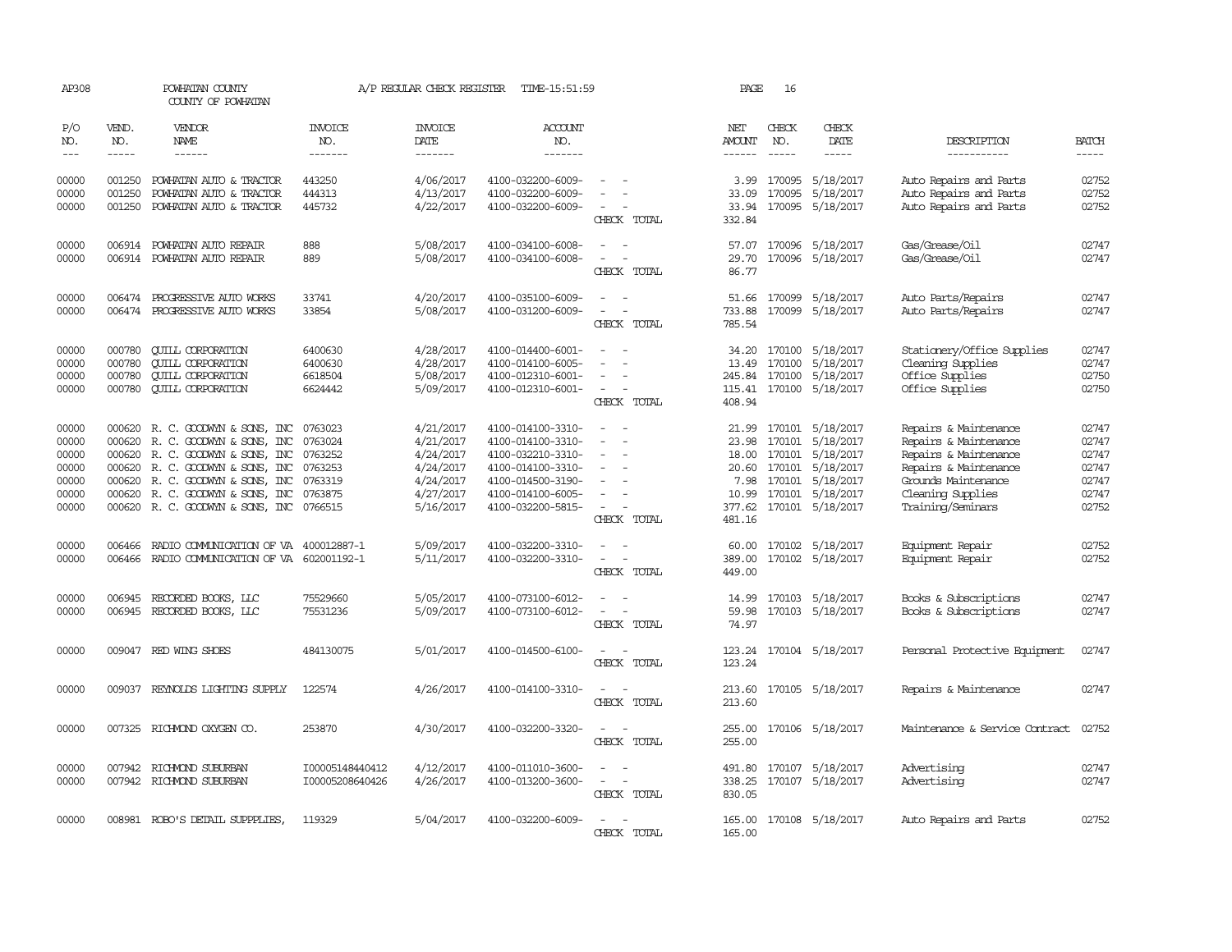| AP308                                                       |                                      | POWHATAN COUNTY<br>COUNTY OF POWHATAN                                                                                                                                                                                                           |                                                                           | A/P REGULAR CHECK REGISTER                                                              | TIME-15:51:59                                                                                                                                   |                                                                           | PAGE                                               | 16                         |                                                                                                                                  |                                                                                                                                                                   |                                                             |
|-------------------------------------------------------------|--------------------------------------|-------------------------------------------------------------------------------------------------------------------------------------------------------------------------------------------------------------------------------------------------|---------------------------------------------------------------------------|-----------------------------------------------------------------------------------------|-------------------------------------------------------------------------------------------------------------------------------------------------|---------------------------------------------------------------------------|----------------------------------------------------|----------------------------|----------------------------------------------------------------------------------------------------------------------------------|-------------------------------------------------------------------------------------------------------------------------------------------------------------------|-------------------------------------------------------------|
| P/O<br>NO.                                                  | VEND.<br>NO.                         | VENDOR<br>NAME                                                                                                                                                                                                                                  | INVOICE<br>NO.                                                            | <b>INVOICE</b><br>DATE                                                                  | ACCOUNT<br>NO.                                                                                                                                  |                                                                           | NET<br>AMOUNT                                      | CHECK<br>NO.               | CHECK<br>DATE                                                                                                                    | DESCRIPTION                                                                                                                                                       | <b>BATCH</b>                                                |
| $---$                                                       |                                      | $- - - - - -$                                                                                                                                                                                                                                   | --------                                                                  | -------                                                                                 | -------                                                                                                                                         |                                                                           |                                                    | $\frac{1}{2}$              | -----                                                                                                                            | -----------                                                                                                                                                       | $- - - - -$                                                 |
| 00000<br>00000<br>00000                                     | 001250<br>001250<br>001250           | POWHATAN AUTO & TRACTOR<br>POWHATAN AUTO & TRACTOR<br>POWHATAN AUTO & TRACTOR                                                                                                                                                                   | 443250<br>444313<br>445732                                                | 4/06/2017<br>4/13/2017<br>4/22/2017                                                     | 4100-032200-6009-<br>4100-032200-6009-<br>4100-032200-6009-                                                                                     | CHECK TOTAL                                                               | 3.99<br>33.09<br>33.94<br>332.84                   | 170095                     | 170095 5/18/2017<br>5/18/2017<br>170095 5/18/2017                                                                                | Auto Repairs and Parts<br>Auto Repairs and Parts<br>Auto Repairs and Parts                                                                                        | 02752<br>02752<br>02752                                     |
| 00000<br>00000                                              |                                      | 006914 POWHATAN AUTO REPAIR<br>006914 POWHATAN AUTO REPAIR                                                                                                                                                                                      | 888<br>889                                                                | 5/08/2017<br>5/08/2017                                                                  | 4100-034100-6008-<br>4100-034100-6008-                                                                                                          | CHECK TOTAL                                                               | 57.07<br>29.70<br>86.77                            |                            | 170096 5/18/2017<br>170096 5/18/2017                                                                                             | Gas/Grease/Oil<br>Gas/Grease/Oil                                                                                                                                  | 02747<br>02747                                              |
| 00000<br>00000                                              |                                      | 006474 PROGRESSIVE AUTO WORKS<br>006474 PROGRESSIVE AUTO WORKS                                                                                                                                                                                  | 33741<br>33854                                                            | 4/20/2017<br>5/08/2017                                                                  | 4100-035100-6009-<br>4100-031200-6009-                                                                                                          | $\equiv$<br>CHECK TOTAL                                                   | 733.88<br>785.54                                   |                            | 51.66 170099 5/18/2017<br>170099 5/18/2017                                                                                       | Auto Parts/Repairs<br>Auto Parts/Repairs                                                                                                                          | 02747<br>02747                                              |
| 00000<br>00000<br>00000<br>00000                            | 000780<br>000780<br>000780<br>000780 | <b>CUILL CORPORATION</b><br><b>QUILL CORPORATION</b><br><b>CUILL CORPORATION</b><br><b>QUILL CORPORATION</b>                                                                                                                                    | 6400630<br>6400630<br>6618504<br>6624442                                  | 4/28/2017<br>4/28/2017<br>5/08/2017<br>5/09/2017                                        | 4100-014400-6001-<br>4100-014100-6005-<br>4100-012310-6001-<br>4100-012310-6001-                                                                | $\equiv$<br>$\overline{\phantom{a}}$<br>$\sim$<br>CHECK TOTAL             | 34.20<br>13.49<br>245.84<br>408.94                 | 170100<br>170100<br>170100 | 5/18/2017<br>5/18/2017<br>5/18/2017<br>115.41 170100 5/18/2017                                                                   | Stationery/Office Supplies<br>Cleaning Supplies<br>Office Supplies<br>Office Supplies                                                                             | 02747<br>02747<br>02750<br>02750                            |
| 00000<br>00000<br>00000<br>00000<br>00000<br>00000<br>00000 | 000620                               | 000620 R. C. GOODWYN & SONS, INC<br>R. C. GOODWYN & SONS, INC<br>000620 R. C. GOODWYN & SONS, INC<br>000620 R. C. GOODWYN & SONS, INC<br>000620 R.C. GOODWYN & SONS, INC<br>000620 R.C. GOODWYN & SONS, INC<br>000620 R. C. GOODWYN & SONS, INC | 0763023<br>0763024<br>0763252<br>0763253<br>0763319<br>0763875<br>0766515 | 4/21/2017<br>4/21/2017<br>4/24/2017<br>4/24/2017<br>4/24/2017<br>4/27/2017<br>5/16/2017 | 4100-014100-3310-<br>4100-014100-3310-<br>4100-032210-3310-<br>4100-014100-3310-<br>4100-014500-3190-<br>4100-014100-6005-<br>4100-032200-5815- | $\overline{\phantom{a}}$<br>$\overline{\phantom{a}}$<br>CHECK TOTAL       | 21.99<br>23.98<br>20.60<br>7.98<br>10.99<br>481.16 | 170101<br>170101<br>170101 | 170101 5/18/2017<br>5/18/2017<br>18.00 170101 5/18/2017<br>5/18/2017<br>5/18/2017<br>170101 5/18/2017<br>377.62 170101 5/18/2017 | Repairs & Maintenance<br>Repairs & Maintenance<br>Repairs & Maintenance<br>Repairs & Maintenance<br>Grounds Maintenance<br>Cleaning Supplies<br>Training/Seminars | 02747<br>02747<br>02747<br>02747<br>02747<br>02747<br>02752 |
| 00000<br>00000                                              | 006466<br>006466                     | RADIO COMMUNICATION OF VA 400012887-1<br>RADIO COMMUNICATION OF VA 602001192-1                                                                                                                                                                  |                                                                           | 5/09/2017<br>5/11/2017                                                                  | 4100-032200-3310-<br>4100-032200-3310-                                                                                                          | CHECK TOTAL                                                               | 60.00<br>389.00<br>449.00                          |                            | 170102 5/18/2017<br>170102 5/18/2017                                                                                             | Equipment Repair<br>Equipment Repair                                                                                                                              | 02752<br>02752                                              |
| 00000<br>00000                                              | 006945<br>006945                     | RECORDED BOOKS, LLC<br>RECORDED BOOKS, LLC                                                                                                                                                                                                      | 75529660<br>75531236                                                      | 5/05/2017<br>5/09/2017                                                                  | 4100-073100-6012-<br>4100-073100-6012-                                                                                                          | $\equiv$<br>$\sim$<br>$\equiv$<br>$\overline{\phantom{a}}$<br>CHECK TOTAL | 14.99<br>59.98<br>74.97                            |                            | 170103 5/18/2017<br>170103 5/18/2017                                                                                             | Books & Subscriptions<br>Books & Subscriptions                                                                                                                    | 02747<br>02747                                              |
| 00000                                                       |                                      | 009047 RED WING SHOES                                                                                                                                                                                                                           | 484130075                                                                 | 5/01/2017                                                                               | 4100-014500-6100-                                                                                                                               | CHECK TOTAL                                                               | 123.24<br>123.24                                   |                            | 170104 5/18/2017                                                                                                                 | Personal Protective Equipment                                                                                                                                     | 02747                                                       |
| 00000                                                       |                                      | 009037 REYNOLDS LIGHTING SUPPLY                                                                                                                                                                                                                 | 122574                                                                    | 4/26/2017                                                                               | 4100-014100-3310-                                                                                                                               | $\sim$<br>CHECK TOTAL                                                     | 213.60<br>213.60                                   |                            | 170105 5/18/2017                                                                                                                 | Repairs & Maintenance                                                                                                                                             | 02747                                                       |
| 00000                                                       |                                      | 007325 RICHMOND OXYGEN CO.                                                                                                                                                                                                                      | 253870                                                                    | 4/30/2017                                                                               | 4100-032200-3320-                                                                                                                               | $\overline{\phantom{a}}$<br>CHECK TOTAL                                   | 255.00<br>255.00                                   |                            | 170106 5/18/2017                                                                                                                 | Maintenance & Service Contract                                                                                                                                    | 02752                                                       |
| 00000<br>00000                                              |                                      | 007942 RICHMOND SUBURBAN<br>007942 RICHMOND SUBURBAN                                                                                                                                                                                            | I00005148440412<br>I00005208640426                                        | 4/12/2017<br>4/26/2017                                                                  | 4100-011010-3600-<br>4100-013200-3600-                                                                                                          | $\equiv$<br>$\sim$<br>CHECK TOTAL                                         | 491.80<br>338.25<br>830.05                         |                            | 170107 5/18/2017<br>170107 5/18/2017                                                                                             | Advertising<br>Advertising                                                                                                                                        | 02747<br>02747                                              |
| 00000                                                       |                                      | 008981 ROBO'S DETAIL SUPPPLIES                                                                                                                                                                                                                  | 119329                                                                    | 5/04/2017                                                                               | 4100-032200-6009-                                                                                                                               | $\overline{\phantom{a}}$<br>CHECK TOTAL                                   | 165.00<br>165.00                                   |                            | 170108 5/18/2017                                                                                                                 | Auto Repairs and Parts                                                                                                                                            | 02752                                                       |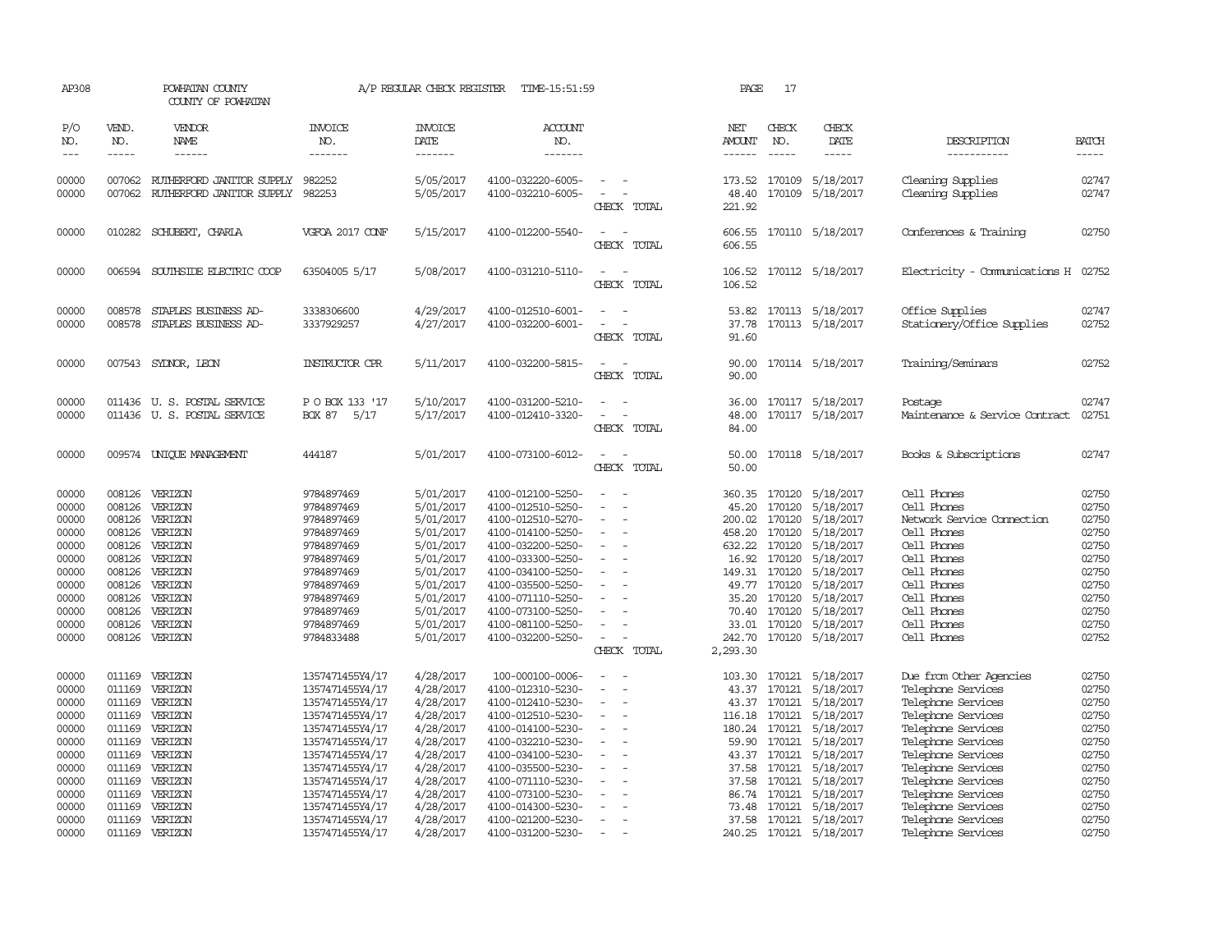| AP308                 | POWHATAN COUNTY<br>COUNTY OF POWHATAN |                                                          | 17<br>A/P REGULAR CHECK REGISTER<br>TIME-15:51:59<br>PAGE |                                   |                                        |                                    |                                |                               |                                      |                                           |                             |
|-----------------------|---------------------------------------|----------------------------------------------------------|-----------------------------------------------------------|-----------------------------------|----------------------------------------|------------------------------------|--------------------------------|-------------------------------|--------------------------------------|-------------------------------------------|-----------------------------|
| P/O<br>NO.<br>$- - -$ | VEND.<br>NO.<br>$\frac{1}{2}$         | <b>VENDOR</b><br>NAME<br>------                          | <b>INVOICE</b><br>NO.<br>-------                          | <b>INVOICE</b><br>DATE<br>------- | ACCOUNT<br>NO.<br>-------              |                                    | NET<br>AMOUNT<br>$- - - - - -$ | CHECK<br>NO.<br>$\frac{1}{2}$ | CHECK<br>DATE<br>-----               | DESCRIPTION<br>-----------                | <b>BATCH</b><br>$- - - - -$ |
| 00000                 | 007062                                | RUTHERFORD JANITOR SUPPLY                                | 982252                                                    | 5/05/2017                         | 4100-032220-6005-                      |                                    | 173.52                         | 170109                        | 5/18/2017                            | Cleaning Supplies                         | 02747                       |
| 00000                 |                                       | 007062 RUTHERFORD JANITOR SUPPLY                         | 982253                                                    | 5/05/2017                         | 4100-032210-6005-                      | CHECK TOTAL                        | 48.40<br>221.92                | 170109                        | 5/18/2017                            | Cleaning Supplies                         | 02747                       |
| 00000                 |                                       | 010282 SCHUBERT, CHARLA                                  | VGFOA 2017 CONF                                           | 5/15/2017                         | 4100-012200-5540-                      | CHECK TOTAL                        | 606.55<br>606.55               |                               | 170110 5/18/2017                     | Conferences & Training                    | 02750                       |
| 00000                 | 006594                                | SOUTHSIDE ELECTRIC COOP                                  | 63504005 5/17                                             | 5/08/2017                         | 4100-031210-5110-                      | CHECK TOTAL                        | 106.52<br>106.52               |                               | 170112 5/18/2017                     | Electricity - Comunications H             | 02752                       |
| 00000<br>00000        | 008578                                | STAPLES BUSINESS AD-                                     | 3338306600                                                | 4/29/2017                         | 4100-012510-6001-                      |                                    | 53.82                          |                               | 170113 5/18/2017                     | Office Supplies                           | 02747<br>02752              |
|                       | 008578                                | STAPLES BUSINESS AD-                                     | 3337929257                                                | 4/27/2017                         | 4100-032200-6001-                      | CHECK TOTAL                        | 37.78<br>91.60                 |                               | 170113 5/18/2017                     | Stationery/Office Supplies                |                             |
| 00000                 |                                       | 007543 SYDNOR, LEON                                      | <b>INSTRUCTOR CPR</b>                                     | 5/11/2017                         | 4100-032200-5815-                      | $\sim$<br>$\overline{\phantom{a}}$ | 90.00                          |                               | 170114 5/18/2017                     | Training/Seminars                         | 02752                       |
|                       |                                       |                                                          |                                                           |                                   |                                        | CHECK TOTAL                        | 90.00                          |                               |                                      |                                           |                             |
| 00000<br>00000        |                                       | 011436 U.S. POSTAL SERVICE<br>011436 U.S. POSTAL SERVICE | P O BOX 133 '17<br>5/17<br><b>BOX 87</b>                  | 5/10/2017<br>5/17/2017            | 4100-031200-5210-<br>4100-012410-3320- |                                    | 36.00<br>48.00                 |                               | 170117 5/18/2017<br>170117 5/18/2017 | Postage<br>Maintenance & Service Contract | 02747<br>02751              |
|                       |                                       |                                                          |                                                           |                                   |                                        | CHECK TOTAL                        | 84.00                          |                               |                                      |                                           |                             |
| 00000                 |                                       | 009574 UNIQUE MANAGEMENT                                 | 444187                                                    | 5/01/2017                         | 4100-073100-6012-                      |                                    | 50.00                          |                               | 170118 5/18/2017                     | Books & Subscriptions                     | 02747                       |
|                       |                                       |                                                          |                                                           |                                   |                                        | CHECK TOTAL                        | 50.00                          |                               |                                      |                                           |                             |
| 00000                 | 008126                                | VERIZON                                                  | 9784897469                                                | 5/01/2017                         | 4100-012100-5250-                      |                                    | 360.35                         | 170120                        | 5/18/2017                            | Cell Phones                               | 02750                       |
| 00000                 | 008126                                | VERIZON                                                  | 9784897469                                                | 5/01/2017                         | 4100-012510-5250-                      |                                    | 45.20                          | 170120                        | 5/18/2017                            | Cell Phones                               | 02750                       |
| 00000                 | 008126                                | VERIZON                                                  | 9784897469                                                | 5/01/2017                         | 4100-012510-5270-                      |                                    | 200.02                         | 170120                        | 5/18/2017                            | Network Service Connection                | 02750                       |
| 00000                 | 008126                                | VERIZON                                                  | 9784897469                                                | 5/01/2017                         | 4100-014100-5250-                      |                                    | 458.20 170120                  |                               | 5/18/2017                            | Cell Phones                               | 02750                       |
| 00000                 | 008126                                | VERIZON                                                  | 9784897469                                                | 5/01/2017                         | 4100-032200-5250-                      |                                    | 632.22                         | 170120                        | 5/18/2017                            | Cell Phones                               | 02750                       |
| 00000                 | 008126                                | VERIZON                                                  | 9784897469                                                | 5/01/2017                         | 4100-033300-5250-                      |                                    | 16.92                          | 170120                        | 5/18/2017                            | Cell Phones                               | 02750                       |
| 00000                 | 008126                                | VERIZON                                                  | 9784897469                                                | 5/01/2017                         | 4100-034100-5250-                      |                                    | 149.31                         | 170120                        | 5/18/2017                            | Cell Phones                               | 02750                       |
| 00000                 | 008126                                | VERIZON                                                  | 9784897469                                                | 5/01/2017                         | 4100-035500-5250-                      |                                    | 49.77                          | 170120                        | 5/18/2017                            | Cell Phones                               | 02750                       |
| 00000                 | 008126                                | VERIZON                                                  | 9784897469                                                | 5/01/2017                         | 4100-071110-5250-                      |                                    | 35.20                          | 170120                        | 5/18/2017                            | Cell Phones                               | 02750                       |
| 00000                 | 008126                                | VERIZON                                                  | 9784897469                                                | 5/01/2017                         | 4100-073100-5250-                      |                                    | 70.40                          | 170120                        | 5/18/2017                            | Cell Phones                               | 02750                       |
| 00000                 | 008126                                | VERIZON                                                  | 9784897469                                                | 5/01/2017                         | 4100-081100-5250-                      |                                    | 33.01                          | 170120                        | 5/18/2017                            | Cell Phones                               | 02750                       |
| 00000                 |                                       | 008126 VERIZON                                           | 9784833488                                                | 5/01/2017                         | 4100-032200-5250-                      | CHECK TOTAL                        | 242.70<br>2,293.30             | 170120                        | 5/18/2017                            | Cell Phones                               | 02752                       |
| 00000                 | 011169                                | VERIZON                                                  | 1357471455Y4/17                                           | 4/28/2017                         | 100-000100-0006-                       |                                    | 103.30                         | 170121                        | 5/18/2017                            | Due from Other Agencies                   | 02750                       |
| 00000                 | 011169                                | VERIZON                                                  | 1357471455Y4/17                                           | 4/28/2017                         | 4100-012310-5230-                      |                                    | 43.37                          | 170121                        | 5/18/2017                            | Telephone Services                        | 02750                       |
| 00000                 | 011169                                | VERIZON                                                  | 1357471455Y4/17                                           | 4/28/2017                         | 4100-012410-5230-                      |                                    | 43.37                          | 170121                        | 5/18/2017                            | Telephone Services                        | 02750                       |
| 00000                 | 011169                                | VERIZON                                                  | 1357471455Y4/17                                           | 4/28/2017                         | 4100-012510-5230-                      |                                    | 116.18                         | 170121                        | 5/18/2017                            | Telephone Services                        | 02750                       |
| 00000                 | 011169                                | VERIZON                                                  | 1357471455Y4/17                                           | 4/28/2017                         | 4100-014100-5230-                      |                                    | 180.24                         | 170121                        | 5/18/2017                            | Telephone Services                        | 02750                       |
| 00000                 | 011169                                | VERIZON                                                  | 1357471455Y4/17                                           | 4/28/2017                         | 4100-032210-5230-                      |                                    | 59.90                          | 170121                        | 5/18/2017                            | Telephone Services                        | 02750                       |
| 00000                 |                                       | 011169 VERIZON                                           | 1357471455Y4/17                                           | 4/28/2017                         | 4100-034100-5230-                      |                                    |                                | 43.37 170121                  | 5/18/2017                            | Telephone Services                        | 02750                       |
| 00000                 | 011169                                | VERIZON                                                  | 1357471455Y4/17                                           | 4/28/2017                         | 4100-035500-5230-                      |                                    | 37.58                          | 170121                        | 5/18/2017                            | Telephone Services                        | 02750                       |
| 00000                 | 011169                                | VERIZON                                                  | 1357471455Y4/17                                           | 4/28/2017                         | 4100-071110-5230-                      |                                    | 37.58                          | 170121                        | 5/18/2017                            | Telephone Services                        | 02750                       |
| 00000                 | 011169                                | VERIZON                                                  | 1357471455Y4/17                                           | 4/28/2017                         | 4100-073100-5230-                      |                                    | 86.74                          | 170121                        | 5/18/2017                            | Telephone Services                        | 02750                       |
| 00000                 | 011169                                | VERIZON                                                  | 1357471455Y4/17                                           | 4/28/2017                         | 4100-014300-5230-                      |                                    | 73.48                          | 170121                        | 5/18/2017                            | Telephone Services                        | 02750                       |
| 00000                 | 011169                                | VERIZON                                                  | 1357471455Y4/17                                           | 4/28/2017                         | 4100-021200-5230-                      |                                    |                                | 37.58 170121                  | 5/18/2017                            | Telephone Services                        | 02750                       |
| 00000                 | 011169                                | VERIZON                                                  | 1357471455Y4/17                                           | 4/28/2017                         | 4100-031200-5230-                      |                                    | 240.25                         |                               | 170121 5/18/2017                     | Telephone Services                        | 02750                       |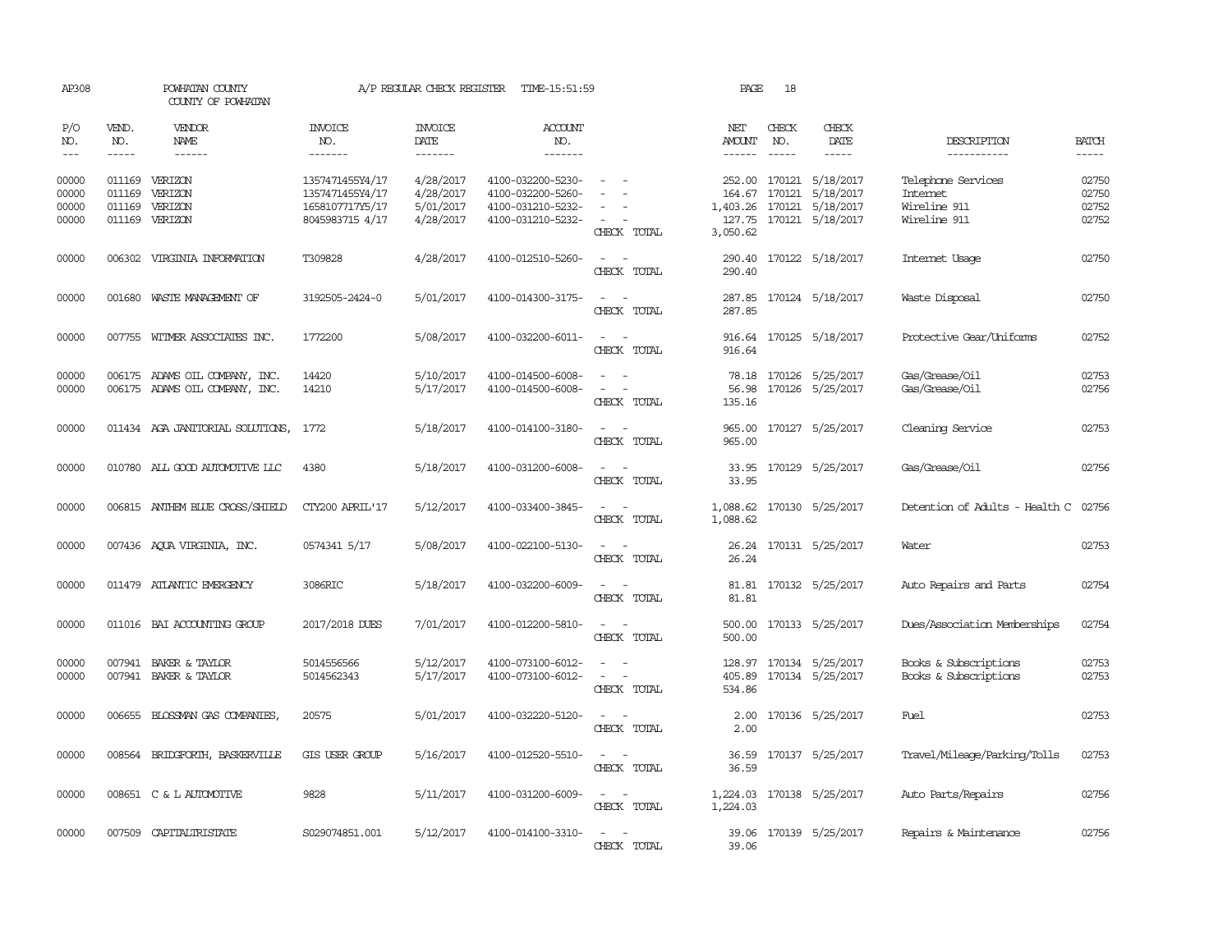| AP308                            |              | POWHATAN COUNTY<br>COUNTY OF POWHATAN                            |                                                                          | A/P REGULAR CHECK REGISTER                       | TIME-15:51:59                                                                    |                                                   | PAGE                       | 18           |                                                                                              |                                                                |                                  |
|----------------------------------|--------------|------------------------------------------------------------------|--------------------------------------------------------------------------|--------------------------------------------------|----------------------------------------------------------------------------------|---------------------------------------------------|----------------------------|--------------|----------------------------------------------------------------------------------------------|----------------------------------------------------------------|----------------------------------|
| P/O<br>NO.                       | VEND.<br>NO. | VENDOR<br>NAME                                                   | INVOICE<br>NO.                                                           | <b>INVOICE</b><br>DATE                           | <b>ACCOUNT</b><br>NO.                                                            |                                                   | NET<br>AMOUNT              | CHECK<br>NO. | CHECK<br>DATE                                                                                | DESCRIPTION                                                    | <b>BATCH</b>                     |
| $---$                            | $- - - - -$  | $- - - - - -$                                                    | -------                                                                  | -------                                          | -------                                                                          |                                                   | $- - - - - -$              | $- - - - -$  | $- - - - -$                                                                                  | -----------                                                    | $- - - - -$                      |
| 00000<br>00000<br>00000<br>00000 | 011169       | 011169 VERIZON<br>VERIZON<br>011169 VERIZON<br>011169 VERIZON    | 1357471455Y4/17<br>1357471455Y4/17<br>1658107717Y5/17<br>8045983715 4/17 | 4/28/2017<br>4/28/2017<br>5/01/2017<br>4/28/2017 | 4100-032200-5230-<br>4100-032200-5260-<br>4100-031210-5232-<br>4100-031210-5232- | $\overline{\phantom{a}}$<br>CHECK TOTAL           | 164.67<br>3,050.62         | 170121       | 252.00 170121 5/18/2017<br>5/18/2017<br>1,403.26 170121 5/18/2017<br>127.75 170121 5/18/2017 | Telephone Services<br>Internet<br>Wireline 911<br>Wireline 911 | 02750<br>02750<br>02752<br>02752 |
| 00000                            |              | 006302 VIRGINIA INFORMATION                                      | T309828                                                                  | 4/28/2017                                        | 4100-012510-5260-                                                                | $\sim$<br>CHECK TOTAL                             | 290.40                     |              | 290.40 170122 5/18/2017                                                                      | Internet Usage                                                 | 02750                            |
| 00000                            |              | 001680 WASTE MANAGEMENT OF                                       | 3192505-2424-0                                                           | 5/01/2017                                        | 4100-014300-3175-                                                                | $\sim$<br>CHECK TOTAL                             | 287.85                     |              | 287.85 170124 5/18/2017                                                                      | Waste Disposal                                                 | 02750                            |
| 00000                            |              | 007755 WITMER ASSOCIATES INC.                                    | 1772200                                                                  | 5/08/2017                                        | 4100-032200-6011-                                                                | $\overline{\phantom{a}}$<br>- -<br>CHECK TOTAL    | 916.64<br>916.64           |              | 170125 5/18/2017                                                                             | Protective Gear/Uniforms                                       | 02752                            |
| 00000<br>00000                   |              | 006175 ADAMS OIL COMPANY, INC.<br>006175 ADAMS OIL COMPANY, INC. | 14420<br>14210                                                           | 5/10/2017<br>5/17/2017                           | 4100-014500-6008-<br>4100-014500-6008-                                           | CHECK TOTAL                                       | 78.18<br>56.98<br>135.16   |              | 170126 5/25/2017<br>170126 5/25/2017                                                         | Gas/Grease/Oil<br>Gas/Grease/Oil                               | 02753<br>02756                   |
| 00000                            |              | 011434 AGA JANITORIAL SOLUTIONS,                                 | 1772                                                                     | 5/18/2017                                        | 4100-014100-3180-                                                                | CHECK TOTAL                                       | 965.00<br>965.00           |              | 170127 5/25/2017                                                                             | Cleaning Service                                               | 02753                            |
| 00000                            |              | 010780 ALL GOOD AUTOMOTTVE LLC                                   | 4380                                                                     | 5/18/2017                                        | 4100-031200-6008-                                                                | $\sim$<br>$\sim$<br>CHECK TOTAL                   | 33.95                      |              | 33.95 170129 5/25/2017                                                                       | Gas/Grease/Oil                                                 | 02756                            |
| 00000                            |              | 006815 ANTHEM BLUE CROSS/SHIELD                                  | CTY200 APRIL'17                                                          | 5/12/2017                                        | 4100-033400-3845-                                                                | $\overline{\phantom{a}}$<br>CHECK TOTAL           | 1,088.62                   |              | 1,088.62 170130 5/25/2017                                                                    | Detention of Adults - Health C                                 | 02756                            |
| 00000                            |              | 007436 AQUA VIRGINIA, INC.                                       | 0574341 5/17                                                             | 5/08/2017                                        | 4100-022100-5130-                                                                | $\sim$ $\sim$<br>CHECK TOTAL                      | 26.24                      |              | 26.24 170131 5/25/2017                                                                       | Water                                                          | 02753                            |
| 00000                            |              | 011479 ATLANTIC EMERGENCY                                        | 3086RIC                                                                  | 5/18/2017                                        | 4100-032200-6009-                                                                | $ -$<br>CHECK TOTAL                               | 81.81                      |              | 81.81 170132 5/25/2017                                                                       | Auto Repairs and Parts                                         | 02754                            |
| 00000                            |              | 011016 BAI ACCOUNTING GROUP                                      | 2017/2018 DUES                                                           | 7/01/2017                                        | 4100-012200-5810-                                                                | $\sim$<br>$\overline{\phantom{a}}$<br>CHECK TOTAL | 500.00<br>500.00           |              | 170133 5/25/2017                                                                             | Dues/Association Memberships                                   | 02754                            |
| 00000<br>00000                   |              | 007941 BAKER & TAYLOR<br>007941 BAKER & TAYLOR                   | 5014556566<br>5014562343                                                 | 5/12/2017<br>5/17/2017                           | 4100-073100-6012-<br>4100-073100-6012-                                           | CHECK TOTAL                                       | 128.97<br>405.89<br>534.86 |              | 170134 5/25/2017<br>170134 5/25/2017                                                         | Books & Subscriptions<br>Books & Subscriptions                 | 02753<br>02753                   |
| 00000                            | 006655       | BLOSSMAN GAS COMPANIES,                                          | 20575                                                                    | 5/01/2017                                        | 4100-032220-5120-                                                                | CHECK TOTAL                                       | 2.00<br>2.00               |              | 170136 5/25/2017                                                                             | Fuel                                                           | 02753                            |
| 00000                            | 008564       | BRIDGFORTH, BASKERVILLE                                          | GIS USER GROUP                                                           | 5/16/2017                                        | 4100-012520-5510-                                                                | $\overline{\phantom{a}}$<br>CHECK TOTAL           | 36.59<br>36.59             |              | 170137 5/25/2017                                                                             | Travel/Mileage/Parking/Tolls                                   | 02753                            |
| 00000                            |              | 008651 C & L AUTOMOTTVE                                          | 9828                                                                     | 5/11/2017                                        | 4100-031200-6009-                                                                | $\sim$<br>$\sim$<br>CHECK TOTAL                   | 1,224.03                   |              | 1,224.03 170138 5/25/2017                                                                    | Auto Parts/Repairs                                             | 02756                            |
| 00000                            |              | 007509 CAPITALIRISTATE                                           | S029074851.001                                                           | 5/12/2017                                        | 4100-014100-3310-                                                                | $\sim$ $\sim$<br>CHRCK TOTAL                      | 39.06                      |              | 39.06 170139 5/25/2017                                                                       | Repairs & Maintenance                                          | 02756                            |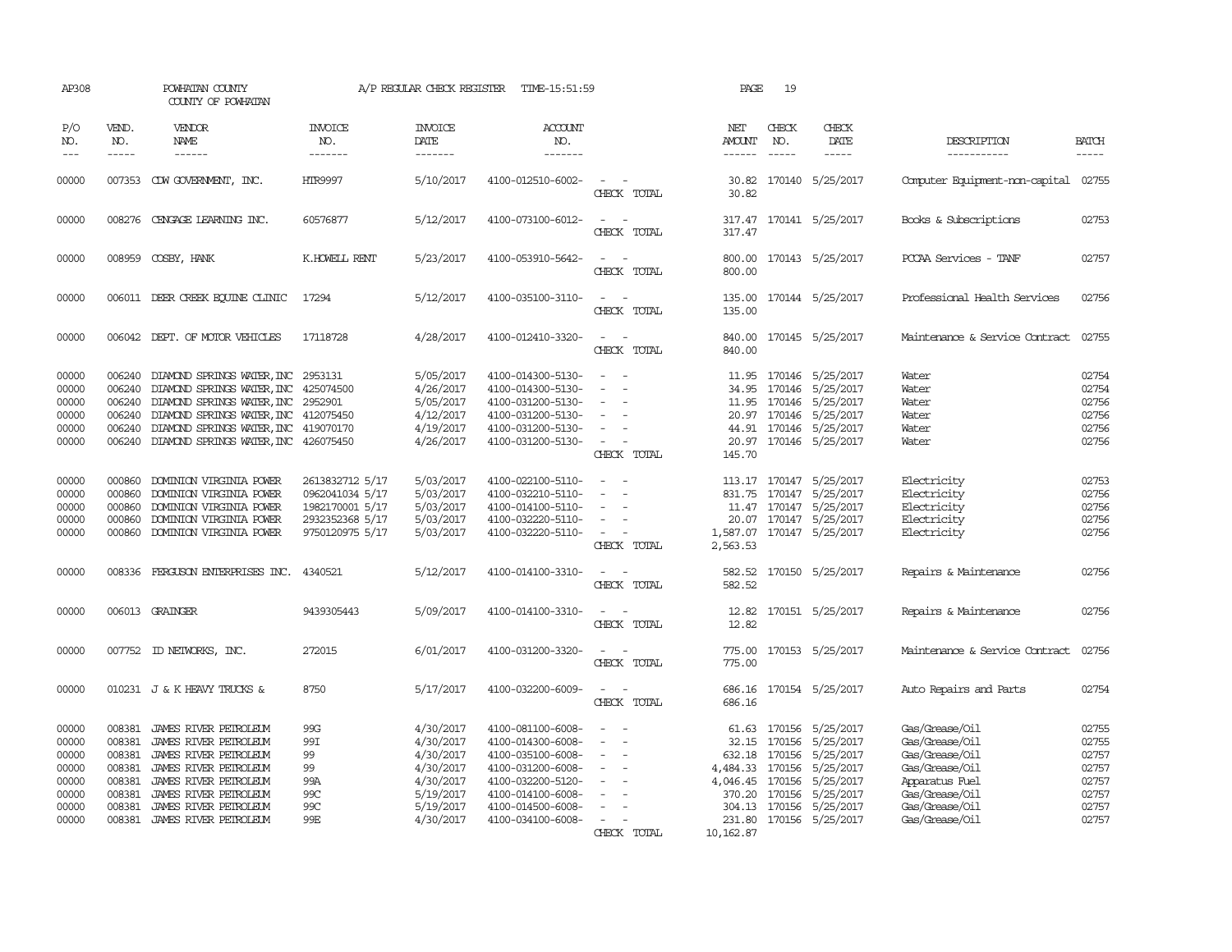| AP308                                                                | POWHATAN COUNTY<br>COUNTY OF POWHATAN                              |                                                                                                                                                                                                                                                  |                                                                                             | A/P REGULAR CHECK REGISTER                                                                           | TIME-15:51:59                                                                                                                                                        |                                                                                           | PAGE                    | 19                            |                                                                                                                                                                                                                  |                                                                                                                                              |                                                                      |
|----------------------------------------------------------------------|--------------------------------------------------------------------|--------------------------------------------------------------------------------------------------------------------------------------------------------------------------------------------------------------------------------------------------|---------------------------------------------------------------------------------------------|------------------------------------------------------------------------------------------------------|----------------------------------------------------------------------------------------------------------------------------------------------------------------------|-------------------------------------------------------------------------------------------|-------------------------|-------------------------------|------------------------------------------------------------------------------------------------------------------------------------------------------------------------------------------------------------------|----------------------------------------------------------------------------------------------------------------------------------------------|----------------------------------------------------------------------|
| P/O<br>NO.<br>$---$                                                  | VEND.<br>NO.<br>$- - - - -$                                        | <b>VENDOR</b><br>NAME<br>$- - - - - -$                                                                                                                                                                                                           | <b>INVOICE</b><br>NO.<br>-------                                                            | <b>INVOICE</b><br>DATE<br>-------                                                                    | ACCOUNT<br>NO.<br>-------                                                                                                                                            |                                                                                           | NET<br>AMOUNT<br>------ | CHECK<br>NO.<br>$\frac{1}{2}$ | CHECK<br>DATE<br>$- - - - -$                                                                                                                                                                                     | DESCRIPTION<br>-----------                                                                                                                   | <b>BATCH</b><br>-----                                                |
| 00000                                                                |                                                                    | 007353 CDW GOVERNMENT, INC.                                                                                                                                                                                                                      | <b>HTR9997</b>                                                                              | 5/10/2017                                                                                            | 4100-012510-6002-                                                                                                                                                    | $\equiv$<br>CHECK TOTAL                                                                   | 30.82<br>30.82          |                               | 170140 5/25/2017                                                                                                                                                                                                 | Computer Equipment-non-capital                                                                                                               | 02755                                                                |
| 00000                                                                |                                                                    | 008276 CENGAGE LEARNING INC.                                                                                                                                                                                                                     | 60576877                                                                                    | 5/12/2017                                                                                            | 4100-073100-6012-                                                                                                                                                    | CHECK TOTAL                                                                               | 317.47                  |                               | 317.47 170141 5/25/2017                                                                                                                                                                                          | Books & Subscriptions                                                                                                                        | 02753                                                                |
| 00000                                                                |                                                                    | 008959 COSBY, HANK                                                                                                                                                                                                                               | K.HOWELL RENT                                                                               | 5/23/2017                                                                                            | 4100-053910-5642-                                                                                                                                                    | $\sim$<br>$\sim$<br>CHECK TOTAL                                                           | 800.00<br>800.00        |                               | 170143 5/25/2017                                                                                                                                                                                                 | PCCAA Services - TANF                                                                                                                        | 02757                                                                |
| 00000                                                                |                                                                    | 006011 DEER CREEK EQUINE CLINIC                                                                                                                                                                                                                  | 17294                                                                                       | 5/12/2017                                                                                            | 4100-035100-3110-                                                                                                                                                    | CHECK TOTAL                                                                               | 135.00                  |                               | 135.00 170144 5/25/2017                                                                                                                                                                                          | Professional Health Services                                                                                                                 | 02756                                                                |
| 00000                                                                |                                                                    | 006042 DEPT. OF MOTOR VEHICLES                                                                                                                                                                                                                   | 17118728                                                                                    | 4/28/2017                                                                                            | 4100-012410-3320-                                                                                                                                                    | $\sim$ $\sim$<br>CHECK TOTAL                                                              | 840.00<br>840.00        |                               | 170145 5/25/2017                                                                                                                                                                                                 | Maintenance & Service Contract                                                                                                               | 02755                                                                |
| 00000<br>00000<br>00000<br>00000<br>00000<br>00000                   | 006240<br>006240                                                   | 006240 DIAMOND SPRINGS WATER, INC 2953131<br>DIAMOND SPRINGS WATER, INC<br>006240 DIAMOND SPRINGS WATER, INC 2952901<br>DIAMOND SPRINGS WATER, INC<br>006240 DIAMOND SPRINGS WATER, INC 419070170<br>006240 DIAMOND SPRINGS WATER, INC 426075450 | 425074500<br>412075450                                                                      | 5/05/2017<br>4/26/2017<br>5/05/2017<br>4/12/2017<br>4/19/2017<br>4/26/2017                           | 4100-014300-5130-<br>4100-014300-5130-<br>4100-031200-5130-<br>4100-031200-5130-<br>4100-031200-5130-<br>4100-031200-5130-                                           | $\overline{\phantom{a}}$<br>$\overline{\phantom{a}}$<br>CHECK TOTAL                       | 145.70                  |                               | 11.95 170146 5/25/2017<br>34.95 170146 5/25/2017<br>11.95 170146 5/25/2017<br>20.97 170146 5/25/2017<br>44.91 170146 5/25/2017<br>20.97 170146 5/25/2017                                                         | Water<br>Water<br>Water<br>Water<br>Water<br>Water                                                                                           | 02754<br>02754<br>02756<br>02756<br>02756<br>02756                   |
| 00000<br>00000<br>00000<br>00000<br>00000                            | 000860<br>000860<br>000860<br>000860                               | DOMINION VIRGINIA POWER<br>DOMINION VIRGINIA POWER<br>DOMINION VIRGINIA POWER<br>DOMINION VIRGINIA POWER<br>000860 DOMINION VIRGINIA POWER                                                                                                       | 2613832712 5/17<br>0962041034 5/17<br>1982170001 5/17<br>2932352368 5/17<br>9750120975 5/17 | 5/03/2017<br>5/03/2017<br>5/03/2017<br>5/03/2017<br>5/03/2017                                        | 4100-022100-5110-<br>4100-032210-5110-<br>4100-014100-5110-<br>4100-032220-5110-<br>4100-032220-5110-                                                                | $\sim$<br>$\sim$<br>$\overline{\phantom{a}}$<br>CHECK TOTAL                               | 11.47<br>2,563.53       |                               | 113.17 170147 5/25/2017<br>831.75 170147 5/25/2017<br>170147 5/25/2017<br>20.07 170147 5/25/2017<br>1,587.07 170147 5/25/2017                                                                                    | Electricity<br>Electricity<br>Electricity<br>Electricity<br>Electricity                                                                      | 02753<br>02756<br>02756<br>02756<br>02756                            |
| 00000                                                                |                                                                    | 008336 FERGUSON ENTERPRISES INC.                                                                                                                                                                                                                 | 4340521                                                                                     | 5/12/2017                                                                                            | 4100-014100-3310-                                                                                                                                                    | CHECK TOTAL                                                                               | 582.52<br>582.52        |                               | 170150 5/25/2017                                                                                                                                                                                                 | Repairs & Maintenance                                                                                                                        | 02756                                                                |
| 00000                                                                |                                                                    | 006013 GRAINGER                                                                                                                                                                                                                                  | 9439305443                                                                                  | 5/09/2017                                                                                            | 4100-014100-3310-                                                                                                                                                    | CHECK TOTAL                                                                               | 12.82<br>12.82          |                               | 170151 5/25/2017                                                                                                                                                                                                 | Repairs & Maintenance                                                                                                                        | 02756                                                                |
| 00000                                                                |                                                                    | 007752 ID NEIWORKS, INC.                                                                                                                                                                                                                         | 272015                                                                                      | 6/01/2017                                                                                            | 4100-031200-3320-                                                                                                                                                    | CHECK TOTAL                                                                               | 775.00                  |                               | 775.00 170153 5/25/2017                                                                                                                                                                                          | Maintenance & Service Contract                                                                                                               | 02756                                                                |
| 00000                                                                |                                                                    | 010231 J & K HEAVY TRUCKS &                                                                                                                                                                                                                      | 8750                                                                                        | 5/17/2017                                                                                            | 4100-032200-6009-                                                                                                                                                    | CHECK TOTAL                                                                               | 686.16<br>686.16        |                               | 170154 5/25/2017                                                                                                                                                                                                 | Auto Repairs and Parts                                                                                                                       | 02754                                                                |
| 00000<br>00000<br>00000<br>00000<br>00000<br>00000<br>00000<br>00000 | 008381<br>008381<br>008381<br>008381<br>008381<br>008381<br>008381 | JAMES RIVER PEIROLEUM<br>JAMES RIVER PETROLEUM<br>JAMES RIVER PEIROLEUM<br>JAMES RIVER PETROLEUM<br>JAMES RIVER PEIROLEUM<br>JAMES RIVER PETROLEUM<br>JAMES RIVER PETROLEUM<br>008381 JAMES RIVER PETROLEUM                                      | 99G<br>99I<br>99<br>99<br>99A<br>99C<br>99C<br>99E                                          | 4/30/2017<br>4/30/2017<br>4/30/2017<br>4/30/2017<br>4/30/2017<br>5/19/2017<br>5/19/2017<br>4/30/2017 | 4100-081100-6008-<br>4100-014300-6008-<br>4100-035100-6008-<br>4100-031200-6008-<br>4100-032200-5120-<br>4100-014100-6008-<br>4100-014500-6008-<br>4100-034100-6008- | $\overline{\phantom{a}}$<br>$\overline{\phantom{a}}$<br>$\equiv$<br>$\sim$<br>CHECK TOTAL | 61.63<br>10, 162.87     |                               | 170156 5/25/2017<br>32.15 170156 5/25/2017<br>632.18 170156 5/25/2017<br>4,484.33 170156 5/25/2017<br>4,046.45 170156 5/25/2017<br>370.20 170156 5/25/2017<br>304.13 170156 5/25/2017<br>231.80 170156 5/25/2017 | Gas/Grease/Oil<br>Gas/Grease/Oil<br>Gas/Grease/Oil<br>Gas/Grease/Oil<br>Apparatus Fuel<br>Gas/Grease/Oil<br>Gas/Grease/Oil<br>Gas/Grease/0il | 02755<br>02755<br>02757<br>02757<br>02757<br>02757<br>02757<br>02757 |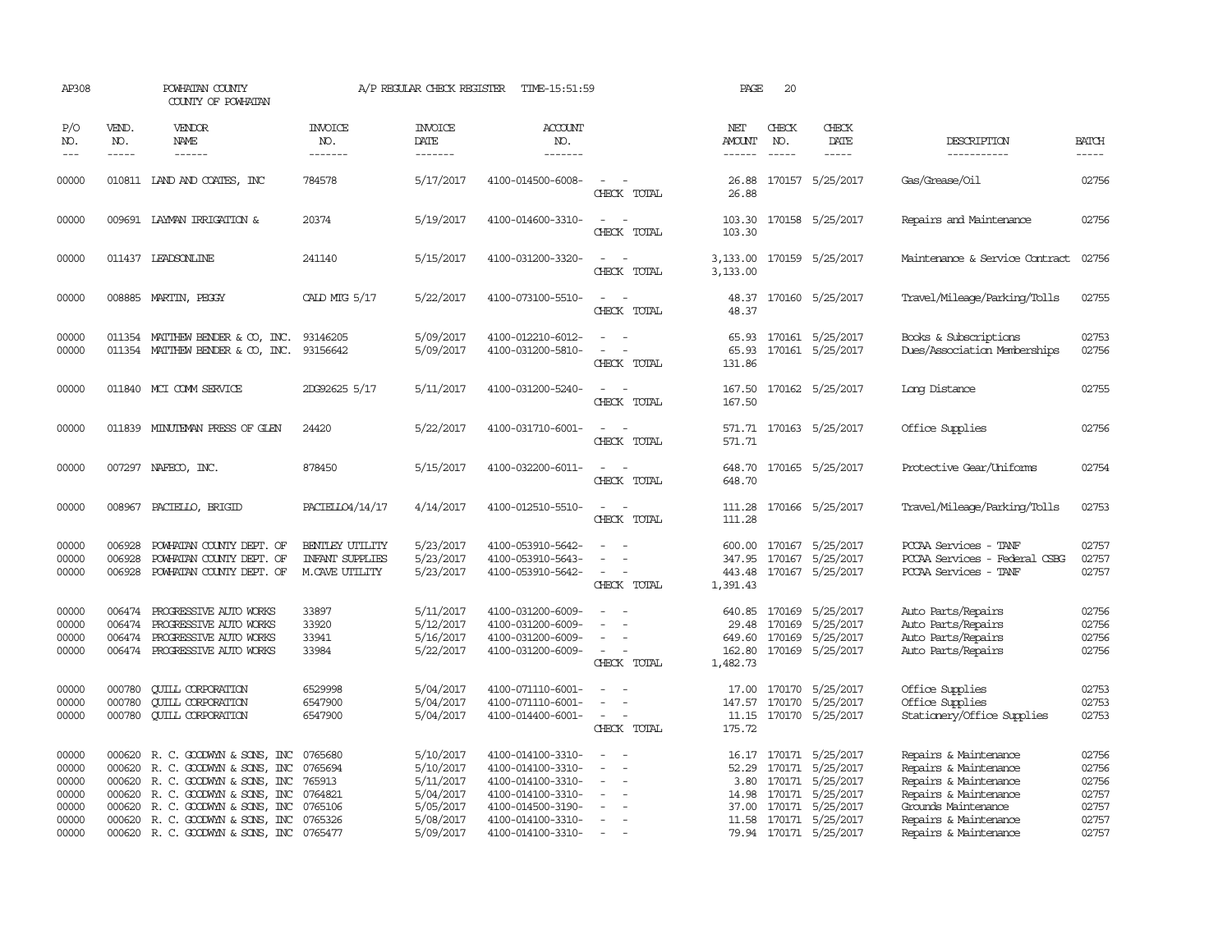| AP308                                                       |                               | POWHATAN COUNTY<br>COUNTY OF POWHATAN                                                                                                                                                                                                                                 |                                                             | A/P REGULAR CHECK REGISTER                                                              | TIME-15:51:59                                                                                                                                   |                                                                     | PAGE                                            | 20                            |                                                                                                                                                                 |                                                                                                                                                                           |                                                             |
|-------------------------------------------------------------|-------------------------------|-----------------------------------------------------------------------------------------------------------------------------------------------------------------------------------------------------------------------------------------------------------------------|-------------------------------------------------------------|-----------------------------------------------------------------------------------------|-------------------------------------------------------------------------------------------------------------------------------------------------|---------------------------------------------------------------------|-------------------------------------------------|-------------------------------|-----------------------------------------------------------------------------------------------------------------------------------------------------------------|---------------------------------------------------------------------------------------------------------------------------------------------------------------------------|-------------------------------------------------------------|
| P/O<br>NO.<br>$---$                                         | VEND.<br>NO.<br>$\frac{1}{2}$ | VENDOR<br>NAME<br>$- - - - - -$                                                                                                                                                                                                                                       | <b>INVOICE</b><br>NO.<br>-------                            | <b>INVOICE</b><br>DATE<br>-------                                                       | <b>ACCOUNT</b><br>NO.<br>-------                                                                                                                |                                                                     | NET<br>AMOUNT<br>$- - - - - -$                  | CHECK<br>NO.<br>$\frac{1}{2}$ | CHECK<br>DATE<br>$- - - - -$                                                                                                                                    | DESCRIPTION<br>-----------                                                                                                                                                | <b>BATCH</b><br>-----                                       |
| 00000                                                       |                               | 010811 LAND AND COATES, INC                                                                                                                                                                                                                                           | 784578                                                      | 5/17/2017                                                                               | 4100-014500-6008-                                                                                                                               | $\overline{\phantom{a}}$<br>CHECK TOTAL                             | 26.88<br>26.88                                  |                               | 170157 5/25/2017                                                                                                                                                | Gas/Grease/Oil                                                                                                                                                            | 02756                                                       |
| 00000                                                       |                               | 009691 LAYMAN IRRIGATION &                                                                                                                                                                                                                                            | 20374                                                       | 5/19/2017                                                                               | 4100-014600-3310-                                                                                                                               | $\sim$<br>CHECK TOTAL                                               | 103.30                                          |                               | 103.30 170158 5/25/2017                                                                                                                                         | Repairs and Maintenance                                                                                                                                                   | 02756                                                       |
| 00000                                                       |                               | 011437 LEADSONLINE                                                                                                                                                                                                                                                    | 241140                                                      | 5/15/2017                                                                               | 4100-031200-3320-                                                                                                                               | $\sim$<br>$\sim$<br>CHECK TOTAL                                     | 3,133.00<br>3,133.00                            |                               | 170159 5/25/2017                                                                                                                                                | Maintenance & Service Contract                                                                                                                                            | 02756                                                       |
| 00000                                                       |                               | 008885 MARTIN, PEGGY                                                                                                                                                                                                                                                  | CALD MTG 5/17                                               | 5/22/2017                                                                               | 4100-073100-5510-                                                                                                                               | CHECK TOTAL                                                         | 48.37                                           |                               | 48.37 170160 5/25/2017                                                                                                                                          | Travel/Mileage/Parking/Tolls                                                                                                                                              | 02755                                                       |
| 00000<br>00000                                              |                               | 011354 MATTHEW BENDER & CO, INC.<br>011354 MATTHEW BENDER & CO, INC.                                                                                                                                                                                                  | 93146205<br>93156642                                        | 5/09/2017<br>5/09/2017                                                                  | 4100-012210-6012-<br>4100-031200-5810-                                                                                                          | $\overline{\phantom{a}}$<br>CHECK TOTAL                             | 65.93<br>131.86                                 |                               | 65.93 170161 5/25/2017<br>170161 5/25/2017                                                                                                                      | Books & Subscriptions<br>Dues/Association Memberships                                                                                                                     | 02753<br>02756                                              |
| 00000                                                       |                               | 011840 MCI COMM SERVICE                                                                                                                                                                                                                                               | 2DG92625 5/17                                               | 5/11/2017                                                                               | 4100-031200-5240-                                                                                                                               | CHECK TOTAL                                                         | 167.50<br>167.50                                |                               | 170162 5/25/2017                                                                                                                                                | Long Distance                                                                                                                                                             | 02755                                                       |
| 00000                                                       |                               | 011839 MINUTEMPN PRESS OF GLEN                                                                                                                                                                                                                                        | 24420                                                       | 5/22/2017                                                                               | 4100-031710-6001-                                                                                                                               | CHECK TOTAL                                                         | 571.71                                          |                               | 571.71 170163 5/25/2017                                                                                                                                         | Office Supplies                                                                                                                                                           | 02756                                                       |
| 00000                                                       |                               | 007297 NAFECO, INC.                                                                                                                                                                                                                                                   | 878450                                                      | 5/15/2017                                                                               | 4100-032200-6011-                                                                                                                               | CHECK TOTAL                                                         | 648.70<br>648.70                                |                               | 170165 5/25/2017                                                                                                                                                | Protective Gear/Uniforms                                                                                                                                                  | 02754                                                       |
| 00000                                                       |                               | 008967 PACIELLO, BRIGID                                                                                                                                                                                                                                               | PACIELLO4/14/17                                             | 4/14/2017                                                                               | 4100-012510-5510-                                                                                                                               | CHECK TOTAL                                                         | 111.28<br>111.28                                |                               | 170166 5/25/2017                                                                                                                                                | Travel/Mileage/Parking/Tolls                                                                                                                                              | 02753                                                       |
| 00000<br>00000<br>00000                                     | 006928<br>006928              | POWHATAN COUNTY DEPT. OF<br>POWHATAN COUNTY DEPT. OF<br>006928 POWHATAN COUNTY DEPT. OF                                                                                                                                                                               | BENILEY UITLITY<br><b>INFANT SUPPLIES</b><br>M.CAVE UTILITY | 5/23/2017<br>5/23/2017<br>5/23/2017                                                     | 4100-053910-5642-<br>4100-053910-5643-<br>4100-053910-5642-                                                                                     | CHECK TOTAL                                                         | 600.00<br>347.95<br>443.48<br>1,391.43          |                               | 170167 5/25/2017<br>170167 5/25/2017<br>170167 5/25/2017                                                                                                        | PCCAA Services - TANF<br>PCCAA Services - Federal CSBG<br>PCCAA Services - TANF                                                                                           | 02757<br>02757<br>02757                                     |
| 00000<br>00000<br>00000<br>00000                            | 006474<br>006474<br>006474    | PROGRESSIVE AUTO WORKS<br>PROGRESSIVE AUTO WORKS<br>PROGRESSIVE AUTO WORKS<br>006474 PROGRESSIVE AUTO WORKS                                                                                                                                                           | 33897<br>33920<br>33941<br>33984                            | 5/11/2017<br>5/12/2017<br>5/16/2017<br>5/22/2017                                        | 4100-031200-6009-<br>4100-031200-6009-<br>4100-031200-6009-<br>4100-031200-6009-                                                                | $\equiv$<br>$\overline{\phantom{a}}$<br>$\sim$<br>CHECK TOTAL       | 640.85<br>29.48<br>649.60<br>162.80<br>1,482.73 |                               | 170169 5/25/2017<br>170169 5/25/2017<br>170169 5/25/2017<br>170169 5/25/2017                                                                                    | Auto Parts/Repairs<br>Auto Parts/Repairs<br>Auto Parts/Repairs<br>Auto Parts/Repairs                                                                                      | 02756<br>02756<br>02756<br>02756                            |
| 00000<br>00000<br>00000                                     | 000780<br>000780<br>000780    | <b>CUILL CORPORATION</b><br><b>CUILL CORPORATION</b><br><b>CUILL CORPORATION</b>                                                                                                                                                                                      | 6529998<br>6547900<br>6547900                               | 5/04/2017<br>5/04/2017<br>5/04/2017                                                     | 4100-071110-6001-<br>4100-071110-6001-<br>4100-014400-6001-                                                                                     | $\overline{\phantom{a}}$<br>$\overline{\phantom{a}}$<br>CHECK TOTAL | 147.57<br>175.72                                |                               | 17.00 170170 5/25/2017<br>170170 5/25/2017<br>11.15 170170 5/25/2017                                                                                            | Office Supplies<br>Office Supplies<br>Stationery/Office Supplies                                                                                                          | 02753<br>02753<br>02753                                     |
| 00000<br>00000<br>00000<br>00000<br>00000<br>00000<br>00000 |                               | 000620 R.C. GOODWYN & SONS, INC<br>000620 R.C. GOODWYN & SONS, INC<br>000620 R. C. GOODWYN & SONS, INC<br>000620 R. C. GOODWYN & SONS, INC<br>000620 R.C. GOODWYN & SONS, INC<br>000620 R. C. GOODWYN & SONS, INC 0765326<br>000620 R. C. GOODWYN & SONS, INC 0765477 | 0765680<br>0765694<br>765913<br>0764821<br>0765106          | 5/10/2017<br>5/10/2017<br>5/11/2017<br>5/04/2017<br>5/05/2017<br>5/08/2017<br>5/09/2017 | 4100-014100-3310-<br>4100-014100-3310-<br>4100-014100-3310-<br>4100-014100-3310-<br>4100-014500-3190-<br>4100-014100-3310-<br>4100-014100-3310- | $\sim$<br>$\sim$<br>$\overline{\phantom{a}}$<br>$\sim$<br>$\sim$    | 52.29<br>14.98<br>37.00                         |                               | 16.17 170171 5/25/2017<br>170171 5/25/2017<br>3.80 170171 5/25/2017<br>170171 5/25/2017<br>170171 5/25/2017<br>11.58 170171 5/25/2017<br>79.94 170171 5/25/2017 | Repairs & Maintenance<br>Repairs & Maintenance<br>Repairs & Maintenance<br>Repairs & Maintenance<br>Grounds Maintenance<br>Repairs & Maintenance<br>Repairs & Maintenance | 02756<br>02756<br>02756<br>02757<br>02757<br>02757<br>02757 |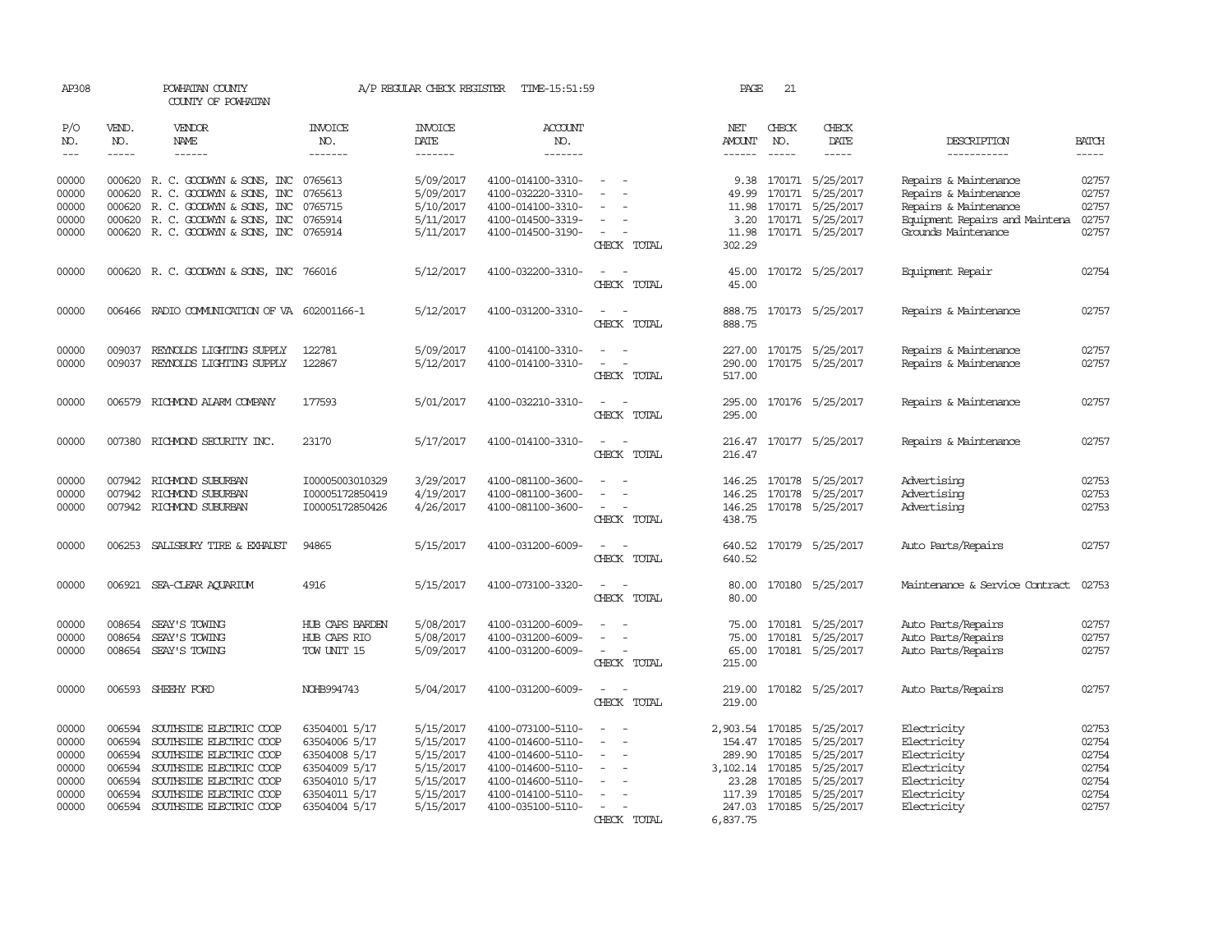| AP308                                                                                                                                                                                                                                                                                                                                                                                                      |                                                          | POWHATAN COUNTY<br>COUNTY OF POWHATAN                                                                                                                                                            |                                                                                                                     | A/P REGULAR CHECK REGISTER                                                              | TIME-15:51:59                                                                                                                                   |                                                                                                   | PAGE                                                                                 | 21                               |                                                                                                        |                                                                                                                                  |                                                             |
|------------------------------------------------------------------------------------------------------------------------------------------------------------------------------------------------------------------------------------------------------------------------------------------------------------------------------------------------------------------------------------------------------------|----------------------------------------------------------|--------------------------------------------------------------------------------------------------------------------------------------------------------------------------------------------------|---------------------------------------------------------------------------------------------------------------------|-----------------------------------------------------------------------------------------|-------------------------------------------------------------------------------------------------------------------------------------------------|---------------------------------------------------------------------------------------------------|--------------------------------------------------------------------------------------|----------------------------------|--------------------------------------------------------------------------------------------------------|----------------------------------------------------------------------------------------------------------------------------------|-------------------------------------------------------------|
| P/O<br>NO.<br>$\frac{1}{2} \frac{1}{2} \frac{1}{2} \frac{1}{2} \frac{1}{2} \frac{1}{2} \frac{1}{2} \frac{1}{2} \frac{1}{2} \frac{1}{2} \frac{1}{2} \frac{1}{2} \frac{1}{2} \frac{1}{2} \frac{1}{2} \frac{1}{2} \frac{1}{2} \frac{1}{2} \frac{1}{2} \frac{1}{2} \frac{1}{2} \frac{1}{2} \frac{1}{2} \frac{1}{2} \frac{1}{2} \frac{1}{2} \frac{1}{2} \frac{1}{2} \frac{1}{2} \frac{1}{2} \frac{1}{2} \frac{$ | VEND.<br>NO.<br>$- - - - -$                              | <b>VENDOR</b><br>NAME<br>------                                                                                                                                                                  | <b>INVOICE</b><br>NO.<br>-------                                                                                    | <b>INVOICE</b><br>DATE<br>-------                                                       | <b>ACCOUNT</b><br>NO.<br>-------                                                                                                                |                                                                                                   | NET<br>AMOUNT<br>$- - - - - -$                                                       | CHECK<br>NO.<br>$\frac{1}{2}$    | CHECK<br>DATE<br>-----                                                                                 | DESCRIPTION<br>-----------                                                                                                       | <b>BATCH</b><br>-----                                       |
| 00000<br>00000<br>00000<br>00000<br>00000                                                                                                                                                                                                                                                                                                                                                                  | 000620<br>000620                                         | 000620 R. C. GOODWYN & SONS, INC<br>000620 R. C. GOODWYN & SONS, INC<br>R. C. GOODWYN & SONS, INC<br>R. C. GOODWYN & SONS, INC<br>000620 R. C. GOODWYN & SONS, INC 0765914                       | 0765613<br>0765613<br>0765715<br>0765914                                                                            | 5/09/2017<br>5/09/2017<br>5/10/2017<br>5/11/2017<br>5/11/2017                           | 4100-014100-3310-<br>4100-032220-3310-<br>4100-014100-3310-<br>4100-014500-3319-<br>4100-014500-3190-                                           | $\overline{\phantom{a}}$<br>$\hspace{0.1mm}-\hspace{0.1mm}$<br>CHECK TOTAL                        | 9.38<br>11.98<br>3.20<br>11.98<br>302.29                                             |                                  | 170171 5/25/2017<br>49.99 170171 5/25/2017<br>170171 5/25/2017<br>170171 5/25/2017<br>170171 5/25/2017 | Repairs & Maintenance<br>Repairs & Maintenance<br>Repairs & Maintenance<br>Equipment Repairs and Maintena<br>Grounds Maintenance | 02757<br>02757<br>02757<br>02757<br>02757                   |
| 00000                                                                                                                                                                                                                                                                                                                                                                                                      |                                                          | 000620 R. C. GOODWYN & SONS, INC 766016                                                                                                                                                          |                                                                                                                     | 5/12/2017                                                                               | 4100-032200-3310-                                                                                                                               | CHECK TOTAL                                                                                       | 45.00<br>45.00                                                                       |                                  | 170172 5/25/2017                                                                                       | Equipment Repair                                                                                                                 | 02754                                                       |
| 00000                                                                                                                                                                                                                                                                                                                                                                                                      |                                                          | 006466 RADIO COMMUNICATION OF VA 602001166-1                                                                                                                                                     |                                                                                                                     | 5/12/2017                                                                               | 4100-031200-3310-                                                                                                                               | CHECK TOTAL                                                                                       | 888.75<br>888.75                                                                     |                                  | 170173 5/25/2017                                                                                       | Repairs & Maintenance                                                                                                            | 02757                                                       |
| 00000<br>00000                                                                                                                                                                                                                                                                                                                                                                                             | 009037                                                   | REYNOLDS LIGHTING SUPPLY<br>009037 REYNOLDS LIGHTING SUPPLY                                                                                                                                      | 122781<br>122867                                                                                                    | 5/09/2017<br>5/12/2017                                                                  | 4100-014100-3310-<br>4100-014100-3310-                                                                                                          | CHECK TOTAL                                                                                       | 227.00<br>290.00<br>517.00                                                           |                                  | 170175 5/25/2017<br>170175 5/25/2017                                                                   | Repairs & Maintenance<br>Repairs & Maintenance                                                                                   | 02757<br>02757                                              |
| 00000                                                                                                                                                                                                                                                                                                                                                                                                      |                                                          | 006579 RICHMOND ALARM COMPANY                                                                                                                                                                    | 177593                                                                                                              | 5/01/2017                                                                               | 4100-032210-3310-                                                                                                                               | CHECK TOTAL                                                                                       | 295.00<br>295.00                                                                     |                                  | 170176 5/25/2017                                                                                       | Repairs & Maintenance                                                                                                            | 02757                                                       |
| 00000                                                                                                                                                                                                                                                                                                                                                                                                      |                                                          | 007380 RICHMOND SECURITY INC.                                                                                                                                                                    | 23170                                                                                                               | 5/17/2017                                                                               | 4100-014100-3310-                                                                                                                               | CHECK TOTAL                                                                                       | 216.47<br>216.47                                                                     |                                  | 170177 5/25/2017                                                                                       | Repairs & Maintenance                                                                                                            | 02757                                                       |
| 00000<br>00000<br>00000                                                                                                                                                                                                                                                                                                                                                                                    |                                                          | 007942 RICHMOND SUBURBAN<br>007942 RICHMOND SUBURBAN<br>007942 RICHMOND SUBURBAN                                                                                                                 | I00005003010329<br>I00005172850419<br>I00005172850426                                                               | 3/29/2017<br>4/19/2017<br>4/26/2017                                                     | 4100-081100-3600-<br>4100-081100-3600-<br>4100-081100-3600-                                                                                     | $\overline{\phantom{a}}$<br>CHECK TOTAL                                                           | 146.25<br>438.75                                                                     |                                  | 170178 5/25/2017<br>146.25 170178 5/25/2017<br>146.25 170178 5/25/2017                                 | Advertising<br>Advertising<br>Advertising                                                                                        | 02753<br>02753<br>02753                                     |
| 00000                                                                                                                                                                                                                                                                                                                                                                                                      |                                                          | 006253 SALISBURY TIRE & EXHAUST                                                                                                                                                                  | 94865                                                                                                               | 5/15/2017                                                                               | 4100-031200-6009-                                                                                                                               | CHECK TOTAL                                                                                       | 640.52<br>640.52                                                                     |                                  | 170179 5/25/2017                                                                                       | Auto Parts/Repairs                                                                                                               | 02757                                                       |
| 00000                                                                                                                                                                                                                                                                                                                                                                                                      |                                                          | 006921 SEA-CLEAR AQUARIUM                                                                                                                                                                        | 4916                                                                                                                | 5/15/2017                                                                               | 4100-073100-3320-                                                                                                                               | - -<br>CHECK TOTAL                                                                                | 80.00<br>80.00                                                                       |                                  | 170180 5/25/2017                                                                                       | Maintenance & Service Contract                                                                                                   | 02753                                                       |
| 00000<br>00000<br>00000                                                                                                                                                                                                                                                                                                                                                                                    | 008654<br>008654                                         | SEAY'S TOWING<br>SEAY'S TOWING<br>008654 SEAY'S TOWING                                                                                                                                           | HUB CAPS BARDEN<br>HUB CAPS RIO<br>TOW UNIT 15                                                                      | 5/08/2017<br>5/08/2017<br>5/09/2017                                                     | 4100-031200-6009-<br>4100-031200-6009-<br>4100-031200-6009-                                                                                     | $\sim$<br>CHECK TOTAL                                                                             | 75.00<br>75.00<br>65.00<br>215.00                                                    | 170181<br>170181                 | 5/25/2017<br>5/25/2017<br>170181 5/25/2017                                                             | Auto Parts/Repairs<br>Auto Parts/Repairs<br>Auto Parts/Repairs                                                                   | 02757<br>02757<br>02757                                     |
| 00000                                                                                                                                                                                                                                                                                                                                                                                                      | 006593                                                   | SHEEHY FORD                                                                                                                                                                                      | NOHB994743                                                                                                          | 5/04/2017                                                                               | 4100-031200-6009-                                                                                                                               | $\overline{\phantom{a}}$<br>$\overline{\phantom{a}}$<br>CHECK TOTAL                               | 219.00<br>219.00                                                                     |                                  | 170182 5/25/2017                                                                                       | Auto Parts/Repairs                                                                                                               | 02757                                                       |
| 00000<br>00000<br>00000<br>00000<br>00000<br>00000<br>00000                                                                                                                                                                                                                                                                                                                                                | 006594<br>006594<br>006594<br>006594<br>006594<br>006594 | SOUTHSIDE ELECTRIC COOP<br>SOUTHSIDE ELECTRIC COOP<br>SOUTHSIDE ELECTRIC COOP<br>SOUTHSIDE ELECTRIC COOP<br>SOUTHSIDE ELECTRIC COOP<br>SOUTHSIDE ELECTRIC COOP<br>006594 SOUTHSIDE ELECTRIC COOP | 63504001 5/17<br>63504006 5/17<br>63504008 5/17<br>63504009 5/17<br>63504010 5/17<br>63504011 5/17<br>63504004 5/17 | 5/15/2017<br>5/15/2017<br>5/15/2017<br>5/15/2017<br>5/15/2017<br>5/15/2017<br>5/15/2017 | 4100-073100-5110-<br>4100-014600-5110-<br>4100-014600-5110-<br>4100-014600-5110-<br>4100-014600-5110-<br>4100-014100-5110-<br>4100-035100-5110- | $\sim$<br>$\overline{\phantom{a}}$<br>$\overline{\phantom{a}}$<br>$\sim$<br>$\sim$<br>CHECK TOTAL | 2,903.54 170185<br>154.47<br>289.90<br>3, 102.14 170185<br>117.39 170185<br>6,837.75 | 170185<br>170185<br>23.28 170185 | 5/25/2017<br>5/25/2017<br>5/25/2017<br>5/25/2017<br>5/25/2017<br>5/25/2017<br>247.03 170185 5/25/2017  | Electricity<br>Electricity<br>Electricity<br>Electricity<br>Electricity<br>Electricity<br>Electricity                            | 02753<br>02754<br>02754<br>02754<br>02754<br>02754<br>02757 |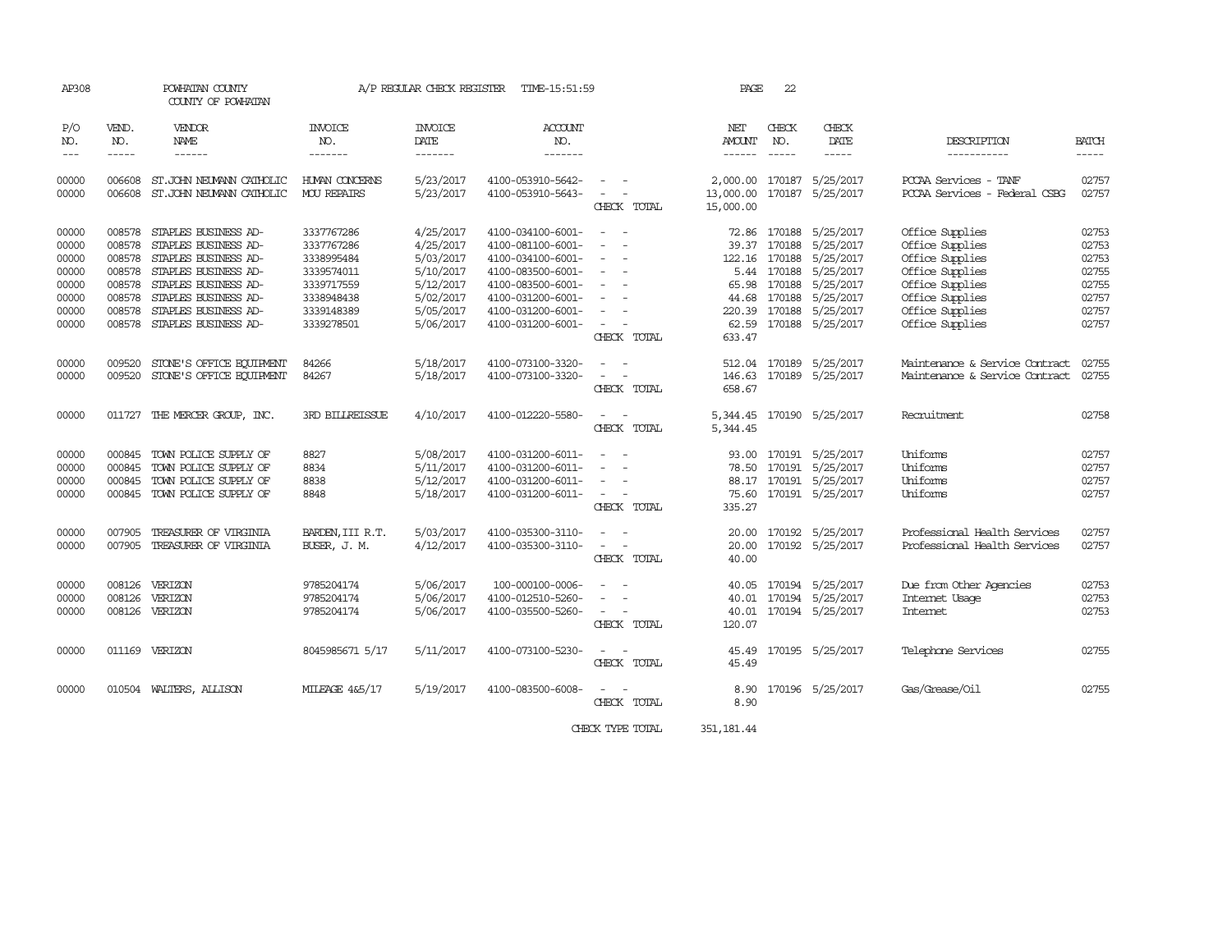| AP308      |              | POWHATAN COUNTY<br>COUNTY OF POWHATAN |                        | A/P REGULAR CHECK REGISTER | TIME-15:51:59         |                                              | PAGE                   | 22            |                           |                                |                                                                |
|------------|--------------|---------------------------------------|------------------------|----------------------------|-----------------------|----------------------------------------------|------------------------|---------------|---------------------------|--------------------------------|----------------------------------------------------------------|
| P/O<br>NO. | VEND.<br>NO. | VENDOR<br>NAME                        | <b>INVOICE</b><br>NO.  | <b>INVOICE</b><br>DATE     | <b>ACCOUNT</b><br>NO. |                                              | NET<br>AMOUNT          | CHECK<br>NO.  | CHECK<br>DATE             | DESCRIPTION                    | BATCH                                                          |
| $---$      | $- - - - -$  | ------                                | -------                | -------                    | -------               |                                              | $- - - - - -$          | $\frac{1}{2}$ | -----                     | -----------                    | $\begin{tabular}{ccccc} - & - & - & - \\ \hline \end{tabular}$ |
| 00000      | 006608       | ST. JOHN NEUMANN CATHOLIC             | HUMAN CONCERNS         | 5/23/2017                  | 4100-053910-5642-     |                                              |                        |               | 2,000.00 170187 5/25/2017 | PCCAA Services - TANF          | 02757                                                          |
| 00000      | 006608       | ST. JOHN NEUMANN CATHOLIC             | <b>MOU REPAIRS</b>     | 5/23/2017                  | 4100-053910-5643-     | $\sim$<br>CHECK TOTAL                        | 13,000.00<br>15,000.00 |               | 170187 5/25/2017          | PCCAA Services - Federal CSBG  | 02757                                                          |
| 00000      | 008578       | STAPLES BUSINESS AD-                  | 3337767286             | 4/25/2017                  | 4100-034100-6001-     | $\sim$ 100 $\mu$                             |                        |               | 72.86 170188 5/25/2017    | Office Supplies                | 02753                                                          |
| 00000      | 008578       | STAPLES BUSINESS AD-                  | 3337767286             | 4/25/2017                  | 4100-081100-6001-     | $\sim$                                       | 39.37                  |               | 170188 5/25/2017          | Office Supplies                | 02753                                                          |
| 00000      | 008578       | STAPLES BUSINESS AD-                  | 3338995484             | 5/03/2017                  | 4100-034100-6001-     | $\sim$                                       |                        |               | 122.16 170188 5/25/2017   | Office Supplies                | 02753                                                          |
| 00000      | 008578       | STAPLES BUSINESS AD-                  | 3339574011             | 5/10/2017                  | 4100-083500-6001-     | $\sim$                                       |                        | 5.44 170188   | 5/25/2017                 | Office Supplies                | 02755                                                          |
| 00000      | 008578       | STAPLES BUSINESS AD-                  | 3339717559             | 5/12/2017                  | 4100-083500-6001-     | $\sim$                                       |                        | 65.98 170188  | 5/25/2017                 | Office Supplies                | 02755                                                          |
| 00000      | 008578       | STAPLES BUSINESS AD-                  | 3338948438             | 5/02/2017                  | 4100-031200-6001-     | $\sim$                                       | 44.68                  |               | 170188 5/25/2017          | Office Supplies                | 02757                                                          |
| 00000      | 008578       | STAPLES BUSINESS AD-                  | 3339148389             | 5/05/2017                  | 4100-031200-6001-     | $\sim$                                       | 220.39                 |               | 170188 5/25/2017          | Office Supplies                | 02757                                                          |
| 00000      | 008578       | STAPLES BUSINESS AD-                  | 3339278501             | 5/06/2017                  | 4100-031200-6001-     | $\sim$                                       |                        |               | 62.59 170188 5/25/2017    | Office Supplies                | 02757                                                          |
|            |              |                                       |                        |                            |                       | CHECK TOTAL                                  | 633.47                 |               |                           |                                |                                                                |
| 00000      | 009520       | STONE'S OFFICE EQUIPMENT              | 84266                  | 5/18/2017                  | 4100-073100-3320-     |                                              | 512.04                 |               | 170189 5/25/2017          | Maintenance & Service Contract | 02755                                                          |
| 00000      | 009520       | STONE'S OFFICE EQUIPMENT              | 84267                  | 5/18/2017                  | 4100-073100-3320-     | $\sim$                                       | 146.63                 |               | 170189 5/25/2017          | Maintenance & Service Contract | 02755                                                          |
|            |              |                                       |                        |                            |                       | CHECK TOTAL                                  | 658.67                 |               |                           |                                |                                                                |
| 00000      |              | 011727 THE MERCER GROUP, INC.         | <b>3RD BILLREISSUE</b> | 4/10/2017                  | 4100-012220-5580-     |                                              |                        |               | 5,344.45 170190 5/25/2017 | Recruitment                    | 02758                                                          |
|            |              |                                       |                        |                            |                       | CHECK TOTAL                                  | 5,344.45               |               |                           |                                |                                                                |
| 00000      | 000845       | TOWN POLICE SUPPLY OF                 | 8827                   | 5/08/2017                  | 4100-031200-6011-     | $\sim$                                       | 93.00                  |               | 170191 5/25/2017          | Uniforms                       | 02757                                                          |
| 00000      | 000845       | TOWN POLICE SUPPLY OF                 | 8834                   | 5/11/2017                  | 4100-031200-6011-     |                                              | 78.50                  |               | 170191 5/25/2017          | Uniforms                       | 02757                                                          |
| 00000      | 000845       | TOWN POLICE SUPPLY OF                 | 8838                   | 5/12/2017                  | 4100-031200-6011-     | $\sim$                                       | 88.17                  |               | 170191 5/25/2017          | Uniforms                       | 02757                                                          |
| 00000      |              | 000845 TOWN POLICE SUPPLY OF          | 8848                   | 5/18/2017                  | 4100-031200-6011-     | $\sim$ $-$                                   |                        |               | 75.60 170191 5/25/2017    | Uniforms                       | 02757                                                          |
|            |              |                                       |                        |                            |                       | CHECK TOTAL                                  | 335.27                 |               |                           |                                |                                                                |
| 00000      | 007905       | TREASURER OF VIRGINIA                 | BARDEN, III R.T.       | 5/03/2017                  | 4100-035300-3110-     | $\sim$                                       | 20.00                  |               | 170192 5/25/2017          | Professional Health Services   | 02757                                                          |
| 00000      |              | 007905 TREASURER OF VIRGINIA          | BUSER, J. M.           | 4/12/2017                  | 4100-035300-3110-     | $\sim$ $-$                                   | 20.00                  |               | 170192 5/25/2017          | Professional Health Services   | 02757                                                          |
|            |              |                                       |                        |                            |                       | CHECK TOTAL                                  | 40.00                  |               |                           |                                |                                                                |
| 00000      | 008126       | VERIZON                               | 9785204174             | 5/06/2017                  | 100-000100-0006-      |                                              |                        |               | 40.05 170194 5/25/2017    | Due from Other Agencies        | 02753                                                          |
| 00000      | 008126       | VERIZON                               | 9785204174             | 5/06/2017                  | 4100-012510-5260-     |                                              | 40.01                  |               | 170194 5/25/2017          | Internet Usage                 | 02753                                                          |
| 00000      |              | 008126 VERIZON                        | 9785204174             | 5/06/2017                  | 4100-035500-5260-     | $\sim$ 100 $\mu$<br>$\overline{\phantom{a}}$ | 40.01                  |               | 170194 5/25/2017          | <b>Internet</b>                | 02753                                                          |
|            |              |                                       |                        |                            |                       | CHECK TOTAL                                  | 120.07                 |               |                           |                                |                                                                |
| 00000      |              | 011169 VERIZON                        | 8045985671 5/17        | 5/11/2017                  | 4100-073100-5230-     |                                              | 45.49                  |               | 170195 5/25/2017          | Telephone Services             | 02755                                                          |
|            |              |                                       |                        |                            |                       | CHECK TOTAL                                  | 45.49                  |               |                           |                                |                                                                |
| 00000      |              | 010504 WALTERS, ALLISON               | MILEAGE 4&5/17         | 5/19/2017                  | 4100-083500-6008-     |                                              | 8.90                   |               | 170196 5/25/2017          | Gas/Grease/Oil                 | 02755                                                          |
|            |              |                                       |                        |                            |                       | CHECK TOTAL                                  | 8.90                   |               |                           |                                |                                                                |
|            |              |                                       |                        |                            |                       | CHECK TYPE TOTAL                             | 351, 181.44            |               |                           |                                |                                                                |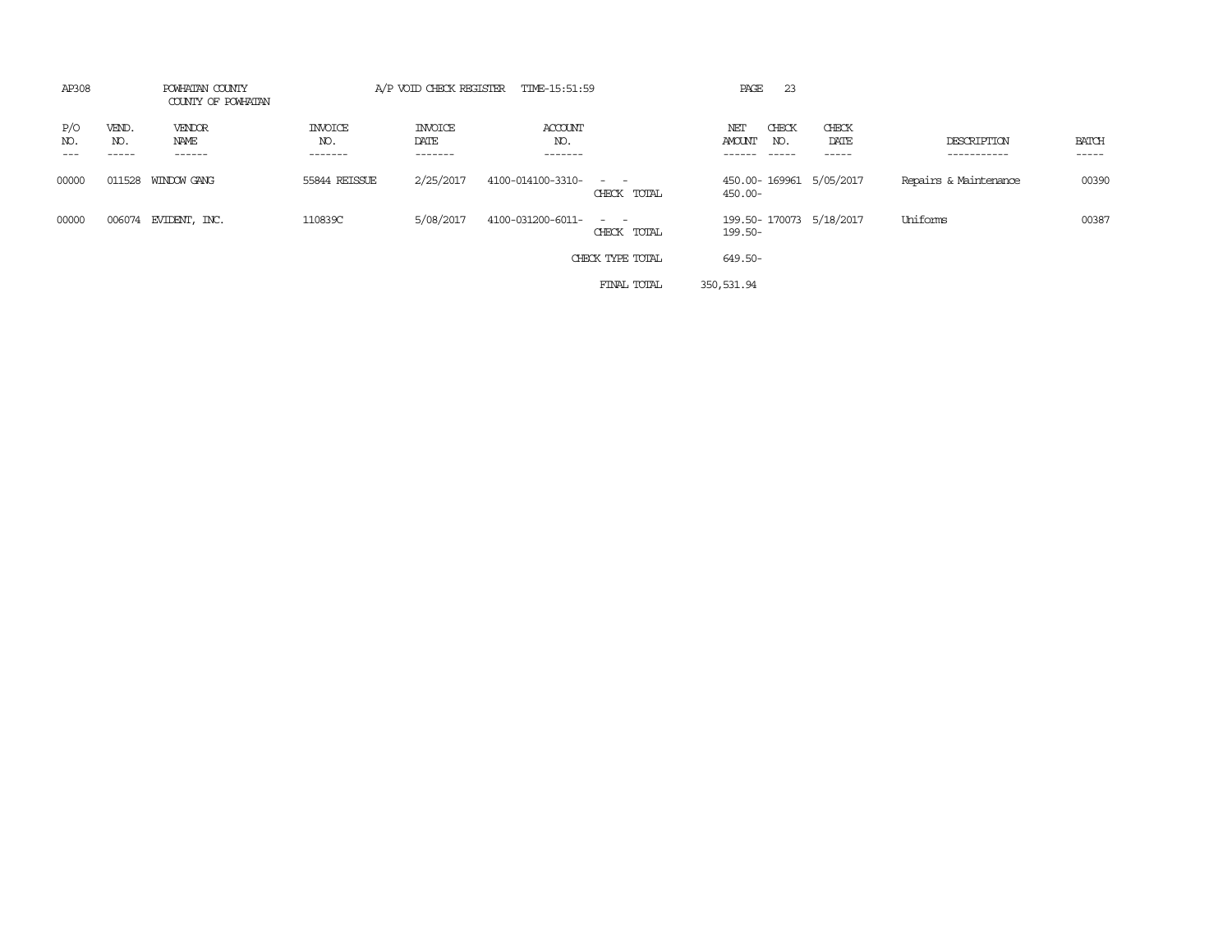| AP308                               | POWHATAN COUNTY<br>COUNTY OF POWHATAN |                                  |                                   | A/P VOID CHECK REGISTER TIME-15:51:59 |                               | 23<br>PAGE                                   |                        |                            |                       |
|-------------------------------------|---------------------------------------|----------------------------------|-----------------------------------|---------------------------------------|-------------------------------|----------------------------------------------|------------------------|----------------------------|-----------------------|
| P/O<br>VEND.<br>NO.<br>NO.<br>----- | VENDOR<br>NAME<br>------              | <b>INVOICE</b><br>NO.<br>------- | <b>INVOICE</b><br>DATE<br>------- | ACCOUNT<br>NO.<br>-------             |                               | CHECK<br>NET<br>AMOUNT<br>NO.<br>$- - - - -$ | CHECK<br>DATE<br>----- | DESCRIPTION<br>----------- | <b>BATCH</b><br>----- |
| 00000<br>011528                     | WINDOW GANG                           | 55844 REISSUE                    | 2/25/2017                         | 4100-014100-3310-                     | $\sim$ $ \sim$<br>CHECK TOTAL | 450.00-169961 5/05/2017<br>450.00-           |                        | Repairs & Maintenance      | 00390                 |
| 00000                               | 006074 EVIDENT, INC.                  | 110839C                          | 5/08/2017                         | 4100-031200-6011-                     | $\sim$ $ \sim$<br>CHECK TOTAL | 199.50-170073 5/18/2017<br>199.50-           |                        | Uniforms                   | 00387                 |
|                                     |                                       |                                  |                                   |                                       | CHECK TYPE TOTAL              | 649.50-                                      |                        |                            |                       |
|                                     |                                       |                                  |                                   |                                       | FINAL TOTAL                   | 350,531.94                                   |                        |                            |                       |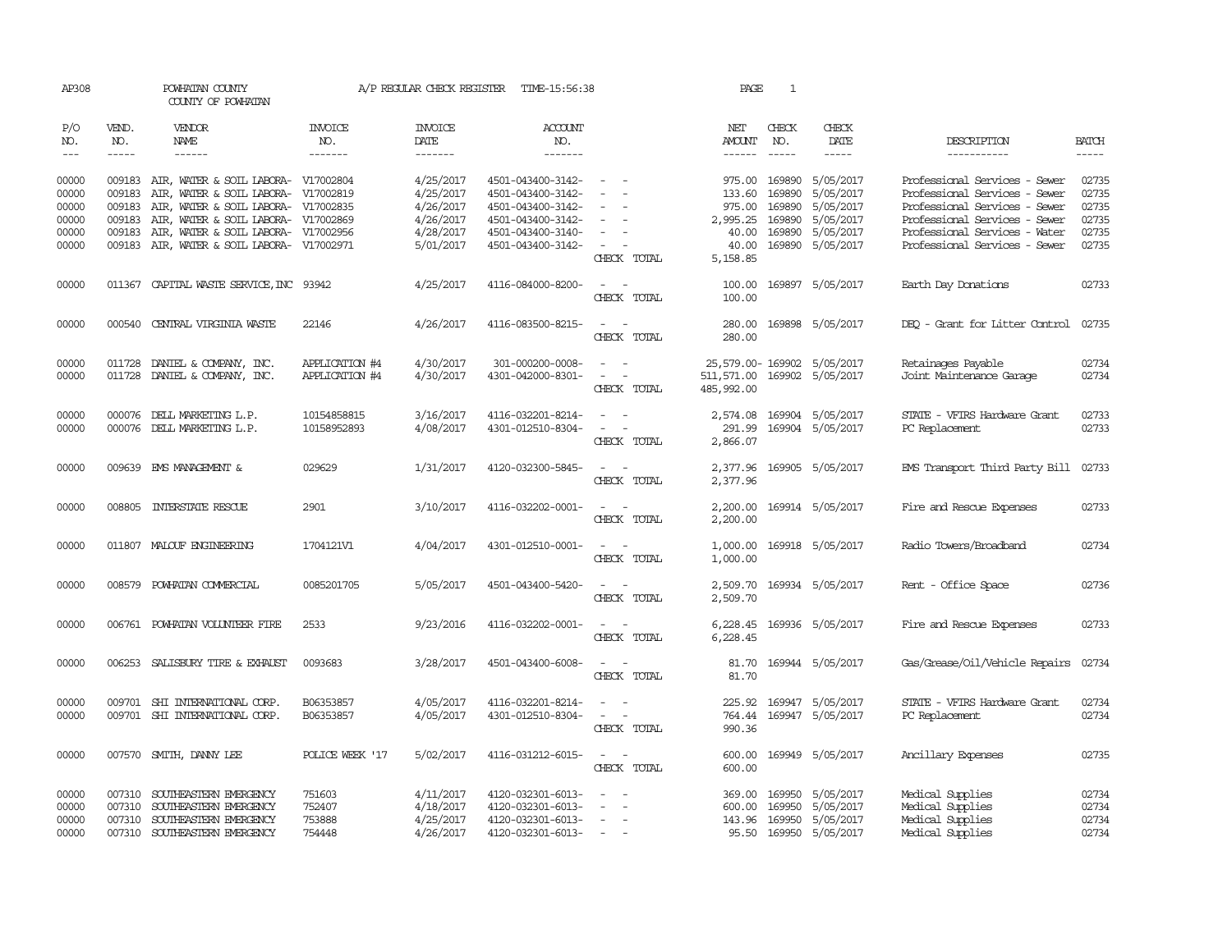| AP308          |                  | POWHATAN COUNTY<br>COUNTY OF POWHATAN                                                                                                                                                                                                                                                                                                                                                                                                                                      |                       | A/P REGULAR CHECK REGISTER | TIME-15:56:38                          |                                                                                                                             | PAGE                       | 1                |                           |                                      |                                                                                                                                                                                                                                                                                                                                                                                                                                                                                     |
|----------------|------------------|----------------------------------------------------------------------------------------------------------------------------------------------------------------------------------------------------------------------------------------------------------------------------------------------------------------------------------------------------------------------------------------------------------------------------------------------------------------------------|-----------------------|----------------------------|----------------------------------------|-----------------------------------------------------------------------------------------------------------------------------|----------------------------|------------------|---------------------------|--------------------------------------|-------------------------------------------------------------------------------------------------------------------------------------------------------------------------------------------------------------------------------------------------------------------------------------------------------------------------------------------------------------------------------------------------------------------------------------------------------------------------------------|
| P/O<br>NO.     | VEND.<br>NO.     | <b>VENDOR</b><br>NAME                                                                                                                                                                                                                                                                                                                                                                                                                                                      | <b>INVOICE</b><br>NO. | <b>INVOICE</b><br>DATE     | <b>ACCOUNT</b><br>NO.                  |                                                                                                                             | NET<br>AMOUNT              | CHECK<br>NO.     | CHECK<br>DATE             | DESCRIPTION                          | <b>BATCH</b>                                                                                                                                                                                                                                                                                                                                                                                                                                                                        |
| $---$          | $\frac{1}{2}$    | $\frac{1}{2} \left( \frac{1}{2} \right) \left( \frac{1}{2} \right) \left( \frac{1}{2} \right) \left( \frac{1}{2} \right) \left( \frac{1}{2} \right) \left( \frac{1}{2} \right) \left( \frac{1}{2} \right) \left( \frac{1}{2} \right) \left( \frac{1}{2} \right) \left( \frac{1}{2} \right) \left( \frac{1}{2} \right) \left( \frac{1}{2} \right) \left( \frac{1}{2} \right) \left( \frac{1}{2} \right) \left( \frac{1}{2} \right) \left( \frac{1}{2} \right) \left( \frac$ | -------               | -------                    | -------                                |                                                                                                                             | $- - - - - -$              | $- - - - -$      | $- - - - -$               | -----------                          | $\begin{tabular}{ccccc} \multicolumn{2}{c}{} & \multicolumn{2}{c}{} & \multicolumn{2}{c}{} & \multicolumn{2}{c}{} & \multicolumn{2}{c}{} & \multicolumn{2}{c}{} & \multicolumn{2}{c}{} & \multicolumn{2}{c}{} & \multicolumn{2}{c}{} & \multicolumn{2}{c}{} & \multicolumn{2}{c}{} & \multicolumn{2}{c}{} & \multicolumn{2}{c}{} & \multicolumn{2}{c}{} & \multicolumn{2}{c}{} & \multicolumn{2}{c}{} & \multicolumn{2}{c}{} & \multicolumn{2}{c}{} & \multicolumn{2}{c}{} & \mult$ |
|                |                  |                                                                                                                                                                                                                                                                                                                                                                                                                                                                            |                       |                            |                                        |                                                                                                                             |                            |                  |                           |                                      |                                                                                                                                                                                                                                                                                                                                                                                                                                                                                     |
| 00000          |                  | 009183 AIR, WATER & SOIL LABORA- V17002804                                                                                                                                                                                                                                                                                                                                                                                                                                 |                       | 4/25/2017                  | 4501-043400-3142-                      | $\sim$ $ \sim$                                                                                                              | 975.00 169890              |                  | 5/05/2017                 | Professional Services - Sewer        | 02735                                                                                                                                                                                                                                                                                                                                                                                                                                                                               |
| 00000          | 009183           | AIR, WATER & SOIL LABORA- V17002819                                                                                                                                                                                                                                                                                                                                                                                                                                        |                       | 4/25/2017                  | 4501-043400-3142-                      |                                                                                                                             | 133.60                     | 169890           | 5/05/2017                 | Professional Services - Sewer        | 02735                                                                                                                                                                                                                                                                                                                                                                                                                                                                               |
| 00000          | 009183           | AIR, WATER & SOIL LABORA- V17002835                                                                                                                                                                                                                                                                                                                                                                                                                                        |                       | 4/26/2017                  | 4501-043400-3142-                      |                                                                                                                             | 975.00                     | 169890           | 5/05/2017                 | Professional Services - Sewer        | 02735                                                                                                                                                                                                                                                                                                                                                                                                                                                                               |
| 00000          | 009183           | AIR, WATER & SOIL LABORA- V17002869                                                                                                                                                                                                                                                                                                                                                                                                                                        |                       | 4/26/2017                  | 4501-043400-3142-                      | $\sim$                                                                                                                      | 2,995.25                   | 169890           | 5/05/2017                 | Professional Services - Sewer        | 02735                                                                                                                                                                                                                                                                                                                                                                                                                                                                               |
| 00000          | 009183           | AIR, WATER & SOIL LABORA- V17002956                                                                                                                                                                                                                                                                                                                                                                                                                                        |                       | 4/28/2017                  | 4501-043400-3140-                      | $\sim$                                                                                                                      | 40.00                      | 169890           | 5/05/2017                 | Professional Services - Water        | 02735                                                                                                                                                                                                                                                                                                                                                                                                                                                                               |
| 00000          |                  | 009183 AIR, WATER & SOIL LABORA- V17002971                                                                                                                                                                                                                                                                                                                                                                                                                                 |                       | 5/01/2017                  | 4501-043400-3142-                      | $\sim$ 100 $\mu$                                                                                                            | 40.00                      |                  | 169890 5/05/2017          | Professional Services - Sewer        | 02735                                                                                                                                                                                                                                                                                                                                                                                                                                                                               |
|                |                  |                                                                                                                                                                                                                                                                                                                                                                                                                                                                            |                       |                            |                                        | CHECK TOTAL                                                                                                                 | 5,158.85                   |                  |                           |                                      |                                                                                                                                                                                                                                                                                                                                                                                                                                                                                     |
| 00000          |                  | 011367 CAPITAL WASTE SERVICE, INC 93942                                                                                                                                                                                                                                                                                                                                                                                                                                    |                       | 4/25/2017                  | 4116-084000-8200-                      |                                                                                                                             | 100.00                     |                  | 169897 5/05/2017          | Earth Day Donations                  | 02733                                                                                                                                                                                                                                                                                                                                                                                                                                                                               |
|                |                  |                                                                                                                                                                                                                                                                                                                                                                                                                                                                            |                       |                            |                                        | CHECK TOTAL                                                                                                                 | 100.00                     |                  |                           |                                      |                                                                                                                                                                                                                                                                                                                                                                                                                                                                                     |
| 00000          |                  | 000540 CENTRAL VIRGINIA WASTE                                                                                                                                                                                                                                                                                                                                                                                                                                              | 22146                 | 4/26/2017                  | 4116-083500-8215-                      | $\sim$                                                                                                                      | 280.00                     |                  | 169898 5/05/2017          | DEQ - Grant for Litter Control       | 02735                                                                                                                                                                                                                                                                                                                                                                                                                                                                               |
|                |                  |                                                                                                                                                                                                                                                                                                                                                                                                                                                                            |                       |                            |                                        | CHECK TOTAL                                                                                                                 | 280.00                     |                  |                           |                                      |                                                                                                                                                                                                                                                                                                                                                                                                                                                                                     |
|                |                  |                                                                                                                                                                                                                                                                                                                                                                                                                                                                            |                       |                            |                                        | $\sim$                                                                                                                      |                            |                  |                           |                                      |                                                                                                                                                                                                                                                                                                                                                                                                                                                                                     |
| 00000          |                  | 011728 DANIEL & COMPANY, INC.                                                                                                                                                                                                                                                                                                                                                                                                                                              | APPLICATION #4        | 4/30/2017                  | 301-000200-0008-                       | $\overline{\phantom{a}}$<br>$\equiv$                                                                                        | 25,579.00-169902 5/05/2017 |                  |                           | Retainages Payable                   | 02734<br>02734                                                                                                                                                                                                                                                                                                                                                                                                                                                                      |
| 00000          |                  | 011728 DANIEL & COMPANY, INC.                                                                                                                                                                                                                                                                                                                                                                                                                                              | APPLICATION #4        | 4/30/2017                  | 4301-042000-8301-                      | CHECK TOTAL                                                                                                                 | 511,571.00<br>485,992.00   |                  | 169902 5/05/2017          | Joint Maintenance Garage             |                                                                                                                                                                                                                                                                                                                                                                                                                                                                                     |
|                |                  |                                                                                                                                                                                                                                                                                                                                                                                                                                                                            |                       |                            |                                        |                                                                                                                             |                            |                  |                           |                                      |                                                                                                                                                                                                                                                                                                                                                                                                                                                                                     |
| 00000          |                  | 000076 DELL MARKETING L.P.                                                                                                                                                                                                                                                                                                                                                                                                                                                 | 10154858815           | 3/16/2017                  | 4116-032201-8214-                      |                                                                                                                             | 2,574.08                   |                  | 169904 5/05/2017          | STATE - VFIRS Hardware Grant         | 02733                                                                                                                                                                                                                                                                                                                                                                                                                                                                               |
| 00000          |                  | 000076 DELL MARKETING L.P.                                                                                                                                                                                                                                                                                                                                                                                                                                                 | 10158952893           | 4/08/2017                  | 4301-012510-8304-                      | $\sim$ 10 $\pm$<br>$\overline{\phantom{a}}$                                                                                 | 291.99                     |                  | 169904 5/05/2017          | PC Replacement                       | 02733                                                                                                                                                                                                                                                                                                                                                                                                                                                                               |
|                |                  |                                                                                                                                                                                                                                                                                                                                                                                                                                                                            |                       |                            |                                        | CHECK TOTAL                                                                                                                 | 2,866.07                   |                  |                           |                                      |                                                                                                                                                                                                                                                                                                                                                                                                                                                                                     |
| 00000          |                  | 009639 EMS MANAGEMENT &                                                                                                                                                                                                                                                                                                                                                                                                                                                    | 029629                | 1/31/2017                  | 4120-032300-5845-                      |                                                                                                                             | 2,377.96                   |                  | 169905 5/05/2017          | EMS Transport Third Party Bill       | 02733                                                                                                                                                                                                                                                                                                                                                                                                                                                                               |
|                |                  |                                                                                                                                                                                                                                                                                                                                                                                                                                                                            |                       |                            |                                        | CHECK TOTAL                                                                                                                 | 2,377.96                   |                  |                           |                                      |                                                                                                                                                                                                                                                                                                                                                                                                                                                                                     |
|                |                  |                                                                                                                                                                                                                                                                                                                                                                                                                                                                            |                       |                            |                                        |                                                                                                                             |                            |                  |                           |                                      |                                                                                                                                                                                                                                                                                                                                                                                                                                                                                     |
| 00000          | 008805           | INTERSTATE RESCUE                                                                                                                                                                                                                                                                                                                                                                                                                                                          | 2901                  | 3/10/2017                  | 4116-032202-0001-                      |                                                                                                                             | 2,200.00                   |                  | 169914 5/05/2017          | Fire and Rescue Expenses             | 02733                                                                                                                                                                                                                                                                                                                                                                                                                                                                               |
|                |                  |                                                                                                                                                                                                                                                                                                                                                                                                                                                                            |                       |                            |                                        | CHECK TOTAL                                                                                                                 | 2,200.00                   |                  |                           |                                      |                                                                                                                                                                                                                                                                                                                                                                                                                                                                                     |
| 00000          |                  | 011807 MALOUF ENGINEERING                                                                                                                                                                                                                                                                                                                                                                                                                                                  | 1704121V1             | 4/04/2017                  | 4301-012510-0001-                      | $\sim$                                                                                                                      | 1,000.00                   |                  | 169918 5/05/2017          | Radio Towers/Broadband               | 02734                                                                                                                                                                                                                                                                                                                                                                                                                                                                               |
|                |                  |                                                                                                                                                                                                                                                                                                                                                                                                                                                                            |                       |                            |                                        | CHECK TOTAL                                                                                                                 | 1,000.00                   |                  |                           |                                      |                                                                                                                                                                                                                                                                                                                                                                                                                                                                                     |
|                |                  |                                                                                                                                                                                                                                                                                                                                                                                                                                                                            |                       |                            |                                        |                                                                                                                             |                            |                  |                           |                                      |                                                                                                                                                                                                                                                                                                                                                                                                                                                                                     |
| 00000          |                  | 008579 POWHATAN COMMERCIAL                                                                                                                                                                                                                                                                                                                                                                                                                                                 | 0085201705            | 5/05/2017                  | 4501-043400-5420-                      | $\sim$ 100 $\mu$<br>$\overline{\phantom{a}}$                                                                                | 2,509.70                   |                  | 169934 5/05/2017          | Rent - Office Space                  | 02736                                                                                                                                                                                                                                                                                                                                                                                                                                                                               |
|                |                  |                                                                                                                                                                                                                                                                                                                                                                                                                                                                            |                       |                            |                                        | CHECK TOTAL                                                                                                                 | 2,509.70                   |                  |                           |                                      |                                                                                                                                                                                                                                                                                                                                                                                                                                                                                     |
| 00000          |                  | 006761 POWHATAN VOLUNTEER FIRE                                                                                                                                                                                                                                                                                                                                                                                                                                             | 2533                  | 9/23/2016                  | 4116-032202-0001-                      |                                                                                                                             |                            |                  | 6,228.45 169936 5/05/2017 | Fire and Rescue Expenses             | 02733                                                                                                                                                                                                                                                                                                                                                                                                                                                                               |
|                |                  |                                                                                                                                                                                                                                                                                                                                                                                                                                                                            |                       |                            |                                        | CHECK TOTAL                                                                                                                 | 6,228.45                   |                  |                           |                                      |                                                                                                                                                                                                                                                                                                                                                                                                                                                                                     |
|                |                  |                                                                                                                                                                                                                                                                                                                                                                                                                                                                            |                       |                            |                                        |                                                                                                                             |                            |                  |                           |                                      |                                                                                                                                                                                                                                                                                                                                                                                                                                                                                     |
| 00000          |                  | 006253 SALISBURY TIRE & EXHAUST                                                                                                                                                                                                                                                                                                                                                                                                                                            | 0093683               | 3/28/2017                  | 4501-043400-6008-                      | $\frac{1}{2} \left( \frac{1}{2} \right) \left( \frac{1}{2} \right) = \frac{1}{2} \left( \frac{1}{2} \right)$<br>CHECK TOTAL | 81.70                      |                  | 81.70 169944 5/05/2017    | Gas/Grease/Oil/Vehicle Repairs       | 02734                                                                                                                                                                                                                                                                                                                                                                                                                                                                               |
|                |                  |                                                                                                                                                                                                                                                                                                                                                                                                                                                                            |                       |                            |                                        |                                                                                                                             |                            |                  |                           |                                      |                                                                                                                                                                                                                                                                                                                                                                                                                                                                                     |
| 00000          |                  | 009701 SHI INTERNATIONAL CORP.                                                                                                                                                                                                                                                                                                                                                                                                                                             | B06353857             | 4/05/2017                  | 4116-032201-8214-                      |                                                                                                                             | 225.92                     |                  | 169947 5/05/2017          | STATE - VFIRS Hardware Grant         | 02734                                                                                                                                                                                                                                                                                                                                                                                                                                                                               |
| 00000          |                  | 009701 SHI INTERNATIONAL CORP.                                                                                                                                                                                                                                                                                                                                                                                                                                             | B06353857             | 4/05/2017                  | 4301-012510-8304-                      | $\sim$<br>$\sim$                                                                                                            |                            |                  | 764.44 169947 5/05/2017   | PC Replacement                       | 02734                                                                                                                                                                                                                                                                                                                                                                                                                                                                               |
|                |                  |                                                                                                                                                                                                                                                                                                                                                                                                                                                                            |                       |                            |                                        | CHECK TOTAL                                                                                                                 | 990.36                     |                  |                           |                                      |                                                                                                                                                                                                                                                                                                                                                                                                                                                                                     |
| 00000          |                  | 007570 SMITH, DANNY LEE                                                                                                                                                                                                                                                                                                                                                                                                                                                    | POLICE WEEK '17       | 5/02/2017                  | 4116-031212-6015-                      | $\frac{1}{2} \left( \frac{1}{2} \right) \left( \frac{1}{2} \right) = \frac{1}{2} \left( \frac{1}{2} \right)$                | 600.00                     |                  | 169949 5/05/2017          | Ancillary Expenses                   | 02735                                                                                                                                                                                                                                                                                                                                                                                                                                                                               |
|                |                  |                                                                                                                                                                                                                                                                                                                                                                                                                                                                            |                       |                            |                                        | CHECK TOTAL                                                                                                                 | 600.00                     |                  |                           |                                      |                                                                                                                                                                                                                                                                                                                                                                                                                                                                                     |
|                |                  |                                                                                                                                                                                                                                                                                                                                                                                                                                                                            |                       |                            |                                        |                                                                                                                             |                            |                  |                           |                                      |                                                                                                                                                                                                                                                                                                                                                                                                                                                                                     |
| 00000<br>00000 | 007310<br>007310 | SOUTHEASTERN EMERGENCY<br>SOUTHEASTERN EMERGENCY                                                                                                                                                                                                                                                                                                                                                                                                                           | 751603<br>752407      | 4/11/2017<br>4/18/2017     | 4120-032301-6013-<br>4120-032301-6013- | $\sim$<br>$\sim$                                                                                                            | 369.00<br>600.00           | 169950<br>169950 | 5/05/2017<br>5/05/2017    | Medical Supplies<br>Medical Supplies | 02734<br>02734                                                                                                                                                                                                                                                                                                                                                                                                                                                                      |
| 00000          |                  | 007310 SOUTHEASTERN EMERGENCY                                                                                                                                                                                                                                                                                                                                                                                                                                              | 753888                | 4/25/2017                  | 4120-032301-6013-                      | $\sim$                                                                                                                      | 143.96                     | 169950           | 5/05/2017                 | Medical Supplies                     | 02734                                                                                                                                                                                                                                                                                                                                                                                                                                                                               |
| 00000          |                  | 007310 SOUTHEASTERN EMERGENCY                                                                                                                                                                                                                                                                                                                                                                                                                                              | 754448                | 4/26/2017                  | 4120-032301-6013-                      | $\sim$ 100 $\sim$<br>$\overline{\phantom{a}}$                                                                               |                            |                  | 95.50 169950 5/05/2017    | Medical Supplies                     | 02734                                                                                                                                                                                                                                                                                                                                                                                                                                                                               |
|                |                  |                                                                                                                                                                                                                                                                                                                                                                                                                                                                            |                       |                            |                                        |                                                                                                                             |                            |                  |                           |                                      |                                                                                                                                                                                                                                                                                                                                                                                                                                                                                     |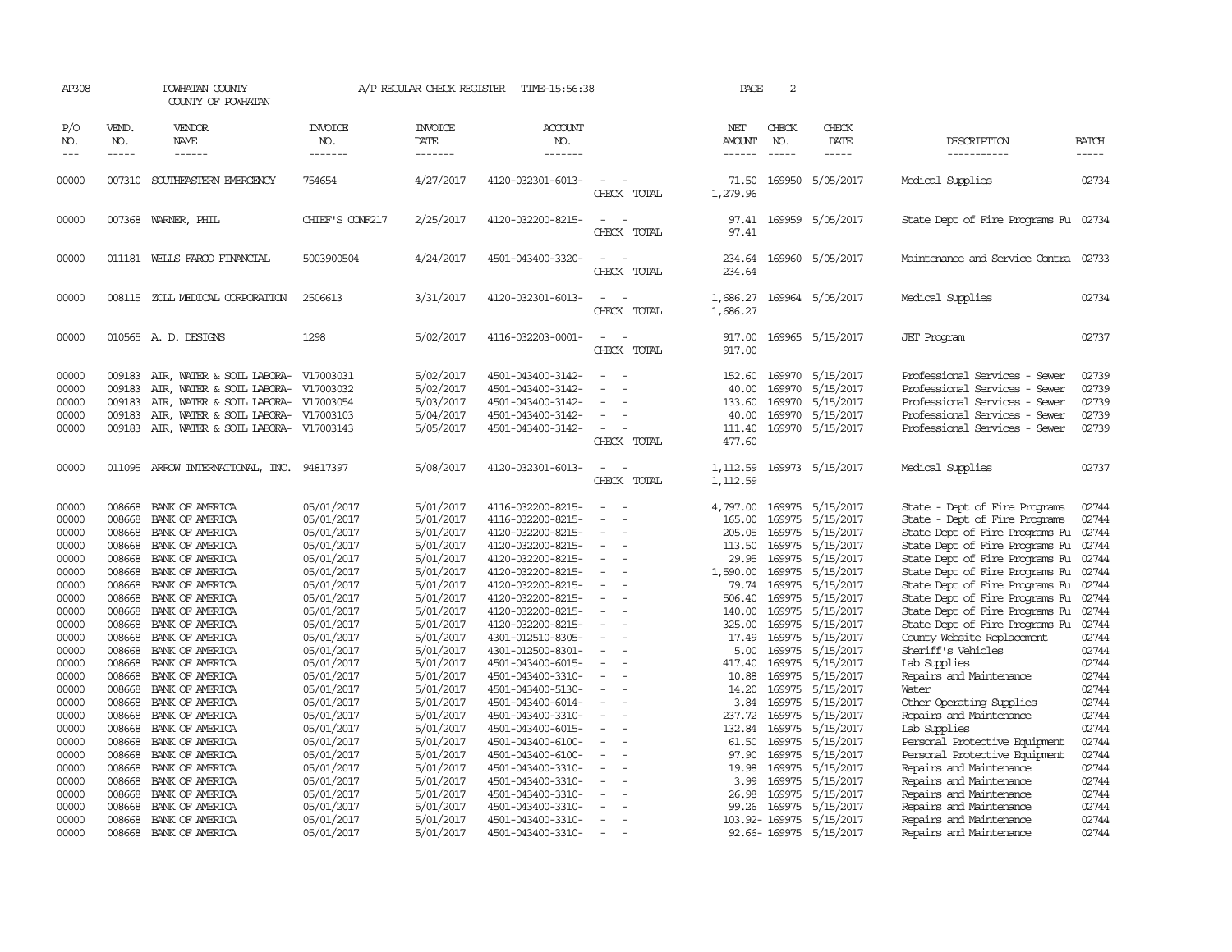| AP308                                     |                                                | POWHATAN COUNTY<br>COUNTY OF POWHATAN                                                                                                         |                                                               | A/P REGULAR CHECK REGISTER                                    | TIME-15:56:38                                                                                         |                                                                | PAGE                                                   | $\overline{c}$                |                                                                             |                                                                                                                                                                   |                                           |
|-------------------------------------------|------------------------------------------------|-----------------------------------------------------------------------------------------------------------------------------------------------|---------------------------------------------------------------|---------------------------------------------------------------|-------------------------------------------------------------------------------------------------------|----------------------------------------------------------------|--------------------------------------------------------|-------------------------------|-----------------------------------------------------------------------------|-------------------------------------------------------------------------------------------------------------------------------------------------------------------|-------------------------------------------|
| P/O<br>NO.<br>$\frac{1}{2}$               | VEND.<br>NO.<br>$- - - - -$                    | VENDOR<br>NAME<br>------                                                                                                                      | <b>INVOICE</b><br>NO.<br>-------                              | <b>INVOICE</b><br>DATE<br>-------                             | ACCOUNT<br>NO.<br>-------                                                                             |                                                                | NET<br>AMOUNT<br>$- - - - - -$                         | CHECK<br>NO.<br>$\frac{1}{2}$ | CHECK<br>DATE<br>$- - - - -$                                                | DESCRIPTION<br>-----------                                                                                                                                        | <b>BATCH</b><br>$- - - - -$               |
| 00000                                     |                                                | 007310 SOUTHEASTERN EMERGENCY                                                                                                                 | 754654                                                        | 4/27/2017                                                     | 4120-032301-6013-                                                                                     | $\equiv$<br>CHECK TOTAL                                        | 71.50<br>1,279.96                                      |                               | 169950 5/05/2017                                                            | Medical Supplies                                                                                                                                                  | 02734                                     |
| 00000                                     |                                                | 007368 WARNER, PHIL                                                                                                                           | CHIEF'S CONF217                                               | 2/25/2017                                                     | 4120-032200-8215-                                                                                     | CHECK TOTAL                                                    | 97.41                                                  |                               | 97.41 169959 5/05/2017                                                      | State Dept of Fire Programs Fu 02734                                                                                                                              |                                           |
| 00000                                     |                                                | 011181 WELLS FARGO FINANCIAL                                                                                                                  | 5003900504                                                    | 4/24/2017                                                     | 4501-043400-3320-                                                                                     | $\equiv$<br>CHECK TOTAL                                        | 234.64<br>234.64                                       |                               | 169960 5/05/2017                                                            | Maintenance and Service Contra                                                                                                                                    | 02733                                     |
| 00000                                     |                                                | 008115 ZOLL MEDICAL CORPORATION                                                                                                               | 2506613                                                       | 3/31/2017                                                     | 4120-032301-6013-                                                                                     | $\sim$<br>$\overline{\phantom{a}}$<br>CHECK TOTAL              | 1,686.27<br>1,686.27                                   |                               | 169964 5/05/2017                                                            | Medical Supplies                                                                                                                                                  | 02734                                     |
| 00000                                     |                                                | 010565 A.D. DESIGNS                                                                                                                           | 1298                                                          | 5/02/2017                                                     | 4116-032203-0001-                                                                                     | CHECK TOTAL                                                    | 917.00<br>917.00                                       |                               | 169965 5/15/2017                                                            | <b>JET</b> Program                                                                                                                                                | 02737                                     |
| 00000<br>00000<br>00000<br>00000<br>00000 | 009183<br>009183<br>009183<br>009183<br>009183 | AIR, WATER & SOIL LABORA-<br>AIR, WATER & SOIL LABORA-<br>AIR, WATER & SOIL LABORA-<br>AIR, WATER & SOIL LABORA-<br>AIR, WATER & SOIL LABORA- | V17003031<br>V17003032<br>V17003054<br>V17003103<br>V17003143 | 5/02/2017<br>5/02/2017<br>5/03/2017<br>5/04/2017<br>5/05/2017 | 4501-043400-3142-<br>4501-043400-3142-<br>4501-043400-3142-<br>4501-043400-3142-<br>4501-043400-3142- | $\sim$<br>$\overline{\phantom{a}}$<br>CHECK TOTAL              | 152.60<br>40.00<br>133.60<br>40.00<br>111.40<br>477.60 | 169970<br>169970<br>169970    | 5/15/2017<br>5/15/2017<br>5/15/2017<br>169970 5/15/2017<br>169970 5/15/2017 | Professional Services - Sewer<br>Professional Services - Sewer<br>Professional Services - Sewer<br>Professional Services - Sewer<br>Professional Services - Sewer | 02739<br>02739<br>02739<br>02739<br>02739 |
| 00000                                     |                                                | 011095 ARROW INTERNATIONAL, INC. 94817397                                                                                                     |                                                               | 5/08/2017                                                     | 4120-032301-6013-                                                                                     | $\equiv$<br>CHECK TOTAL                                        | 1,112.59<br>1,112.59                                   |                               | 169973 5/15/2017                                                            | Medical Supplies                                                                                                                                                  | 02737                                     |
| 00000<br>00000<br>00000                   | 008668<br>008668<br>008668                     | BANK OF AMERICA<br>BANK OF AMERICA<br>BANK OF AMERICA                                                                                         | 05/01/2017<br>05/01/2017<br>05/01/2017                        | 5/01/2017<br>5/01/2017<br>5/01/2017                           | 4116-032200-8215-<br>4116-032200-8215-<br>4120-032200-8215-                                           | $\equiv$                                                       | 4,797.00<br>165.00<br>205.05                           | 169975<br>169975              | 169975 5/15/2017<br>5/15/2017<br>5/15/2017                                  | State - Dept of Fire Programs<br>State - Dept of Fire Programs<br>State Dept of Fire Programs Fu                                                                  | 02744<br>02744<br>02744                   |
| 00000<br>00000<br>00000                   | 008668<br>008668<br>008668                     | BANK OF AMERICA<br>BANK OF AMERICA<br>BANK OF AMERICA                                                                                         | 05/01/2017<br>05/01/2017<br>05/01/2017                        | 5/01/2017<br>5/01/2017<br>5/01/2017                           | 4120-032200-8215-<br>4120-032200-8215-<br>4120-032200-8215-                                           | $\sim$<br>$\overline{\phantom{a}}$<br>$\overline{\phantom{a}}$ | 113.50<br>29.95<br>1,590.00                            | 169975<br>169975              | 5/15/2017<br>169975 5/15/2017<br>5/15/2017                                  | State Dept of Fire Programs Fu<br>State Dept of Fire Programs Fu<br>State Dept of Fire Programs Fu                                                                | 02744<br>02744<br>02744                   |
| 00000<br>00000<br>00000                   | 008668<br>008668<br>008668                     | BANK OF AMERICA<br>BANK OF AMERICA<br>BANK OF AMERICA                                                                                         | 05/01/2017<br>05/01/2017<br>05/01/2017                        | 5/01/2017<br>5/01/2017<br>5/01/2017                           | 4120-032200-8215-<br>4120-032200-8215-<br>4120-032200-8215-                                           | $\overline{\phantom{a}}$<br>$\sim$                             | 79.74<br>506.40<br>140.00                              | 169975<br>169975<br>169975    | 5/15/2017<br>5/15/2017<br>5/15/2017                                         | State Dept of Fire Programs Fu<br>State Dept of Fire Programs Fu<br>State Dept of Fire Programs Fu                                                                | 02744<br>02744<br>02744                   |
| 00000<br>00000                            | 008668<br>008668                               | BANK OF AMERICA<br>BANK OF AMERICA                                                                                                            | 05/01/2017<br>05/01/2017                                      | 5/01/2017<br>5/01/2017                                        | 4120-032200-8215-<br>4301-012510-8305-                                                                | $\overline{\phantom{a}}$                                       | 325.00<br>17.49                                        | 169975<br>169975              | 5/15/2017<br>5/15/2017                                                      | State Dept of Fire Programs Fu<br>County Website Replacement                                                                                                      | 02744<br>02744                            |
| 00000<br>00000<br>00000                   | 008668<br>008668<br>008668                     | BANK OF AMERICA<br>BANK OF AMERICA<br>BANK OF AMERICA                                                                                         | 05/01/2017<br>05/01/2017<br>05/01/2017                        | 5/01/2017<br>5/01/2017<br>5/01/2017                           | 4301-012500-8301-<br>4501-043400-6015-<br>4501-043400-3310-                                           | $\overline{\phantom{a}}$<br>$\sim$                             | 5.00<br>417.40<br>10.88                                | 169975<br>169975              | 169975 5/15/2017<br>5/15/2017<br>5/15/2017                                  | Sheriff's Vehicles<br>Lab Supplies<br>Repairs and Maintenance                                                                                                     | 02744<br>02744<br>02744                   |
| 00000<br>00000<br>00000                   | 008668<br>008668<br>008668                     | BANK OF AMERICA<br>BANK OF AMERICA<br>BANK OF AMERICA                                                                                         | 05/01/2017<br>05/01/2017<br>05/01/2017                        | 5/01/2017<br>5/01/2017<br>5/01/2017                           | 4501-043400-5130-<br>4501-043400-6014-<br>4501-043400-3310-                                           | $\equiv$                                                       | 14.20<br>3.84<br>237.72                                | 169975<br>169975<br>169975    | 5/15/2017<br>5/15/2017<br>5/15/2017                                         | Water<br>Other Operating Supplies<br>Repairs and Maintenance                                                                                                      | 02744<br>02744<br>02744                   |
| 00000<br>00000<br>00000                   | 008668<br>008668<br>008668                     | BANK OF AMERICA<br>BANK OF AMERICA<br>BANK OF AMERICA                                                                                         | 05/01/2017<br>05/01/2017<br>05/01/2017                        | 5/01/2017<br>5/01/2017<br>5/01/2017                           | 4501-043400-6015-<br>4501-043400-6100-<br>4501-043400-6100-                                           | $\overline{\phantom{a}}$<br>$\sim$                             | 132.84<br>61.50<br>97.90                               | 169975<br>169975<br>169975    | 5/15/2017<br>5/15/2017<br>5/15/2017                                         | Lab Supplies<br>Personal Protective Equipment<br>Personal Protective Equipment                                                                                    | 02744<br>02744<br>02744                   |
| 00000<br>00000<br>00000                   | 008668<br>008668<br>008668                     | BANK OF AMERICA<br>BANK OF AMERICA<br>BANK OF AMERICA                                                                                         | 05/01/2017<br>05/01/2017<br>05/01/2017                        | 5/01/2017<br>5/01/2017<br>5/01/2017                           | 4501-043400-3310-<br>4501-043400-3310-<br>4501-043400-3310-                                           | $\overline{\phantom{a}}$<br>$\sim$                             | 19.98<br>3.99<br>26.98                                 | 169975<br>169975<br>169975    | 5/15/2017<br>5/15/2017<br>5/15/2017                                         | Repairs and Maintenance<br>Repairs and Maintenance<br>Repairs and Maintenance                                                                                     | 02744<br>02744<br>02744                   |
| 00000<br>00000<br>00000                   | 008668<br>008668                               | BANK OF AMERICA<br>BANK OF AMERICA<br>008668 BANK OF AMERICA                                                                                  | 05/01/2017<br>05/01/2017<br>05/01/2017                        | 5/01/2017<br>5/01/2017<br>5/01/2017                           | 4501-043400-3310-<br>4501-043400-3310-<br>4501-043400-3310-                                           | $\sim$                                                         | 99.26                                                  | 169975<br>103.92-169975       | 5/15/2017<br>5/15/2017<br>92.66-169975 5/15/2017                            | Repairs and Maintenance<br>Repairs and Maintenance<br>Repairs and Maintenance                                                                                     | 02744<br>02744<br>02744                   |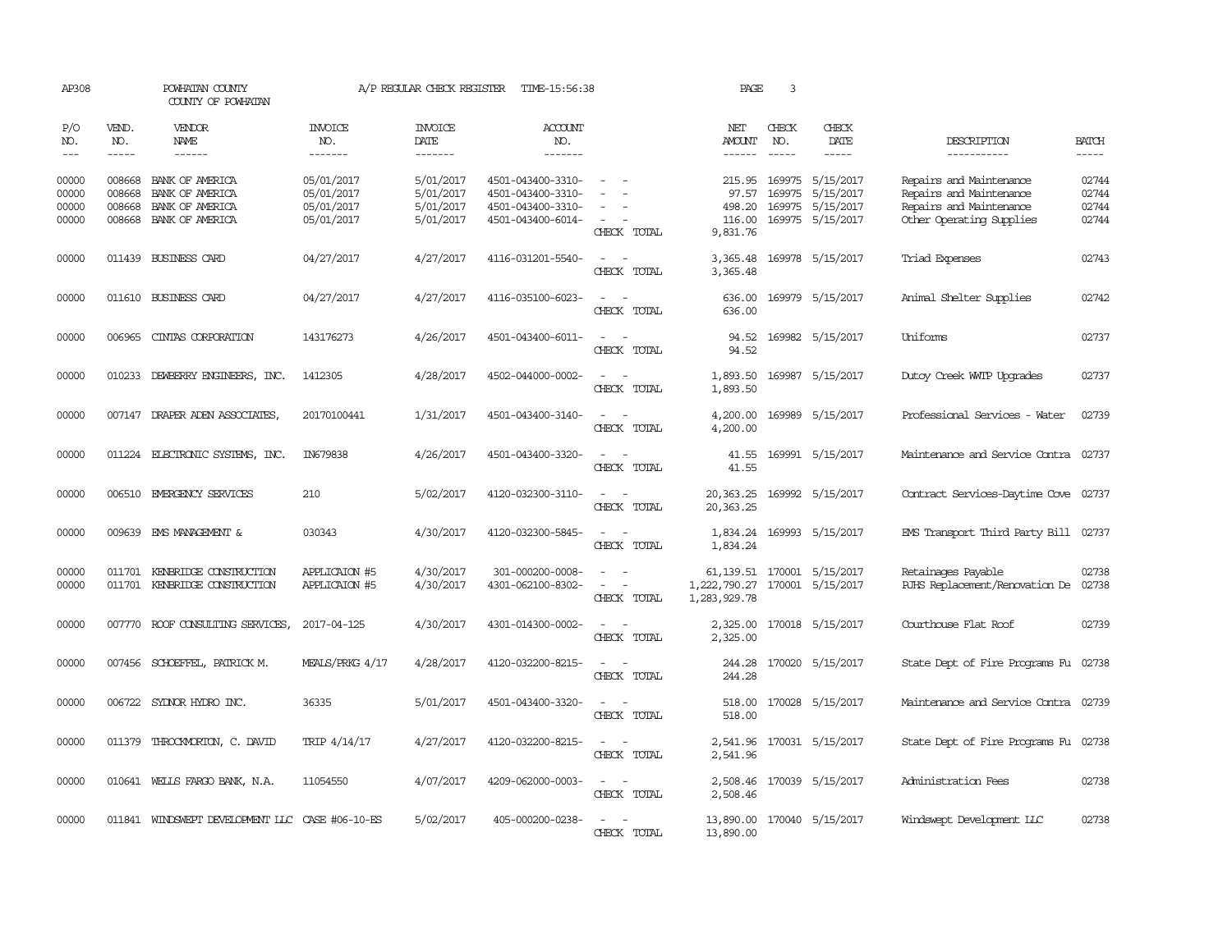| AP308                            |                             | POWHATAN COUNTY<br>COUNTY OF POWHATAN                                           |                                                      | A/P REGULAR CHECK REGISTER                       | TIME-15:56:38                                                                    |                                                                                                                             | PAGE                                                        | 3                             |                                                                       |                                                                                                           |                                  |
|----------------------------------|-----------------------------|---------------------------------------------------------------------------------|------------------------------------------------------|--------------------------------------------------|----------------------------------------------------------------------------------|-----------------------------------------------------------------------------------------------------------------------------|-------------------------------------------------------------|-------------------------------|-----------------------------------------------------------------------|-----------------------------------------------------------------------------------------------------------|----------------------------------|
| P/O<br>NO.<br>$---$              | VEND.<br>NO.<br>$- - - - -$ | <b>VENDOR</b><br>NAME<br>------                                                 | <b>INVOICE</b><br>NO.<br>-------                     | <b>INVOICE</b><br>DATE<br>$- - - - - - -$        | <b>ACCOUNT</b><br>NO.<br>-------                                                 |                                                                                                                             | NET<br>AMOUNT                                               | CHECK<br>NO.<br>$\frac{1}{2}$ | CHECK<br>DATE<br>-----                                                | DESCRIPTION<br>-----------                                                                                | <b>BATCH</b><br>$- - - - -$      |
| 00000<br>00000<br>00000<br>00000 | 008668<br>008668<br>008668  | BANK OF AMERICA<br>BANK OF AMERICA<br>BANK OF AMERICA<br>008668 BANK OF AMERICA | 05/01/2017<br>05/01/2017<br>05/01/2017<br>05/01/2017 | 5/01/2017<br>5/01/2017<br>5/01/2017<br>5/01/2017 | 4501-043400-3310-<br>4501-043400-3310-<br>4501-043400-3310-<br>4501-043400-6014- | CHECK TOTAL                                                                                                                 | 215.95<br>97.57<br>498.20<br>116.00<br>9,831.76             | 169975                        | 169975 5/15/2017<br>5/15/2017<br>169975 5/15/2017<br>169975 5/15/2017 | Repairs and Maintenance<br>Repairs and Maintenance<br>Repairs and Maintenance<br>Other Operating Supplies | 02744<br>02744<br>02744<br>02744 |
| 00000                            |                             | 011439 BUSINESS CARD                                                            | 04/27/2017                                           | 4/27/2017                                        | 4116-031201-5540-                                                                | $ -$<br>CHECK TOTAL                                                                                                         | 3,365.48<br>3,365.48                                        |                               | 169978 5/15/2017                                                      | Triad Expenses                                                                                            | 02743                            |
| 00000                            |                             | 011610 BUSINESS CARD                                                            | 04/27/2017                                           | 4/27/2017                                        | 4116-035100-6023-                                                                | $\overline{\phantom{a}}$<br>$\sim$<br>CHECK TOTAL                                                                           | 636.00<br>636.00                                            |                               | 169979 5/15/2017                                                      | Animal Shelter Supplies                                                                                   | 02742                            |
| 00000                            | 006965                      | CINTAS CORPORATION                                                              | 143176273                                            | 4/26/2017                                        | 4501-043400-6011-                                                                | CHECK TOTAL                                                                                                                 | 94.52<br>94.52                                              |                               | 169982 5/15/2017                                                      | <b>Uniforms</b>                                                                                           | 02737                            |
| 00000                            | 010233                      | DEWBERRY ENGINEERS, INC.                                                        | 1412305                                              | 4/28/2017                                        | 4502-044000-0002-                                                                | $\overline{\phantom{a}}$<br>CHECK TOTAL                                                                                     | 1,893.50<br>1,893.50                                        |                               | 169987 5/15/2017                                                      | Dutoy Creek WITP Upgrades                                                                                 | 02737                            |
| 00000                            |                             | 007147 DRAPER ADEN ASSOCIATES,                                                  | 20170100441                                          | 1/31/2017                                        | 4501-043400-3140-                                                                | CHECK TOTAL                                                                                                                 | 4,200.00<br>4,200.00                                        |                               | 169989 5/15/2017                                                      | Professional Services - Water                                                                             | 02739                            |
| 00000                            |                             | 011224 ELECTRONIC SYSTEMS, INC.                                                 | IN679838                                             | 4/26/2017                                        | 4501-043400-3320-                                                                | CHECK TOTAL                                                                                                                 | 41.55<br>41.55                                              |                               | 169991 5/15/2017                                                      | Maintenance and Service Contra 02737                                                                      |                                  |
| 00000                            |                             | 006510 EMERGENCY SERVICES                                                       | 210                                                  | 5/02/2017                                        | 4120-032300-3110-                                                                | $\frac{1}{2} \left( \frac{1}{2} \right) \left( \frac{1}{2} \right) = \frac{1}{2} \left( \frac{1}{2} \right)$<br>CHECK TOTAL | 20, 363. 25<br>20, 363. 25                                  |                               | 169992 5/15/2017                                                      | Contract Services-Daytime Cove 02737                                                                      |                                  |
| 00000                            |                             | 009639 EMS MANAGEMENT &                                                         | 030343                                               | 4/30/2017                                        | 4120-032300-5845-                                                                | CHECK TOTAL                                                                                                                 | 1,834.24<br>1,834.24                                        |                               | 169993 5/15/2017                                                      | EMS Transport Third Party Bill 02737                                                                      |                                  |
| 00000<br>00000                   | 011701                      | KENBRIDGE CONSTRUCTION<br>011701 KENBRIDGE CONSTRUCTION                         | APPLICAION #5<br>APPLICAION #5                       | 4/30/2017<br>4/30/2017                           | 301-000200-0008-<br>4301-062100-8302-                                            | $\sim$<br>$\overline{\phantom{a}}$<br>CHECK TOTAL                                                                           | 61, 139.51 170001 5/15/2017<br>1,222,790.27<br>1,283,929.78 |                               | 170001 5/15/2017                                                      | Retainages Payable<br>RJHS Replacement/Renovation De                                                      | 02738<br>02738                   |
| 00000                            |                             | 007770 ROOF CONSULTING SERVICES,                                                | 2017-04-125                                          | 4/30/2017                                        | 4301-014300-0002-                                                                | $ -$<br>CHECK TOTAL                                                                                                         | 2,325.00<br>2,325.00                                        |                               | 170018 5/15/2017                                                      | Courthouse Flat Roof                                                                                      | 02739                            |
| 00000                            |                             | 007456 SCHOEFFEL, PATRICK M.                                                    | MEALS/PRKG 4/17                                      | 4/28/2017                                        | 4120-032200-8215-                                                                | $\frac{1}{2} \left( \frac{1}{2} \right) \left( \frac{1}{2} \right) = \frac{1}{2} \left( \frac{1}{2} \right)$<br>CHECK TOTAL | 244.28<br>244.28                                            |                               | 170020 5/15/2017                                                      | State Dept of Fire Programs Fu 02738                                                                      |                                  |
| 00000                            |                             | 006722 SYDNOR HYDRO INC.                                                        | 36335                                                | 5/01/2017                                        | 4501-043400-3320-                                                                | CHECK TOTAL                                                                                                                 | 518.00<br>518.00                                            |                               | 170028 5/15/2017                                                      | Maintenance and Service Contra 02739                                                                      |                                  |
| 00000                            |                             | 011379 THROCKMORTON, C. DAVID                                                   | TRIP 4/14/17                                         | 4/27/2017                                        | 4120-032200-8215-                                                                | $\sim$<br>CHECK TOTAL                                                                                                       | 2,541.96<br>2,541.96                                        |                               | 170031 5/15/2017                                                      | State Dept of Fire Programs Fu 02738                                                                      |                                  |
| 00000                            |                             | 010641 WELLS FARGO BANK, N.A.                                                   | 11054550                                             | 4/07/2017                                        | 4209-062000-0003-                                                                | $\frac{1}{2} \left( \frac{1}{2} \right) = \frac{1}{2} \left( \frac{1}{2} \right) = \frac{1}{2}$<br>CHECK TOTAL              | 2,508.46<br>2,508.46                                        |                               | 170039 5/15/2017                                                      | Administration Fees                                                                                       | 02738                            |
| 00000                            |                             | 011841 WINDSWEPT DEVELOPMENT LLC CASE #06-10-ES                                 |                                                      | 5/02/2017                                        | 405-000200-0238-                                                                 | CHECK TOTAL                                                                                                                 | 13,890.00 170040 5/15/2017<br>13,890.00                     |                               |                                                                       | Windswept Development LLC                                                                                 | 02738                            |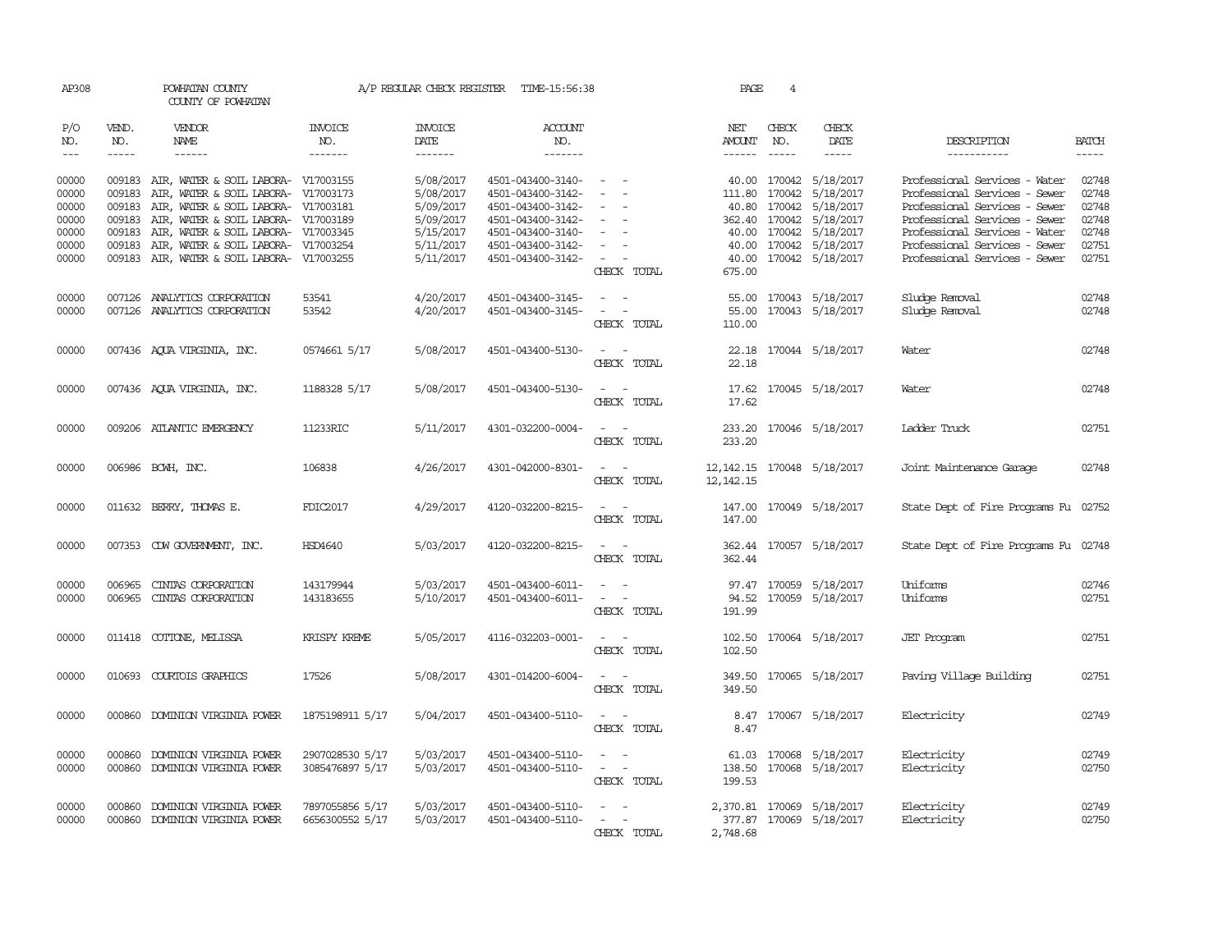| AP308                                        |                               | POWHATAN COUNTY<br>COUNTY OF POWHATAN                                                                                                                                                                         |                                    |                                                               | A/P REGULAR CHECK REGISTER TIME-15:56:38                                                              |                                                                                                                             | PAGE                                        | 4                             |                                                                                                       |                                                                                                                                                                   |                                           |
|----------------------------------------------|-------------------------------|---------------------------------------------------------------------------------------------------------------------------------------------------------------------------------------------------------------|------------------------------------|---------------------------------------------------------------|-------------------------------------------------------------------------------------------------------|-----------------------------------------------------------------------------------------------------------------------------|---------------------------------------------|-------------------------------|-------------------------------------------------------------------------------------------------------|-------------------------------------------------------------------------------------------------------------------------------------------------------------------|-------------------------------------------|
| P/O<br>NO.<br>$\!\!\!\!\!-\!-\!$ $\!\!\!-\!$ | VEND.<br>NO.<br>$\frac{1}{2}$ | <b>VENDOR</b><br>NAME<br>$- - - - - -$                                                                                                                                                                        | <b>INVOICE</b><br>NO.<br>-------   | <b>INVOICE</b><br>DATE                                        | <b>ACCOUNT</b><br>NO.<br>$- - - - - - -$                                                              |                                                                                                                             | NET<br>AMOUNT<br>$- - - - - -$              | CHECK<br>NO.<br>$\frac{1}{2}$ | CHECK<br>DATE<br>$- - - - -$                                                                          | DESCRIPTION<br>-----------                                                                                                                                        | <b>BATCH</b><br>$- - - - -$               |
| 00000<br>00000<br>00000<br>00000<br>00000    | 009183<br>009183<br>009183    | 009183 AIR, WATER & SOIL LABORA- V17003155<br>AIR, WATER & SOIL LABORA- V17003173<br>009183 AIR, WATER & SOIL LABORA- V17003181<br>AIR, WATER & SOIL LABORA- V17003189<br>AIR, WATER & SOIL LABORA- V17003345 |                                    | 5/08/2017<br>5/08/2017<br>5/09/2017<br>5/09/2017<br>5/15/2017 | 4501-043400-3140-<br>4501-043400-3142-<br>4501-043400-3142-<br>4501-043400-3142-<br>4501-043400-3140- | $\overline{\phantom{a}}$<br>$\sim$<br>$\sim$<br>$\overline{\phantom{a}}$<br>$\sim$                                          |                                             | 111.80 170042<br>40.80 170042 | 40.00 170042 5/18/2017<br>5/18/2017<br>5/18/2017<br>362.40 170042 5/18/2017<br>40.00 170042 5/18/2017 | Professional Services - Water<br>Professional Services - Sewer<br>Professional Services - Sewer<br>Professional Services - Sewer<br>Professional Services - Water | 02748<br>02748<br>02748<br>02748<br>02748 |
| 00000<br>00000                               | 009183                        | AIR, WATER & SOIL LABORA- V17003254<br>009183 AIR, WATER & SOIL LABORA- V17003255                                                                                                                             |                                    | 5/11/2017<br>5/11/2017                                        | 4501-043400-3142-<br>4501-043400-3142-                                                                | $\sim$<br>$\sim$ 100 $\mu$<br>$\overline{\phantom{a}}$<br>CHECK TOTAL                                                       | 40.00<br>675.00                             |                               | 170042 5/18/2017<br>40.00 170042 5/18/2017                                                            | Professional Services - Sewer<br>Professional Services - Sewer                                                                                                    | 02751<br>02751                            |
| 00000<br>00000                               |                               | 007126 ANALYTICS CORPORATION<br>007126 ANALYTICS CORPORATION                                                                                                                                                  | 53541<br>53542                     | 4/20/2017<br>4/20/2017                                        | 4501-043400-3145-<br>4501-043400-3145-                                                                | $\sim$ $ \sim$<br>CHECK TOTAL                                                                                               | 55.00<br>110.00                             |                               | 55.00 170043 5/18/2017<br>170043 5/18/2017                                                            | Sludge Removal<br>Sludge Removal                                                                                                                                  | 02748<br>02748                            |
| 00000                                        |                               | 007436 AQUA VIRGINIA, INC.                                                                                                                                                                                    | 0574661 5/17                       | 5/08/2017                                                     | 4501-043400-5130-                                                                                     | $\frac{1}{2} \left( \frac{1}{2} \right) \left( \frac{1}{2} \right) = \frac{1}{2} \left( \frac{1}{2} \right)$<br>CHECK TOTAL | 22.18                                       |                               | 22.18 170044 5/18/2017                                                                                | Water                                                                                                                                                             | 02748                                     |
| 00000                                        |                               | 007436 AQUA VIRGINIA, INC.                                                                                                                                                                                    | 1188328 5/17                       | 5/08/2017                                                     | 4501-043400-5130-                                                                                     | CHECK TOTAL                                                                                                                 | 17.62<br>17.62                              |                               | 170045 5/18/2017                                                                                      | Water                                                                                                                                                             | 02748                                     |
| 00000                                        |                               | 009206 ATLANTIC EMERGENCY                                                                                                                                                                                     | 11233RIC                           | 5/11/2017                                                     | 4301-032200-0004-                                                                                     | $\sim$<br>CHECK TOTAL                                                                                                       | 233.20<br>233.20                            |                               | 170046 5/18/2017                                                                                      | Ladder Truck                                                                                                                                                      | 02751                                     |
| 00000                                        |                               | 006986 BCWH, INC.                                                                                                                                                                                             | 106838                             | 4/26/2017                                                     | 4301-042000-8301-                                                                                     | $\sim$<br>$\sim$<br>CHECK TOTAL                                                                                             | 12, 142. 15 170048 5/18/2017<br>12, 142. 15 |                               |                                                                                                       | Joint Maintenance Garage                                                                                                                                          | 02748                                     |
| 00000                                        |                               | 011632 BERRY, THOMAS E.                                                                                                                                                                                       | FDIC2017                           | 4/29/2017                                                     | 4120-032200-8215-                                                                                     | $\sim$ $\sim$<br>CHECK TOTAL                                                                                                | 147.00                                      |                               | 147.00 170049 5/18/2017                                                                               | State Dept of Fire Programs Fu 02752                                                                                                                              |                                           |
| 00000                                        |                               | 007353 CDW GOVERNMENT, INC.                                                                                                                                                                                   | HSD4640                            | 5/03/2017                                                     | 4120-032200-8215-                                                                                     | $\sim$ $\sim$<br>CHECK TOTAL                                                                                                | 362.44                                      |                               | 362.44 170057 5/18/2017                                                                               | State Dept of Fire Programs Fu 02748                                                                                                                              |                                           |
| 00000<br>00000                               | 006965<br>006965              | CINTAS CORPORATION<br>CINIAS CORPORATION                                                                                                                                                                      | 143179944<br>143183655             | 5/03/2017<br>5/10/2017                                        | 4501-043400-6011-<br>4501-043400-6011-                                                                | $\overline{\phantom{a}}$<br>$\sim$<br>$\omega_{\rm{max}}$ and $\omega_{\rm{max}}$<br>CHECK TOTAL                            | 191.99                                      |                               | 97.47 170059 5/18/2017<br>94.52 170059 5/18/2017                                                      | Uniforms<br>Uniforms                                                                                                                                              | 02746<br>02751                            |
| 00000                                        |                               | 011418 COTTONE, MELISSA                                                                                                                                                                                       | KRISPY KREME                       | 5/05/2017                                                     | 4116-032203-0001-                                                                                     | $\sim$ $ \sim$<br>CHECK TOTAL                                                                                               | 102.50                                      |                               | 102.50 170064 5/18/2017                                                                               | <b>JET Program</b>                                                                                                                                                | 02751                                     |
| 00000                                        | 010693                        | COURTOIS GRAPHICS                                                                                                                                                                                             | 17526                              | 5/08/2017                                                     | 4301-014200-6004-                                                                                     | $\sim$<br>$\sim$<br>CHECK TOTAL                                                                                             | 349.50                                      |                               | 349.50 170065 5/18/2017                                                                               | Paving Village Building                                                                                                                                           | 02751                                     |
| 00000                                        | 000860                        | DOMINION VIRGINIA POWER                                                                                                                                                                                       | 1875198911 5/17                    | 5/04/2017                                                     | 4501-043400-5110-                                                                                     | $\sim$<br>CHECK TOTAL                                                                                                       | 8.47                                        |                               | 8.47 170067 5/18/2017                                                                                 | Electricity                                                                                                                                                       | 02749                                     |
| 00000<br>00000                               | 000860<br>000860              | DOMINION VIRGINIA POWER<br>DOMINION VIRGINIA POWER                                                                                                                                                            | 2907028530 5/17<br>3085476897 5/17 | 5/03/2017<br>5/03/2017                                        | 4501-043400-5110-<br>4501-043400-5110-                                                                | $\sim$ $ \sim$<br>$\sim$ $ -$<br>CHECK TOTAL                                                                                | 61.03<br>199.53                             |                               | 170068 5/18/2017<br>138.50 170068 5/18/2017                                                           | Electricity<br>Electricity                                                                                                                                        | 02749<br>02750                            |
| 00000<br>00000                               | 000860<br>000860              | DOMINION VIRGINIA POWER<br>DOMINION VIRGINIA POWER                                                                                                                                                            | 7897055856 5/17<br>6656300552 5/17 | 5/03/2017<br>5/03/2017                                        | 4501-043400-5110-<br>4501-043400-5110-                                                                | CHECK TOTAL                                                                                                                 | 2,748.68                                    |                               | 2,370.81 170069 5/18/2017<br>377.87 170069 5/18/2017                                                  | Electricity<br>Electricity                                                                                                                                        | 02749<br>02750                            |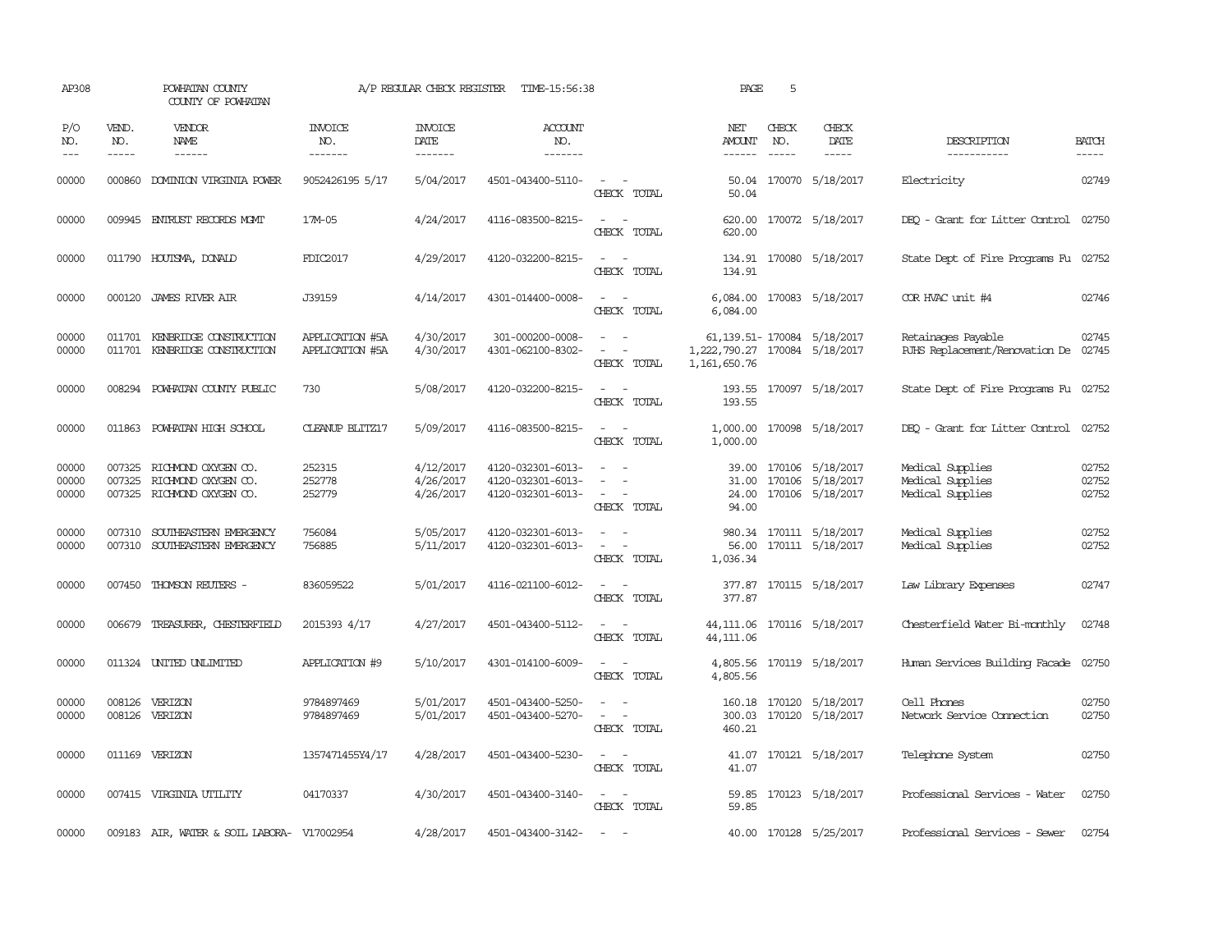| AP308                   |                             | POWHATAN COUNTY<br>COUNTY OF POWHATAN                                    |                                    | A/P REGULAR CHECK REGISTER          | TIME-15:56:38                                               |                                                                                                                                                    | PAGE                                                                             | 5            |                                                                |                                                            |                         |
|-------------------------|-----------------------------|--------------------------------------------------------------------------|------------------------------------|-------------------------------------|-------------------------------------------------------------|----------------------------------------------------------------------------------------------------------------------------------------------------|----------------------------------------------------------------------------------|--------------|----------------------------------------------------------------|------------------------------------------------------------|-------------------------|
| P/O<br>NO.<br>$---$     | VEND.<br>NO.<br>$- - - - -$ | <b>VENDOR</b><br>NAME                                                    | <b>INVOICE</b><br>NO.<br>-------   | <b>INVOICE</b><br>DATE<br>--------  | <b>ACCOUNT</b><br>NO.<br>-------                            |                                                                                                                                                    | NET<br>AMOUNT<br>------                                                          | CHECK<br>NO. | CHECK<br>DATE                                                  | DESCRIPTION<br>-----------                                 | <b>BATCH</b><br>-----   |
| 00000                   | 000860                      | DOMINION VIRGINIA POWER                                                  | 9052426195 5/17                    | 5/04/2017                           | 4501-043400-5110-                                           | $\sim$ $\sim$<br>CHECK TOTAL                                                                                                                       | 50.04                                                                            |              | 50.04 170070 5/18/2017                                         | Electricity                                                | 02749                   |
| 00000                   |                             | 009945 ENTRUST RECORDS MOMT                                              | 17M-05                             | 4/24/2017                           | 4116-083500-8215-                                           | $\frac{1}{2} \left( \frac{1}{2} \right) \left( \frac{1}{2} \right) = \frac{1}{2} \left( \frac{1}{2} \right)$<br>CHECK TOTAL                        | 620.00<br>620.00                                                                 |              | 170072 5/18/2017                                               | DEO - Grant for Litter Control                             | 02750                   |
| 00000                   |                             | 011790 HOUTSMA, DONALD                                                   | FDIC2017                           | 4/29/2017                           | 4120-032200-8215-                                           | $\sim$<br>CHECK TOTAL                                                                                                                              | 134.91                                                                           |              | 134.91 170080 5/18/2017                                        | State Dept of Fire Programs Fu 02752                       |                         |
| 00000                   |                             | 000120 JAMES RIVER AIR                                                   | J39159                             | 4/14/2017                           | 4301-014400-0008-                                           | $\sim$ $ \sim$<br>CHECK TOTAL                                                                                                                      | 6,084.00                                                                         |              | 6,084.00 170083 5/18/2017                                      | COR HVAC unit #4                                           | 02746                   |
| 00000<br>00000          |                             | 011701 KENBRIDGE CONSTRUCTION<br>011701 KENBRIDGE CONSTRUCTION           | APPLICATION #5A<br>APPLICATION #5A | 4/30/2017<br>4/30/2017              | 301-000200-0008-<br>4301-062100-8302-                       | $\sim$ 10 $\,$<br>$\equiv$<br>CHECK TOTAL                                                                                                          | 61, 139.51 - 170084 5/18/2017<br>1,222,790.27 170084 5/18/2017<br>1, 161, 650.76 |              |                                                                | Retainages Payable<br>RJHS Replacement/Renovation De 02745 | 02745                   |
| 00000                   | 008294                      | POWHATAN COUNTY PUBLIC                                                   | 730                                | 5/08/2017                           | 4120-032200-8215-                                           | $\overline{\phantom{a}}$<br>CHECK TOTAL                                                                                                            | 193.55                                                                           |              | 193.55 170097 5/18/2017                                        | State Dept of Fire Programs Fu 02752                       |                         |
| 00000                   | 011863                      | POWHATAN HIGH SCHOOL                                                     | <b>CLEANUP BLITZ17</b>             | 5/09/2017                           | 4116-083500-8215-                                           | $\frac{1}{2} \left( \frac{1}{2} \right) \left( \frac{1}{2} \right) \left( \frac{1}{2} \right) \left( \frac{1}{2} \right)$<br>CHECK TOTAL           | 1,000.00                                                                         |              | 1,000.00 170098 5/18/2017                                      | DEQ - Grant for Litter Control                             | 02752                   |
| 00000<br>00000<br>00000 | 007325<br>007325            | RICHMOND OXYGEN CO.<br>RICHMOND OXYGEN CO.<br>007325 RICHMOND OXYGEN CO. | 252315<br>252778<br>252779         | 4/12/2017<br>4/26/2017<br>4/26/2017 | 4120-032301-6013-<br>4120-032301-6013-<br>4120-032301-6013- | $\overline{\phantom{a}}$<br>$\sim$<br>CHECK TOTAL                                                                                                  | 31.00<br>24.00<br>94.00                                                          |              | 39.00 170106 5/18/2017<br>170106 5/18/2017<br>170106 5/18/2017 | Medical Supplies<br>Medical Supplies<br>Medical Supplies   | 02752<br>02752<br>02752 |
| 00000<br>00000          | 007310<br>007310            | SOUTHEASTERN EMERGENCY<br>SOUTHEASTERN EMERGENCY                         | 756084<br>756885                   | 5/05/2017<br>5/11/2017              | 4120-032301-6013-<br>4120-032301-6013-                      | $\frac{1}{2} \left( \frac{1}{2} \right) \left( \frac{1}{2} \right) \left( \frac{1}{2} \right) \left( \frac{1}{2} \right)$<br>$\sim$<br>CHECK TOTAL | 56.00<br>1,036.34                                                                |              | 980.34 170111 5/18/2017<br>170111 5/18/2017                    | Medical Supplies<br>Medical Supplies                       | 02752<br>02752          |
| 00000                   | 007450                      | THOMSON REUTERS -                                                        | 836059522                          | 5/01/2017                           | 4116-021100-6012-                                           | $\sim$<br>CHECK TOTAL                                                                                                                              | 377.87<br>377.87                                                                 |              | 170115 5/18/2017                                               | Law Library Expenses                                       | 02747                   |
| 00000                   | 006679                      | TREASURER, CHESTERFIELD                                                  | 2015393 4/17                       | 4/27/2017                           | 4501-043400-5112-                                           | $\frac{1}{2} \left( \frac{1}{2} \right) \left( \frac{1}{2} \right) \left( \frac{1}{2} \right) \left( \frac{1}{2} \right)$<br>CHECK TOTAL           | 44,111.06<br>44,111.06                                                           |              | 170116 5/18/2017                                               | Chesterfield Water Bi-monthly                              | 02748                   |
| 00000                   |                             | 011324 UNITED UNLIMITED                                                  | APPLICATION #9                     | 5/10/2017                           | 4301-014100-6009-                                           | $ -$<br>CHECK TOTAL                                                                                                                                | 4,805.56                                                                         |              | 4,805.56 170119 5/18/2017                                      | Human Services Building Facade 02750                       |                         |
| 00000<br>00000          | 008126                      | 008126 VERIZON<br>VERIZON                                                | 9784897469<br>9784897469           | 5/01/2017<br>5/01/2017              | 4501-043400-5250-<br>4501-043400-5270-                      | $\overline{\phantom{a}}$<br>$\overline{\phantom{a}}$<br>CHECK TOTAL                                                                                | 300.03<br>460.21                                                                 |              | 160.18 170120 5/18/2017<br>170120 5/18/2017                    | Cell Phones<br>Network Service Cornection                  | 02750<br>02750          |
| 00000                   |                             | 011169 VERIZON                                                           | 1357471455Y4/17                    | 4/28/2017                           | 4501-043400-5230-                                           | $\frac{1}{2} \left( \frac{1}{2} \right) \left( \frac{1}{2} \right) = \frac{1}{2} \left( \frac{1}{2} \right)$<br>CHECK TOTAL                        | 41.07                                                                            |              | 41.07 170121 5/18/2017                                         | Telephone System                                           | 02750                   |
| 00000                   |                             | 007415 VIRGINIA UTILITY                                                  | 04170337                           | 4/30/2017                           | 4501-043400-3140-                                           | $\sim$<br>CHECK TOTAL                                                                                                                              | 59.85                                                                            |              | 59.85 170123 5/18/2017                                         | Professional Services - Water                              | 02750                   |
| 00000                   |                             | 009183 AIR, WATER & SOIL LABORA- V17002954                               |                                    | 4/28/2017                           | 4501-043400-3142-                                           | <b><i><u>Participate</u></i></b>                                                                                                                   |                                                                                  |              | 40.00 170128 5/25/2017                                         | Professional Services - Sewer                              | 02754                   |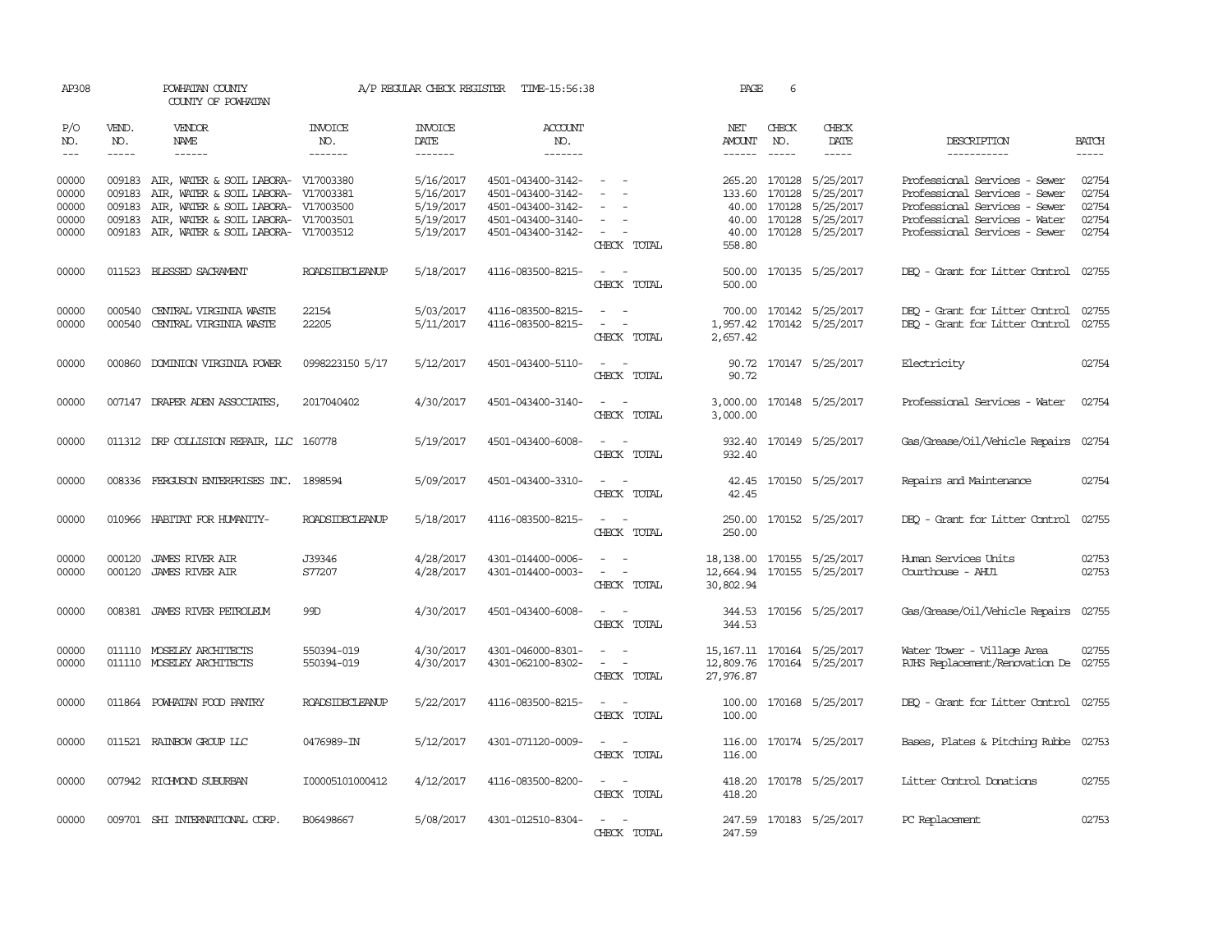| AP308                                     |                                      | POWHATAN COUNTY<br>COUNTY OF POWHATAN                                                                                                                                    |                                     | A/P REGULAR CHECK REGISTER                                    | TIME-15:56:38                                                                                         |                                                                                                           | PAGE                                | 6                                      |                                                                                    |                                                                                                                                                                   |                                           |
|-------------------------------------------|--------------------------------------|--------------------------------------------------------------------------------------------------------------------------------------------------------------------------|-------------------------------------|---------------------------------------------------------------|-------------------------------------------------------------------------------------------------------|-----------------------------------------------------------------------------------------------------------|-------------------------------------|----------------------------------------|------------------------------------------------------------------------------------|-------------------------------------------------------------------------------------------------------------------------------------------------------------------|-------------------------------------------|
| P/O<br>NO.<br>$\frac{1}{2}$               | VEND.<br>NO.<br>$\frac{1}{2}$        | <b>VENDOR</b><br>NAME<br>$- - - - - -$                                                                                                                                   | <b>INVOICE</b><br>NO.<br>-------    | <b>INVOICE</b><br>DATE<br>-------                             | ACCOUNT<br>NO.<br>$- - - - - - -$                                                                     |                                                                                                           | NET<br>AMOUNT                       | CHECK<br>NO.<br>$\frac{1}{2}$          | CHECK<br>DATE<br>$- - - - -$                                                       | DESCRIPTION<br>-----------                                                                                                                                        | <b>BATCH</b><br>$- - - - -$               |
| 00000<br>00000<br>00000<br>00000<br>00000 | 009183<br>009183<br>009183<br>009183 | 009183 AIR, WATER & SOIL LABORA- V17003380<br>AIR, WATER & SOIL LABORA-<br>AIR, WATER & SOIL LABORA-<br>AIR, WATER & SOIL LABORA- V17003501<br>AIR, WATER & SOIL LABORA- | V17003381<br>V17003500<br>V17003512 | 5/16/2017<br>5/16/2017<br>5/19/2017<br>5/19/2017<br>5/19/2017 | 4501-043400-3142-<br>4501-043400-3142-<br>4501-043400-3142-<br>4501-043400-3140-<br>4501-043400-3142- | $\sim$ $ \sim$<br>$\overline{\phantom{a}}$<br>$\overline{\phantom{a}}$<br>$\sim$<br>CHECK TOTAL           | 133.60<br>40.00<br>558.80           | 170128<br>40.00 170128<br>40.00 170128 | 265.20 170128 5/25/2017<br>5/25/2017<br>5/25/2017<br>5/25/2017<br>170128 5/25/2017 | Professional Services - Sewer<br>Professional Services - Sewer<br>Professional Services - Sewer<br>Professional Services - Water<br>Professional Services - Sewer | 02754<br>02754<br>02754<br>02754<br>02754 |
| 00000                                     |                                      | 011523 BLESSED SACRAMENT                                                                                                                                                 | ROADSIDECLEANUP                     | 5/18/2017                                                     | 4116-083500-8215-                                                                                     | $\sim$ $ \sim$<br>CHECK TOTAL                                                                             | 500.00                              |                                        | 500.00 170135 5/25/2017                                                            | DEQ - Grant for Litter Control 02755                                                                                                                              |                                           |
| 00000<br>00000                            | 000540<br>000540                     | CENTRAL VIRGINIA WASTE<br>CENTRAL VIRGINIA WASTE                                                                                                                         | 22154<br>22205                      | 5/03/2017<br>5/11/2017                                        | 4116-083500-8215-<br>4116-083500-8215-                                                                | $\overline{\phantom{a}}$<br>$\overline{\phantom{a}}$<br>$\sim$<br>$\overline{\phantom{a}}$<br>CHECK TOTAL | 700.00<br>1,957.42<br>2,657.42      |                                        | 170142 5/25/2017<br>170142 5/25/2017                                               | DEO - Grant for Litter Control<br>DEO - Grant for Litter Control                                                                                                  | 02755<br>02755                            |
| 00000                                     |                                      | 000860 DOMINION VIRGINIA POWER                                                                                                                                           | 0998223150 5/17                     | 5/12/2017                                                     | 4501-043400-5110-                                                                                     | $\sim$ $ \sim$<br>CHECK TOTAL                                                                             | 90.72                               |                                        | 90.72 170147 5/25/2017                                                             | Electricity                                                                                                                                                       | 02754                                     |
| 00000                                     |                                      | 007147 DRAPER ADEN ASSOCIATES                                                                                                                                            | 2017040402                          | 4/30/2017                                                     | 4501-043400-3140-                                                                                     | $\sim$ 100 $\sim$<br>CHECK TOTAL                                                                          | 3,000.00                            |                                        | 3,000.00 170148 5/25/2017                                                          | Professional Services - Water                                                                                                                                     | 02754                                     |
| 00000                                     |                                      | 011312 DRP COLLISION REPAIR, LLC 160778                                                                                                                                  |                                     | 5/19/2017                                                     | 4501-043400-6008-                                                                                     | $\sim$<br>CHECK TOTAL                                                                                     | 932.40                              |                                        | 932.40 170149 5/25/2017                                                            | Gas/Grease/Oil/Vehicle Repairs 02754                                                                                                                              |                                           |
| 00000                                     |                                      | 008336 FERGUSON ENTERPRISES INC. 1898594                                                                                                                                 |                                     | 5/09/2017                                                     | 4501-043400-3310-                                                                                     | $\sim$ $ \sim$<br>CHECK TOTAL                                                                             | 42.45                               |                                        | 42.45 170150 5/25/2017                                                             | Repairs and Maintenance                                                                                                                                           | 02754                                     |
| 00000                                     |                                      | 010966 HABITAT FOR HUMANITY-                                                                                                                                             | ROADSIDECLEANUP                     | 5/18/2017                                                     | 4116-083500-8215-                                                                                     | $\sim$<br>$\sim$<br>CHECK TOTAL                                                                           | 250.00<br>250.00                    |                                        | 170152 5/25/2017                                                                   | DEO - Grant for Litter Control                                                                                                                                    | 02755                                     |
| 00000<br>00000                            | 000120                               | JAMES RIVER AIR<br>000120 JAMES RIVER AIR                                                                                                                                | J39346<br>S77207                    | 4/28/2017<br>4/28/2017                                        | 4301-014400-0006-<br>4301-014400-0003-                                                                | $\sim$<br>$\sim$<br>CHECK TOTAL                                                                           | 18,138.00<br>12,664.94<br>30,802.94 |                                        | 170155 5/25/2017<br>170155 5/25/2017                                               | Human Services Units<br>Courthouse - AHU1                                                                                                                         | 02753<br>02753                            |
| 00000                                     |                                      | 008381 JAMES RIVER PETROLEUM                                                                                                                                             | 99D                                 | 4/30/2017                                                     | 4501-043400-6008-                                                                                     | $\overline{\phantom{a}}$<br>CHECK TOTAL                                                                   | 344.53<br>344.53                    |                                        | 170156 5/25/2017                                                                   | Gas/Grease/Oil/Vehicle Repairs                                                                                                                                    | 02755                                     |
| 00000<br>00000                            |                                      | 011110 MOSELEY ARCHITECTS<br>011110 MOSELEY ARCHITECTS                                                                                                                   | 550394-019<br>550394-019            | 4/30/2017<br>4/30/2017                                        | 4301-046000-8301-<br>4301-062100-8302-                                                                | $\sim$<br>$\sim$<br>$\overline{\phantom{a}}$<br>$\sim$<br>CHECK TOTAL                                     | 12,809.76<br>27,976.87              |                                        | 15, 167. 11 170164 5/25/2017<br>170164 5/25/2017                                   | Water Tower - Village Area<br>RJHS Replacement/Renovation De 02755                                                                                                | 02755                                     |
| 00000                                     |                                      | 011864 POWHATAN FOOD PANTRY                                                                                                                                              | <b>ROADSIDECLEANUP</b>              | 5/22/2017                                                     | 4116-083500-8215-                                                                                     | $\sim$ $\sim$<br>CHECK TOTAL                                                                              | 100.00<br>100.00                    |                                        | 170168 5/25/2017                                                                   | DEQ - Grant for Litter Control 02755                                                                                                                              |                                           |
| 00000                                     |                                      | 011521 RAINBOW GROUP LLC                                                                                                                                                 | 0476989-IN                          | 5/12/2017                                                     | 4301-071120-0009-                                                                                     | $\sim$ $ \sim$<br>CHECK TOTAL                                                                             | 116.00                              |                                        | 116.00 170174 5/25/2017                                                            | Bases, Plates & Pitching Rubbe 02753                                                                                                                              |                                           |
| 00000                                     |                                      | 007942 RICHMOND SUBURBAN                                                                                                                                                 | I00005101000412                     | 4/12/2017                                                     | 4116-083500-8200-                                                                                     | $\sim$<br>$\sim$<br>CHECK TOTAL                                                                           | 418.20                              |                                        | 418.20 170178 5/25/2017                                                            | Litter Control Donations                                                                                                                                          | 02755                                     |
| 00000                                     |                                      | 009701 SHI INTERNATIONAL CORP.                                                                                                                                           | B06498667                           | 5/08/2017                                                     | 4301-012510-8304-                                                                                     | $\sim$ 100 $\sim$<br>CHECK TOTAL                                                                          | 247.59                              |                                        | 247.59 170183 5/25/2017                                                            | PC Replacement                                                                                                                                                    | 02753                                     |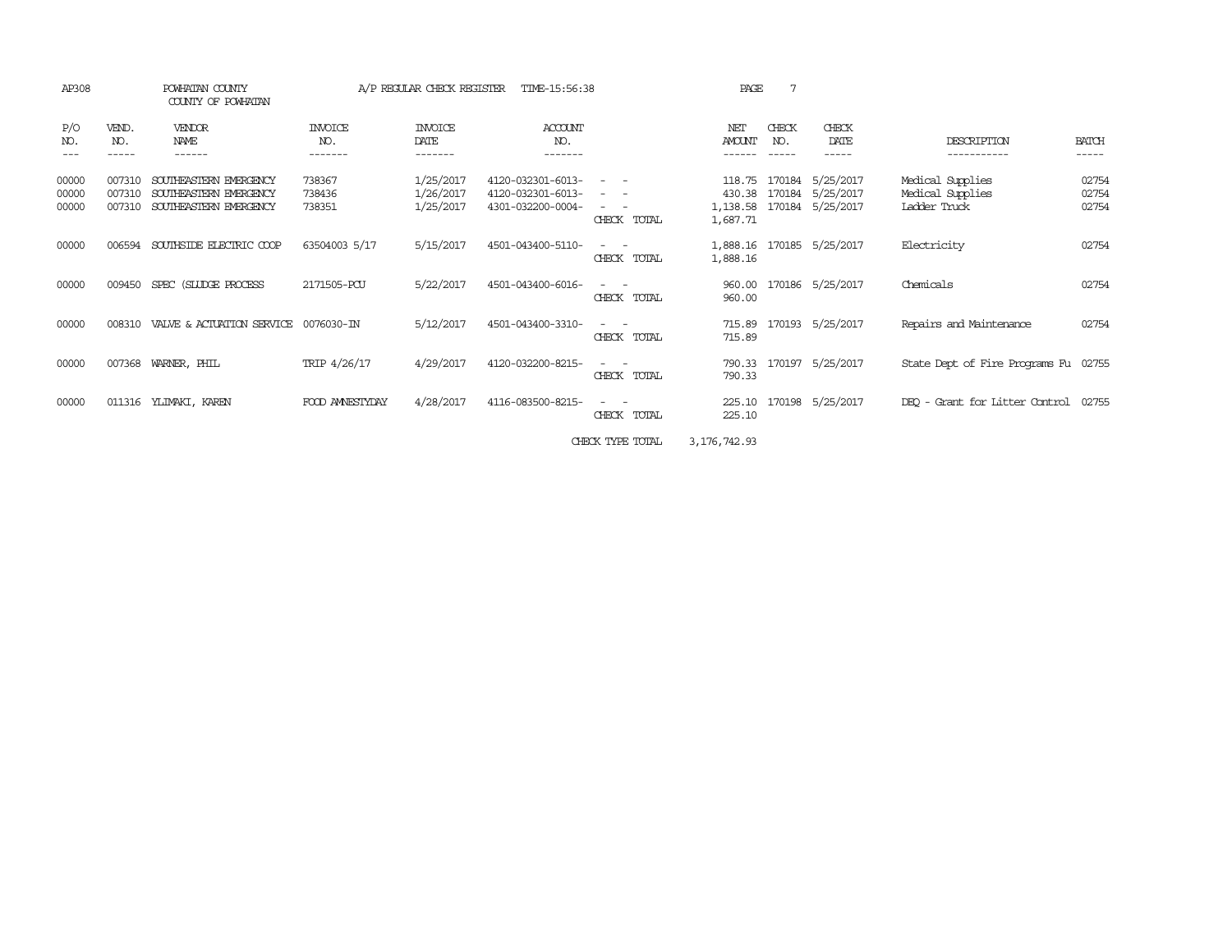| AP308                   |                            | POWHATAN COUNTY<br>COUNTY OF POWHATAN                                      |                                  | A/P REGULAR CHECK REGISTER          | TIME-15:56:38                                               |                                                                                                                                            | PAGE                                     | 7            |                                                   |                                                      |                         |
|-------------------------|----------------------------|----------------------------------------------------------------------------|----------------------------------|-------------------------------------|-------------------------------------------------------------|--------------------------------------------------------------------------------------------------------------------------------------------|------------------------------------------|--------------|---------------------------------------------------|------------------------------------------------------|-------------------------|
| P/O<br>NO.              | VEND.<br>NO.<br>-----      | VENDOR<br>NAME<br>------                                                   | <b>INVOICE</b><br>NO.<br>------- | <b>INVOICE</b><br>DATE<br>-------   | <b>ACCOUNT</b><br>NO.<br>-------                            |                                                                                                                                            | NET<br>AMOUNT                            | CHECK<br>NO. | CHECK<br>DATE<br>-----                            | DESCRIPTION<br>-----------                           | <b>BATCH</b><br>-----   |
| 00000<br>00000<br>00000 | 007310<br>007310<br>007310 | SOUTHEASTERN EMERGENCY<br>SOUTHEASTERN EMERGENCY<br>SOUTHEASTERN EMERGENCY | 738367<br>738436<br>738351       | 1/25/2017<br>1/26/2017<br>1/25/2017 | 4120-032301-6013-<br>4120-032301-6013-<br>4301-032200-0004- | $\frac{1}{2} \left( \frac{1}{2} \right) \left( \frac{1}{2} \right) = \frac{1}{2} \left( \frac{1}{2} \right)$<br>$\sim$ $ -$<br>CHECK TOTAL | 118.75<br>430.38<br>1,138.58<br>1,687.71 | 170184       | 5/25/2017<br>170184 5/25/2017<br>170184 5/25/2017 | Medical Supplies<br>Medical Supplies<br>Ladder Truck | 02754<br>02754<br>02754 |
| 00000                   | 006594                     | SOUTHSIDE ELECTRIC COOP                                                    | 63504003 5/17                    | 5/15/2017                           | 4501-043400-5110-                                           | $ -$<br>$\overline{\phantom{a}}$<br>CHECK TOTAL                                                                                            | 1,888.16<br>1,888.16                     |              | 170185 5/25/2017                                  | Electricity                                          | 02754                   |
| 00000                   | 009450                     | SPEC (SILIDGE PROCESS                                                      | 2171505-PCU                      | 5/22/2017                           | 4501-043400-6016-                                           | $\frac{1}{2} \left( \frac{1}{2} \right) \left( \frac{1}{2} \right) = \frac{1}{2} \left( \frac{1}{2} \right)$<br>CHECK TOTAL                | 960.00<br>960.00                         |              | 170186 5/25/2017                                  | Chemicals                                            | 02754                   |
| 00000                   | 008310                     | VALVE & ACTUATION SERVICE                                                  | 0076030-IN                       | 5/12/2017                           | 4501-043400-3310-                                           | $\frac{1}{2} \left( \frac{1}{2} \right) \left( \frac{1}{2} \right) \left( \frac{1}{2} \right) \left( \frac{1}{2} \right)$<br>CHECK TOTAL   | 715.89<br>715.89                         |              | 170193 5/25/2017                                  | Repairs and Maintenance                              | 02754                   |
| 00000                   | 007368                     | WARNER, PHIL                                                               | TRIP 4/26/17                     | 4/29/2017                           | 4120-032200-8215-                                           | CHECK TOTAL                                                                                                                                | 790.33<br>790.33                         |              | 170197 5/25/2017                                  | State Dept of Fire Programs Fu 02755                 |                         |
| 00000                   | 011316                     | YLIMAKI, KAREN                                                             | FOOD AMNESTYDAY                  | 4/28/2017                           | 4116-083500-8215-                                           | $ -$<br>CHECK TOTAL                                                                                                                        | 225.10<br>225.10                         |              | 170198 5/25/2017                                  | DEO - Grant for Litter Control                       | 02755                   |
|                         |                            |                                                                            |                                  |                                     |                                                             | CHECK TYPE TOTAL                                                                                                                           | 3, 176, 742.93                           |              |                                                   |                                                      |                         |